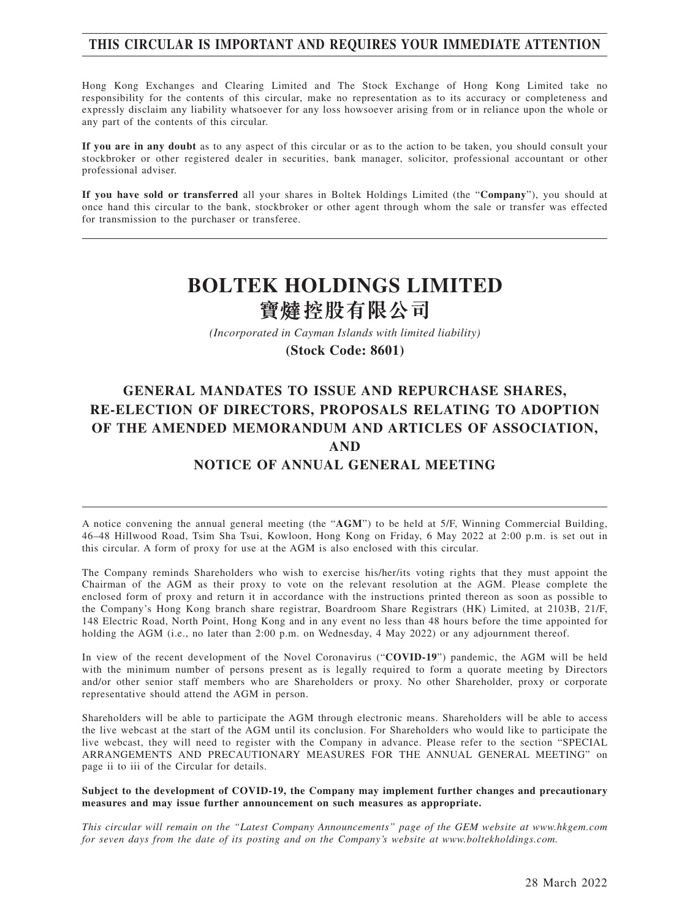### **THIS CIRCULAR IS IMPORTANT AND REQUIRES YOUR IMMEDIATE ATTENTION**

Hong Kong Exchanges and Clearing Limited and The Stock Exchange of Hong Kong Limited take no responsibility for the contents of this circular, make no representation as to its accuracy or completeness and expressly disclaim any liability whatsoever for any loss howsoever arising from or in reliance upon the whole or any part of the contents of this circular.

**If you are in any doubt** as to any aspect of this circular or as to the action to be taken, you should consult your stockbroker or other registered dealer in securities, bank manager, solicitor, professional accountant or other professional adviser.

**If you have sold or transferred** all your shares in Boltek Holdings Limited (the "**Company**"), you should at once hand this circular to the bank, stockbroker or other agent through whom the sale or transfer was effected for transmission to the purchaser or transferee.

# **BOLTEK HOLDINGS LIMITED** 寶燵控股有限公司

*(Incorporated in Cayman Islands with limited liability)*

**(Stock Code: 8601)**

## **GENERAL MANDATES TO ISSUE AND REPURCHASE SHARES, RE-ELECTION OF DIRECTORS, PROPOSALS RELATING TO ADOPTION OF THE AMENDED MEMORANDUM AND ARTICLES OF ASSOCIATION, AND**

## **NOTICE OF ANNUAL GENERAL MEETING**

A notice convening the annual general meeting (the "**AGM**") to be held at 5/F, Winning Commercial Building, 46–48 Hillwood Road, Tsim Sha Tsui, Kowloon, Hong Kong on Friday, 6 May 2022 at 2:00 p.m. is set out in this circular. A form of proxy for use at the AGM is also enclosed with this circular.

The Company reminds Shareholders who wish to exercise his/her/its voting rights that they must appoint the Chairman of the AGM as their proxy to vote on the relevant resolution at the AGM. Please complete the enclosed form of proxy and return it in accordance with the instructions printed thereon as soon as possible to the Company's Hong Kong branch share registrar, Boardroom Share Registrars (HK) Limited, at 2103B, 21/F, 148 Electric Road, North Point, Hong Kong and in any event no less than 48 hours before the time appointed for holding the AGM (i.e., no later than 2:00 p.m. on Wednesday, 4 May 2022) or any adjournment thereof.

In view of the recent development of the Novel Coronavirus ("**COVID-19**") pandemic, the AGM will be held with the minimum number of persons present as is legally required to form a quorate meeting by Directors and/or other senior staff members who are Shareholders or proxy. No other Shareholder, proxy or corporate representative should attend the AGM in person.

Shareholders will be able to participate the AGM through electronic means. Shareholders will be able to access the live webcast at the start of the AGM until its conclusion. For Shareholders who would like to participate the live webcast, they will need to register with the Company in advance. Please refer to the section "SPECIAL ARRANGEMENTS AND PRECAUTIONARY MEASURES FOR THE ANNUAL GENERAL MEETING" on page ii to iii of the Circular for details.

#### **Subject to the development of COVID-19, the Company may implement further changes and precautionary measures and may issue further announcement on such measures as appropriate.**

*This circular will remain on the "Latest Company Announcements" page of the GEM website at www.hkgem.com for seven days from the date of its posting and on the Company's website at www.boltekholdings.com.*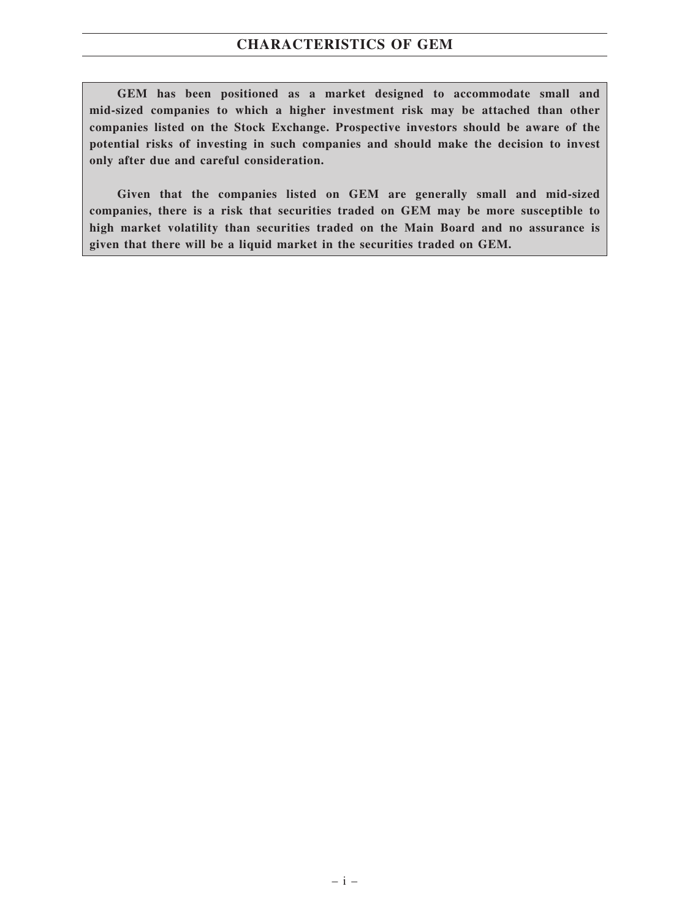## **CHARACTERISTICS OF GEM**

**GEM has been positioned as a market designed to accommodate small and mid-sized companies to which a higher investment risk may be attached than other companies listed on the Stock Exchange. Prospective investors should be aware of the potential risks of investing in such companies and should make the decision to invest only after due and careful consideration.**

**Given that the companies listed on GEM are generally small and mid-sized companies, there is a risk that securities traded on GEM may be more susceptible to high market volatility than securities traded on the Main Board and no assurance is given that there will be a liquid market in the securities traded on GEM.**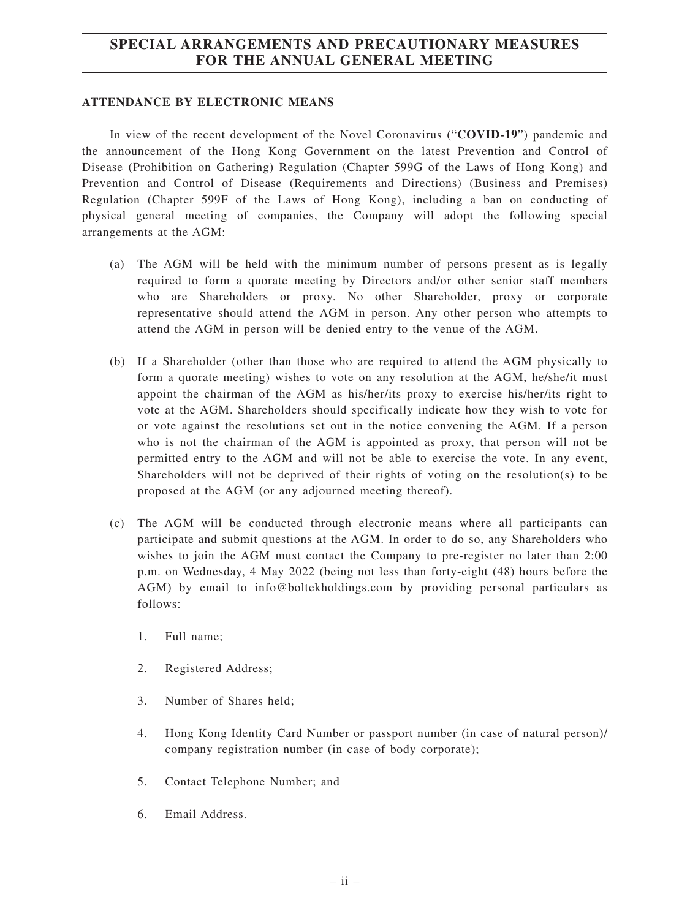## **SPECIAL ARRANGEMENTS AND PRECAUTIONARY MEASURES FOR THE ANNUAL GENERAL MEETING**

#### **ATTENDANCE BY ELECTRONIC MEANS**

In view of the recent development of the Novel Coronavirus ("**COVID-19**") pandemic and the announcement of the Hong Kong Government on the latest Prevention and Control of Disease (Prohibition on Gathering) Regulation (Chapter 599G of the Laws of Hong Kong) and Prevention and Control of Disease (Requirements and Directions) (Business and Premises) Regulation (Chapter 599F of the Laws of Hong Kong), including a ban on conducting of physical general meeting of companies, the Company will adopt the following special arrangements at the AGM:

- (a) The AGM will be held with the minimum number of persons present as is legally required to form a quorate meeting by Directors and/or other senior staff members who are Shareholders or proxy. No other Shareholder, proxy or corporate representative should attend the AGM in person. Any other person who attempts to attend the AGM in person will be denied entry to the venue of the AGM.
- (b) If a Shareholder (other than those who are required to attend the AGM physically to form a quorate meeting) wishes to vote on any resolution at the AGM, he/she/it must appoint the chairman of the AGM as his/her/its proxy to exercise his/her/its right to vote at the AGM. Shareholders should specifically indicate how they wish to vote for or vote against the resolutions set out in the notice convening the AGM. If a person who is not the chairman of the AGM is appointed as proxy, that person will not be permitted entry to the AGM and will not be able to exercise the vote. In any event, Shareholders will not be deprived of their rights of voting on the resolution(s) to be proposed at the AGM (or any adjourned meeting thereof).
- (c) The AGM will be conducted through electronic means where all participants can participate and submit questions at the AGM. In order to do so, any Shareholders who wishes to join the AGM must contact the Company to pre-register no later than 2:00 p.m. on Wednesday, 4 May 2022 (being not less than forty-eight (48) hours before the AGM) by email to info@boltekholdings.com by providing personal particulars as follows:
	- 1. Full name;
	- 2. Registered Address;
	- 3. Number of Shares held;
	- 4. Hong Kong Identity Card Number or passport number (in case of natural person)/ company registration number (in case of body corporate);
	- 5. Contact Telephone Number; and
	- 6. Email Address.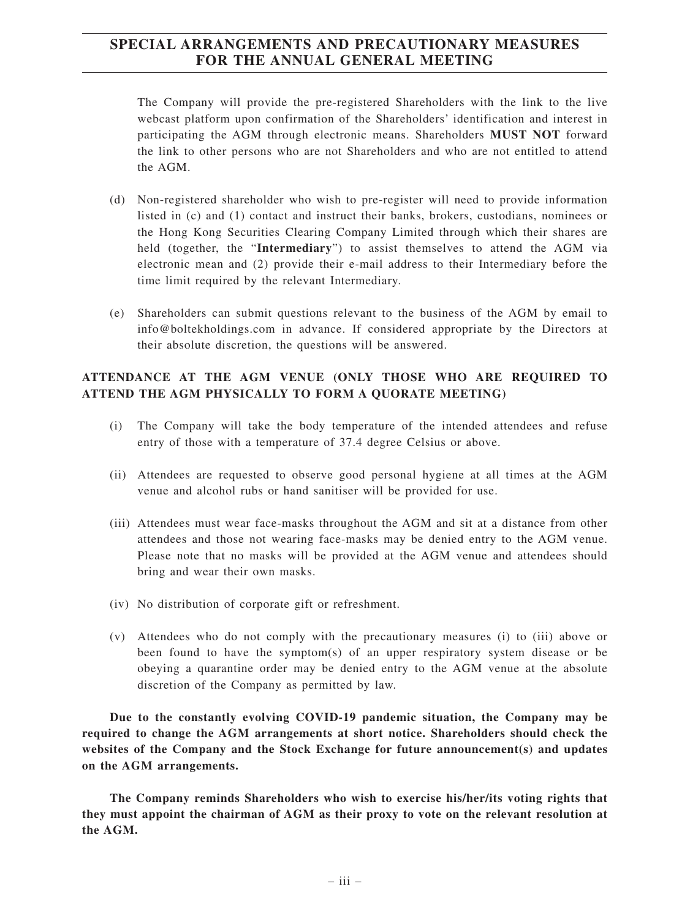## **SPECIAL ARRANGEMENTS AND PRECAUTIONARY MEASURES FOR THE ANNUAL GENERAL MEETING**

The Company will provide the pre-registered Shareholders with the link to the live webcast platform upon confirmation of the Shareholders' identification and interest in participating the AGM through electronic means. Shareholders **MUST NOT** forward the link to other persons who are not Shareholders and who are not entitled to attend the AGM.

- (d) Non-registered shareholder who wish to pre-register will need to provide information listed in (c) and (1) contact and instruct their banks, brokers, custodians, nominees or the Hong Kong Securities Clearing Company Limited through which their shares are held (together, the "**Intermediary**") to assist themselves to attend the AGM via electronic mean and (2) provide their e-mail address to their Intermediary before the time limit required by the relevant Intermediary.
- (e) Shareholders can submit questions relevant to the business of the AGM by email to info@boltekholdings.com in advance. If considered appropriate by the Directors at their absolute discretion, the questions will be answered.

### **ATTENDANCE AT THE AGM VENUE (ONLY THOSE WHO ARE REQUIRED TO ATTEND THE AGM PHYSICALLY TO FORM A QUORATE MEETING)**

- (i) The Company will take the body temperature of the intended attendees and refuse entry of those with a temperature of 37.4 degree Celsius or above.
- (ii) Attendees are requested to observe good personal hygiene at all times at the AGM venue and alcohol rubs or hand sanitiser will be provided for use.
- (iii) Attendees must wear face-masks throughout the AGM and sit at a distance from other attendees and those not wearing face-masks may be denied entry to the AGM venue. Please note that no masks will be provided at the AGM venue and attendees should bring and wear their own masks.
- (iv) No distribution of corporate gift or refreshment.
- (v) Attendees who do not comply with the precautionary measures (i) to (iii) above or been found to have the symptom(s) of an upper respiratory system disease or be obeying a quarantine order may be denied entry to the AGM venue at the absolute discretion of the Company as permitted by law.

**Due to the constantly evolving COVID-19 pandemic situation, the Company may be required to change the AGM arrangements at short notice. Shareholders should check the websites of the Company and the Stock Exchange for future announcement(s) and updates on the AGM arrangements.**

**The Company reminds Shareholders who wish to exercise his/her/its voting rights that they must appoint the chairman of AGM as their proxy to vote on the relevant resolution at the AGM.**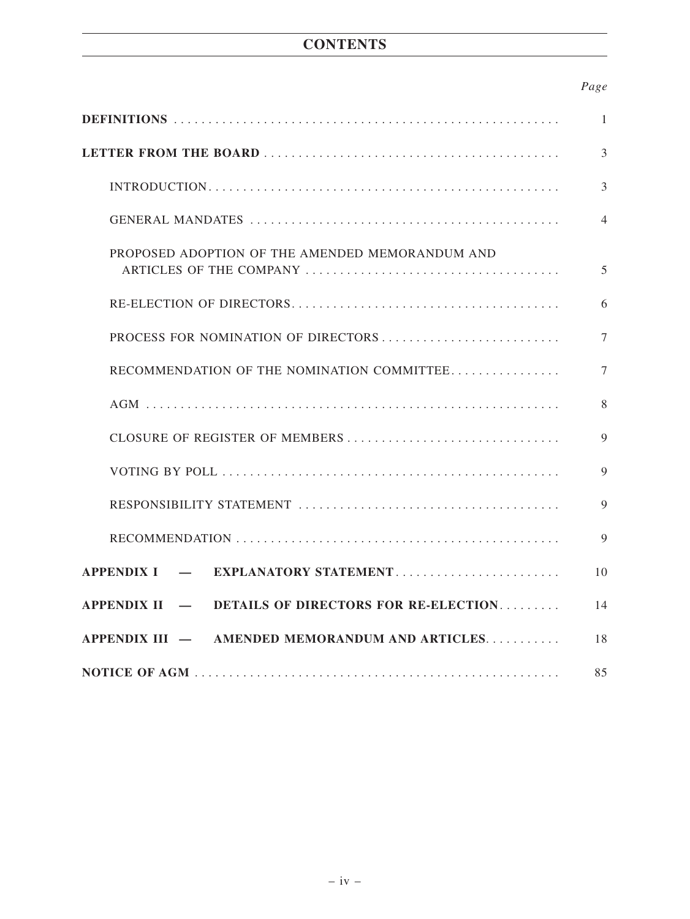## **CONTENTS**

## *Page*

|                                                    | $\mathbf{1}$   |
|----------------------------------------------------|----------------|
|                                                    | $\overline{3}$ |
|                                                    | $\overline{3}$ |
|                                                    | $\overline{4}$ |
| PROPOSED ADOPTION OF THE AMENDED MEMORANDUM AND    | 5              |
|                                                    | 6              |
|                                                    | $\overline{7}$ |
| RECOMMENDATION OF THE NOMINATION COMMITTEE         | $\tau$         |
|                                                    | 8              |
| CLOSURE OF REGISTER OF MEMBERS                     | $\mathbf Q$    |
|                                                    | $\overline{9}$ |
|                                                    | $\overline{9}$ |
|                                                    | 9              |
| APPENDIX I — EXPLANATORY STATEMENT                 | 10             |
| APPENDIX II - DETAILS OF DIRECTORS FOR RE-ELECTION | 14             |
| APPENDIX III — AMENDED MEMORANDUM AND ARTICLES     | 18             |
|                                                    | 85             |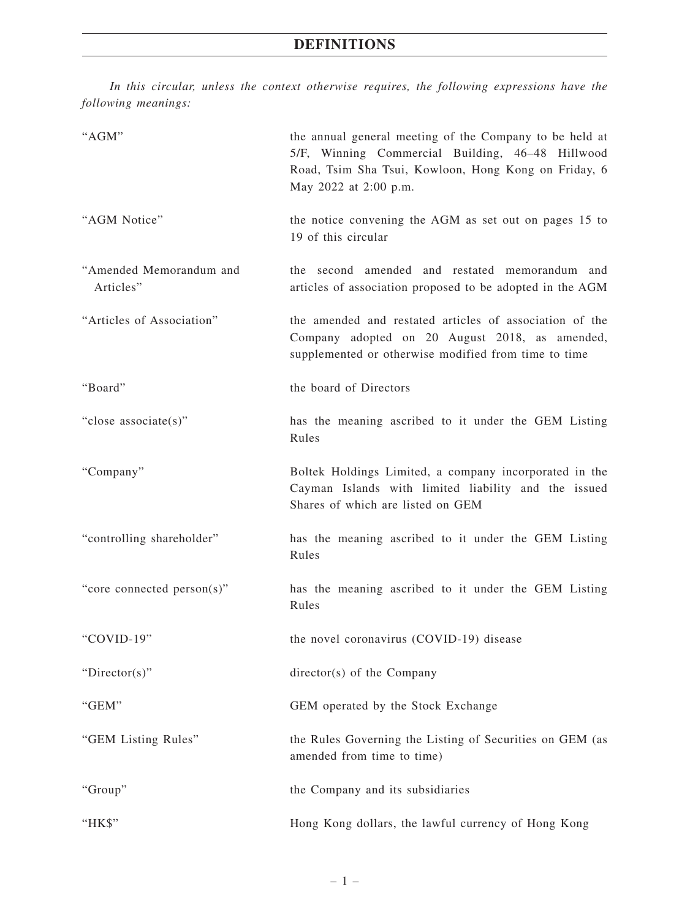*In this circular, unless the context otherwise requires, the following expressions have the following meanings:*

| "AGM"                                | the annual general meeting of the Company to be held at<br>5/F, Winning Commercial Building, 46-48 Hillwood<br>Road, Tsim Sha Tsui, Kowloon, Hong Kong on Friday, 6<br>May 2022 at 2:00 p.m. |
|--------------------------------------|----------------------------------------------------------------------------------------------------------------------------------------------------------------------------------------------|
| "AGM Notice"                         | the notice convening the AGM as set out on pages 15 to<br>19 of this circular                                                                                                                |
| "Amended Memorandum and<br>Articles" | the second amended and restated memorandum and<br>articles of association proposed to be adopted in the AGM                                                                                  |
| "Articles of Association"            | the amended and restated articles of association of the<br>Company adopted on 20 August 2018, as amended,<br>supplemented or otherwise modified from time to time                            |
| "Board"                              | the board of Directors                                                                                                                                                                       |
| "close associate(s)"                 | has the meaning ascribed to it under the GEM Listing<br>Rules                                                                                                                                |
| "Company"                            | Boltek Holdings Limited, a company incorporated in the<br>Cayman Islands with limited liability and the issued<br>Shares of which are listed on GEM                                          |
| "controlling shareholder"            | has the meaning ascribed to it under the GEM Listing<br>Rules                                                                                                                                |
| "core connected person(s)"           | has the meaning ascribed to it under the GEM Listing<br>Rules                                                                                                                                |
| "COVID-19"                           | the novel coronavirus (COVID-19) disease                                                                                                                                                     |
| "Director(s)"                        | $directory(s)$ of the Company                                                                                                                                                                |
| "GEM"                                | GEM operated by the Stock Exchange                                                                                                                                                           |
| "GEM Listing Rules"                  | the Rules Governing the Listing of Securities on GEM (as<br>amended from time to time)                                                                                                       |
| "Group"                              | the Company and its subsidiaries                                                                                                                                                             |
| "HK\$"                               | Hong Kong dollars, the lawful currency of Hong Kong                                                                                                                                          |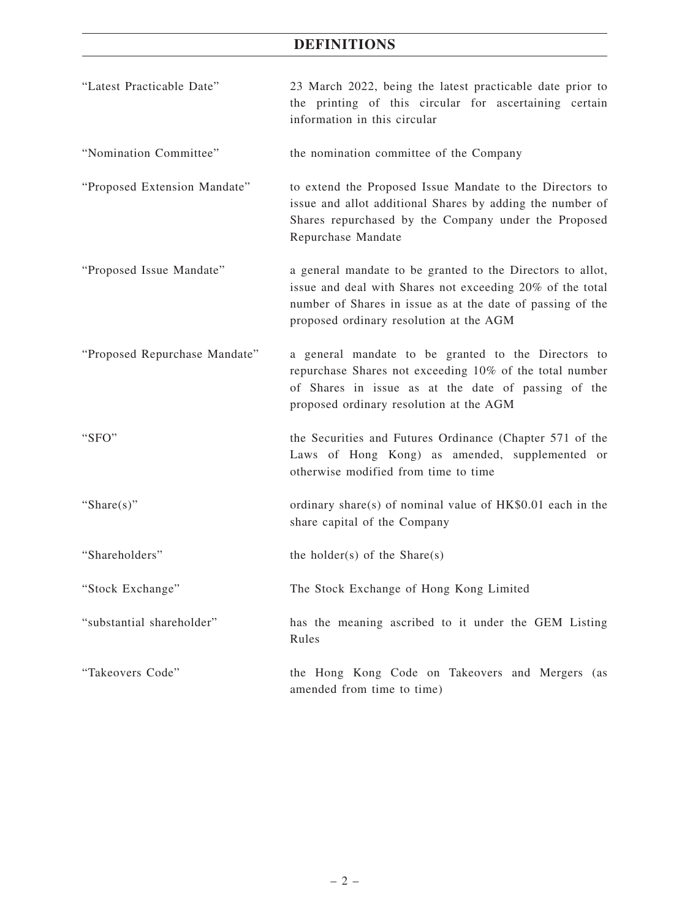## **DEFINITIONS**

| "Latest Practicable Date"     | 23 March 2022, being the latest practicable date prior to<br>the printing of this circular for ascertaining certain<br>information in this circular                                                                              |
|-------------------------------|----------------------------------------------------------------------------------------------------------------------------------------------------------------------------------------------------------------------------------|
| "Nomination Committee"        | the nomination committee of the Company                                                                                                                                                                                          |
| "Proposed Extension Mandate"  | to extend the Proposed Issue Mandate to the Directors to<br>issue and allot additional Shares by adding the number of<br>Shares repurchased by the Company under the Proposed<br>Repurchase Mandate                              |
| "Proposed Issue Mandate"      | a general mandate to be granted to the Directors to allot,<br>issue and deal with Shares not exceeding 20% of the total<br>number of Shares in issue as at the date of passing of the<br>proposed ordinary resolution at the AGM |
| "Proposed Repurchase Mandate" | a general mandate to be granted to the Directors to<br>repurchase Shares not exceeding 10% of the total number<br>of Shares in issue as at the date of passing of the<br>proposed ordinary resolution at the AGM                 |
| "SFO"                         | the Securities and Futures Ordinance (Chapter 571 of the<br>Laws of Hong Kong) as amended, supplemented or<br>otherwise modified from time to time                                                                               |
| "Share $(s)$ "                | ordinary share(s) of nominal value of $HK$0.01$ each in the<br>share capital of the Company                                                                                                                                      |
| "Shareholders"                | the holder(s) of the $Share(s)$                                                                                                                                                                                                  |
| "Stock Exchange"              | The Stock Exchange of Hong Kong Limited                                                                                                                                                                                          |
| "substantial shareholder"     | has the meaning ascribed to it under the GEM Listing<br>Rules                                                                                                                                                                    |
| "Takeovers Code"              | the Hong Kong Code on Takeovers and Mergers (as<br>amended from time to time)                                                                                                                                                    |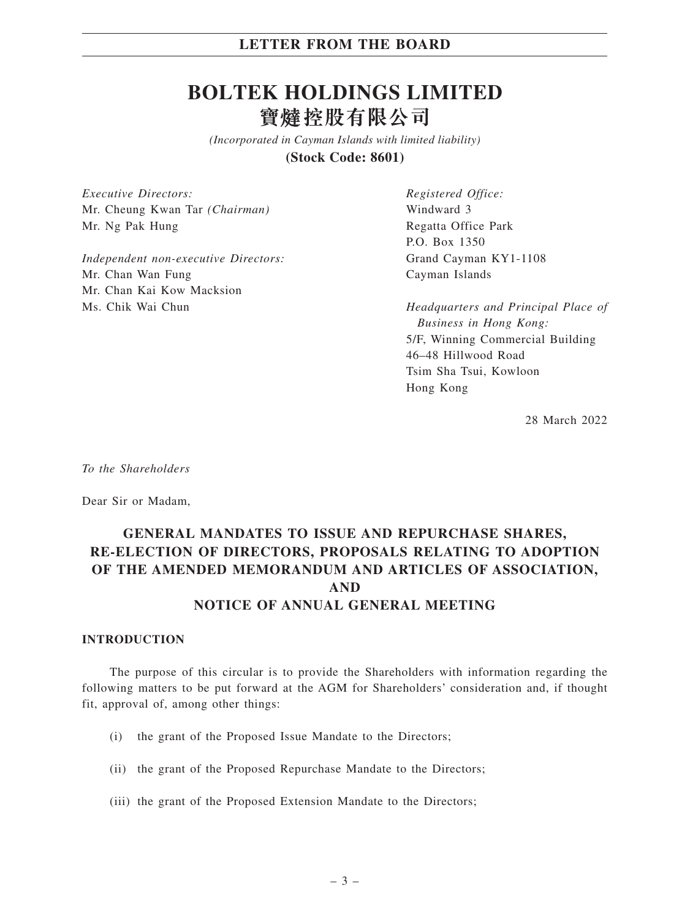# **BOLTEK HOLDINGS LIMITED** 寶燵控股有限公司

*(Incorporated in Cayman Islands with limited liability)* **(Stock Code: 8601)**

*Executive Directors:* Mr. Cheung Kwan Tar *(Chairman)* Mr. Ng Pak Hung

*Independent non-executive Directors:* Mr. Chan Wan Fung Mr. Chan Kai Kow Macksion Ms. Chik Wai Chun

*Registered Office:* Windward 3 Regatta Office Park P.O. Box 1350 Grand Cayman KY1-1108 Cayman Islands

*Headquarters and Principal Place of Business in Hong Kong:* 5/F, Winning Commercial Building 46–48 Hillwood Road Tsim Sha Tsui, Kowloon Hong Kong

28 March 2022

*To the Shareholders*

Dear Sir or Madam,

## **GENERAL MANDATES TO ISSUE AND REPURCHASE SHARES, RE-ELECTION OF DIRECTORS, PROPOSALS RELATING TO ADOPTION OF THE AMENDED MEMORANDUM AND ARTICLES OF ASSOCIATION, AND NOTICE OF ANNUAL GENERAL MEETING**

#### **INTRODUCTION**

The purpose of this circular is to provide the Shareholders with information regarding the following matters to be put forward at the AGM for Shareholders' consideration and, if thought fit, approval of, among other things:

- (i) the grant of the Proposed Issue Mandate to the Directors;
- (ii) the grant of the Proposed Repurchase Mandate to the Directors;
- (iii) the grant of the Proposed Extension Mandate to the Directors;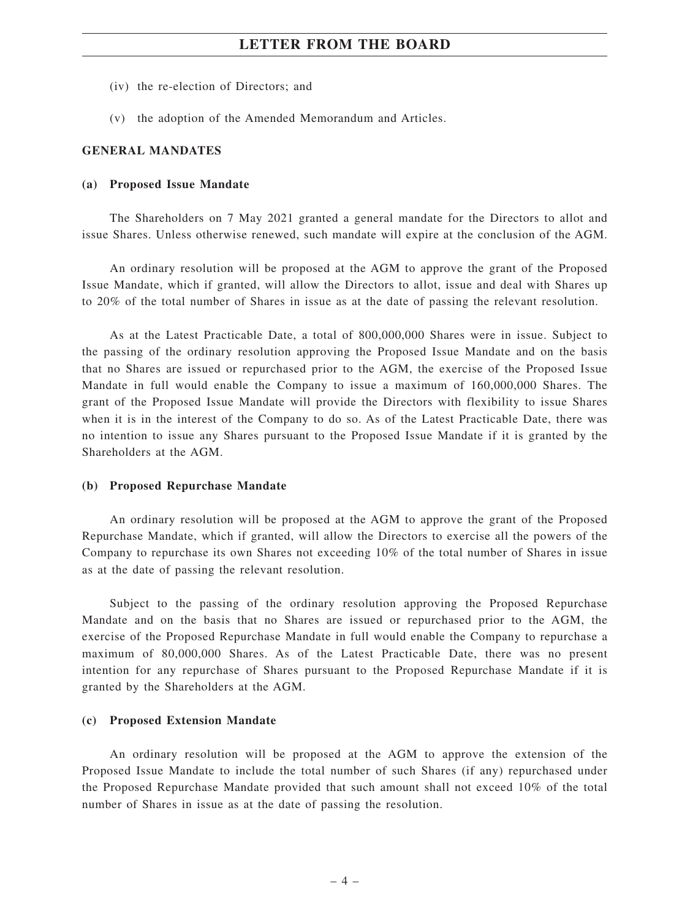- (iv) the re-election of Directors; and
- (v) the adoption of the Amended Memorandum and Articles.

#### **GENERAL MANDATES**

#### **(a) Proposed Issue Mandate**

The Shareholders on 7 May 2021 granted a general mandate for the Directors to allot and issue Shares. Unless otherwise renewed, such mandate will expire at the conclusion of the AGM.

An ordinary resolution will be proposed at the AGM to approve the grant of the Proposed Issue Mandate, which if granted, will allow the Directors to allot, issue and deal with Shares up to 20% of the total number of Shares in issue as at the date of passing the relevant resolution.

As at the Latest Practicable Date, a total of 800,000,000 Shares were in issue. Subject to the passing of the ordinary resolution approving the Proposed Issue Mandate and on the basis that no Shares are issued or repurchased prior to the AGM, the exercise of the Proposed Issue Mandate in full would enable the Company to issue a maximum of 160,000,000 Shares. The grant of the Proposed Issue Mandate will provide the Directors with flexibility to issue Shares when it is in the interest of the Company to do so. As of the Latest Practicable Date, there was no intention to issue any Shares pursuant to the Proposed Issue Mandate if it is granted by the Shareholders at the AGM.

#### **(b) Proposed Repurchase Mandate**

An ordinary resolution will be proposed at the AGM to approve the grant of the Proposed Repurchase Mandate, which if granted, will allow the Directors to exercise all the powers of the Company to repurchase its own Shares not exceeding 10% of the total number of Shares in issue as at the date of passing the relevant resolution.

Subject to the passing of the ordinary resolution approving the Proposed Repurchase Mandate and on the basis that no Shares are issued or repurchased prior to the AGM, the exercise of the Proposed Repurchase Mandate in full would enable the Company to repurchase a maximum of 80,000,000 Shares. As of the Latest Practicable Date, there was no present intention for any repurchase of Shares pursuant to the Proposed Repurchase Mandate if it is granted by the Shareholders at the AGM.

#### **(c) Proposed Extension Mandate**

An ordinary resolution will be proposed at the AGM to approve the extension of the Proposed Issue Mandate to include the total number of such Shares (if any) repurchased under the Proposed Repurchase Mandate provided that such amount shall not exceed 10% of the total number of Shares in issue as at the date of passing the resolution.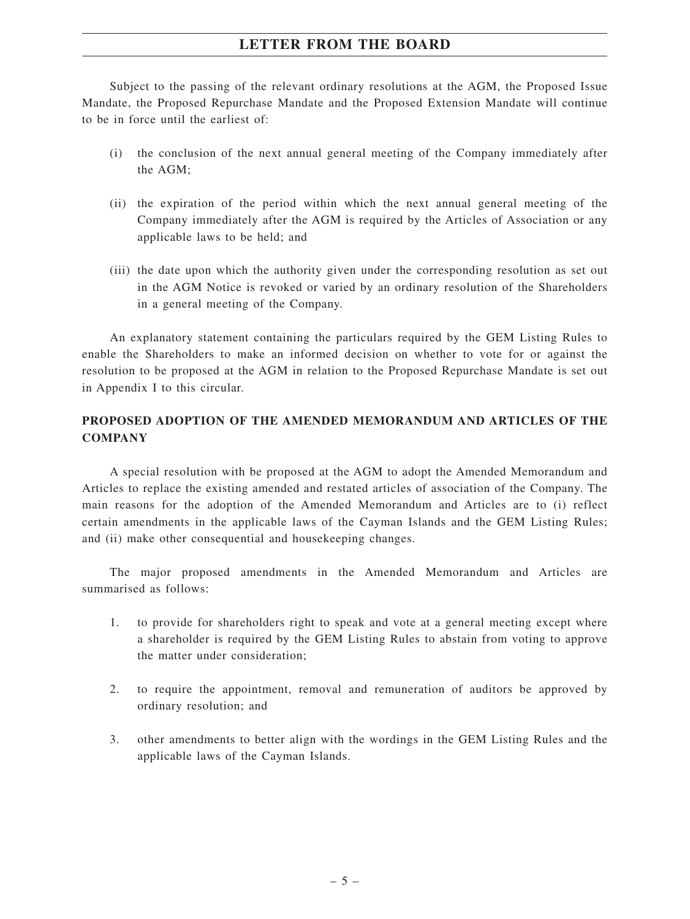Subject to the passing of the relevant ordinary resolutions at the AGM, the Proposed Issue Mandate, the Proposed Repurchase Mandate and the Proposed Extension Mandate will continue to be in force until the earliest of:

- (i) the conclusion of the next annual general meeting of the Company immediately after the AGM;
- (ii) the expiration of the period within which the next annual general meeting of the Company immediately after the AGM is required by the Articles of Association or any applicable laws to be held; and
- (iii) the date upon which the authority given under the corresponding resolution as set out in the AGM Notice is revoked or varied by an ordinary resolution of the Shareholders in a general meeting of the Company.

An explanatory statement containing the particulars required by the GEM Listing Rules to enable the Shareholders to make an informed decision on whether to vote for or against the resolution to be proposed at the AGM in relation to the Proposed Repurchase Mandate is set out in Appendix I to this circular.

### **PROPOSED ADOPTION OF THE AMENDED MEMORANDUM AND ARTICLES OF THE COMPANY**

A special resolution with be proposed at the AGM to adopt the Amended Memorandum and Articles to replace the existing amended and restated articles of association of the Company. The main reasons for the adoption of the Amended Memorandum and Articles are to (i) reflect certain amendments in the applicable laws of the Cayman Islands and the GEM Listing Rules; and (ii) make other consequential and housekeeping changes.

The major proposed amendments in the Amended Memorandum and Articles are summarised as follows:

- 1. to provide for shareholders right to speak and vote at a general meeting except where a shareholder is required by the GEM Listing Rules to abstain from voting to approve the matter under consideration;
- 2. to require the appointment, removal and remuneration of auditors be approved by ordinary resolution; and
- 3. other amendments to better align with the wordings in the GEM Listing Rules and the applicable laws of the Cayman Islands.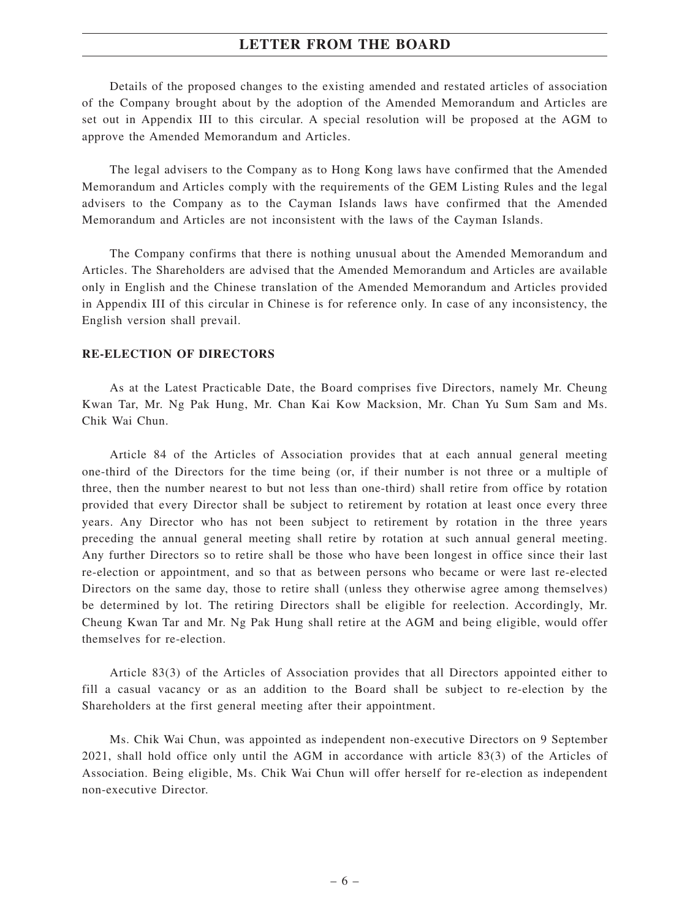Details of the proposed changes to the existing amended and restated articles of association of the Company brought about by the adoption of the Amended Memorandum and Articles are set out in Appendix III to this circular. A special resolution will be proposed at the AGM to approve the Amended Memorandum and Articles.

The legal advisers to the Company as to Hong Kong laws have confirmed that the Amended Memorandum and Articles comply with the requirements of the GEM Listing Rules and the legal advisers to the Company as to the Cayman Islands laws have confirmed that the Amended Memorandum and Articles are not inconsistent with the laws of the Cayman Islands.

The Company confirms that there is nothing unusual about the Amended Memorandum and Articles. The Shareholders are advised that the Amended Memorandum and Articles are available only in English and the Chinese translation of the Amended Memorandum and Articles provided in Appendix III of this circular in Chinese is for reference only. In case of any inconsistency, the English version shall prevail.

#### **RE-ELECTION OF DIRECTORS**

As at the Latest Practicable Date, the Board comprises five Directors, namely Mr. Cheung Kwan Tar, Mr. Ng Pak Hung, Mr. Chan Kai Kow Macksion, Mr. Chan Yu Sum Sam and Ms. Chik Wai Chun.

Article 84 of the Articles of Association provides that at each annual general meeting one-third of the Directors for the time being (or, if their number is not three or a multiple of three, then the number nearest to but not less than one-third) shall retire from office by rotation provided that every Director shall be subject to retirement by rotation at least once every three years. Any Director who has not been subject to retirement by rotation in the three years preceding the annual general meeting shall retire by rotation at such annual general meeting. Any further Directors so to retire shall be those who have been longest in office since their last re-election or appointment, and so that as between persons who became or were last re-elected Directors on the same day, those to retire shall (unless they otherwise agree among themselves) be determined by lot. The retiring Directors shall be eligible for reelection. Accordingly, Mr. Cheung Kwan Tar and Mr. Ng Pak Hung shall retire at the AGM and being eligible, would offer themselves for re-election.

Article 83(3) of the Articles of Association provides that all Directors appointed either to fill a casual vacancy or as an addition to the Board shall be subject to re-election by the Shareholders at the first general meeting after their appointment.

Ms. Chik Wai Chun, was appointed as independent non-executive Directors on 9 September 2021, shall hold office only until the AGM in accordance with article 83(3) of the Articles of Association. Being eligible, Ms. Chik Wai Chun will offer herself for re-election as independent non-executive Director.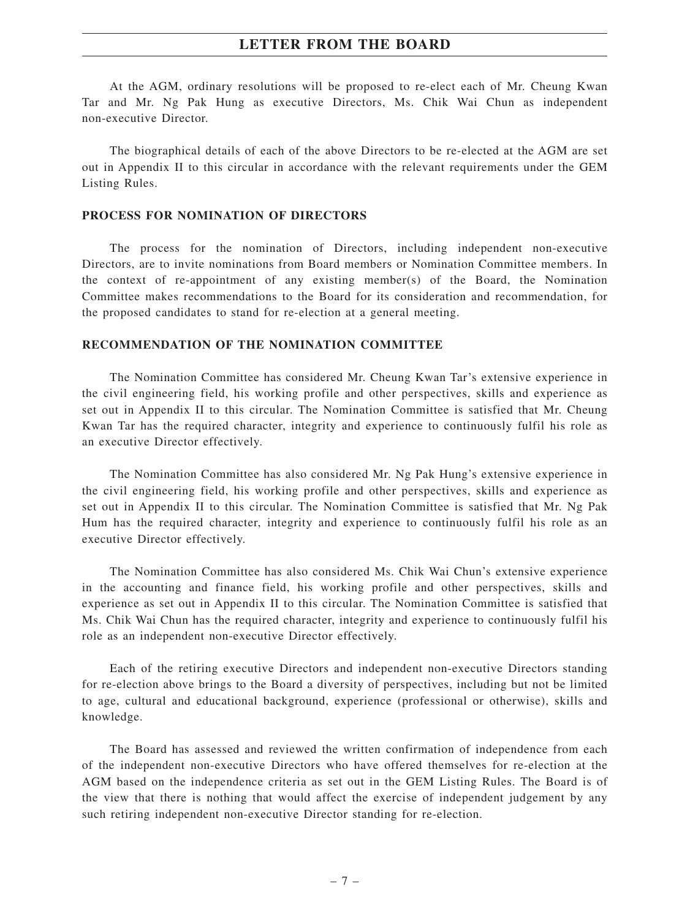At the AGM, ordinary resolutions will be proposed to re-elect each of Mr. Cheung Kwan Tar and Mr. Ng Pak Hung as executive Directors, Ms. Chik Wai Chun as independent non-executive Director.

The biographical details of each of the above Directors to be re-elected at the AGM are set out in Appendix II to this circular in accordance with the relevant requirements under the GEM Listing Rules.

#### **PROCESS FOR NOMINATION OF DIRECTORS**

The process for the nomination of Directors, including independent non-executive Directors, are to invite nominations from Board members or Nomination Committee members. In the context of re-appointment of any existing member(s) of the Board, the Nomination Committee makes recommendations to the Board for its consideration and recommendation, for the proposed candidates to stand for re-election at a general meeting.

### **RECOMMENDATION OF THE NOMINATION COMMITTEE**

The Nomination Committee has considered Mr. Cheung Kwan Tar's extensive experience in the civil engineering field, his working profile and other perspectives, skills and experience as set out in Appendix II to this circular. The Nomination Committee is satisfied that Mr. Cheung Kwan Tar has the required character, integrity and experience to continuously fulfil his role as an executive Director effectively.

The Nomination Committee has also considered Mr. Ng Pak Hung's extensive experience in the civil engineering field, his working profile and other perspectives, skills and experience as set out in Appendix II to this circular. The Nomination Committee is satisfied that Mr. Ng Pak Hum has the required character, integrity and experience to continuously fulfil his role as an executive Director effectively.

The Nomination Committee has also considered Ms. Chik Wai Chun's extensive experience in the accounting and finance field, his working profile and other perspectives, skills and experience as set out in Appendix II to this circular. The Nomination Committee is satisfied that Ms. Chik Wai Chun has the required character, integrity and experience to continuously fulfil his role as an independent non-executive Director effectively.

Each of the retiring executive Directors and independent non-executive Directors standing for re-election above brings to the Board a diversity of perspectives, including but not be limited to age, cultural and educational background, experience (professional or otherwise), skills and knowledge.

The Board has assessed and reviewed the written confirmation of independence from each of the independent non-executive Directors who have offered themselves for re-election at the AGM based on the independence criteria as set out in the GEM Listing Rules. The Board is of the view that there is nothing that would affect the exercise of independent judgement by any such retiring independent non-executive Director standing for re-election.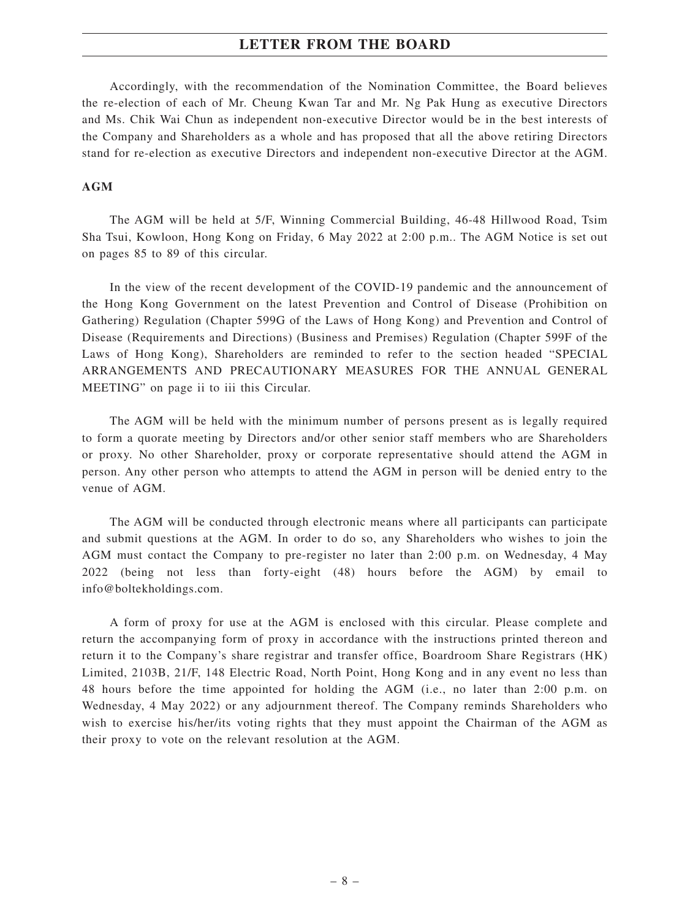Accordingly, with the recommendation of the Nomination Committee, the Board believes the re-election of each of Mr. Cheung Kwan Tar and Mr. Ng Pak Hung as executive Directors and Ms. Chik Wai Chun as independent non-executive Director would be in the best interests of the Company and Shareholders as a whole and has proposed that all the above retiring Directors stand for re-election as executive Directors and independent non-executive Director at the AGM.

#### **AGM**

The AGM will be held at 5/F, Winning Commercial Building, 46-48 Hillwood Road, Tsim Sha Tsui, Kowloon, Hong Kong on Friday, 6 May 2022 at 2:00 p.m.. The AGM Notice is set out on pages 85 to 89 of this circular.

In the view of the recent development of the COVID-19 pandemic and the announcement of the Hong Kong Government on the latest Prevention and Control of Disease (Prohibition on Gathering) Regulation (Chapter 599G of the Laws of Hong Kong) and Prevention and Control of Disease (Requirements and Directions) (Business and Premises) Regulation (Chapter 599F of the Laws of Hong Kong), Shareholders are reminded to refer to the section headed "SPECIAL ARRANGEMENTS AND PRECAUTIONARY MEASURES FOR THE ANNUAL GENERAL MEETING" on page ii to iii this Circular.

The AGM will be held with the minimum number of persons present as is legally required to form a quorate meeting by Directors and/or other senior staff members who are Shareholders or proxy. No other Shareholder, proxy or corporate representative should attend the AGM in person. Any other person who attempts to attend the AGM in person will be denied entry to the venue of AGM.

The AGM will be conducted through electronic means where all participants can participate and submit questions at the AGM. In order to do so, any Shareholders who wishes to join the AGM must contact the Company to pre-register no later than 2:00 p.m. on Wednesday, 4 May 2022 (being not less than forty-eight (48) hours before the AGM) by email to info@boltekholdings.com.

A form of proxy for use at the AGM is enclosed with this circular. Please complete and return the accompanying form of proxy in accordance with the instructions printed thereon and return it to the Company's share registrar and transfer office, Boardroom Share Registrars (HK) Limited, 2103B, 21/F, 148 Electric Road, North Point, Hong Kong and in any event no less than 48 hours before the time appointed for holding the AGM (i.e., no later than 2:00 p.m. on Wednesday, 4 May 2022) or any adjournment thereof. The Company reminds Shareholders who wish to exercise his/her/its voting rights that they must appoint the Chairman of the AGM as their proxy to vote on the relevant resolution at the AGM.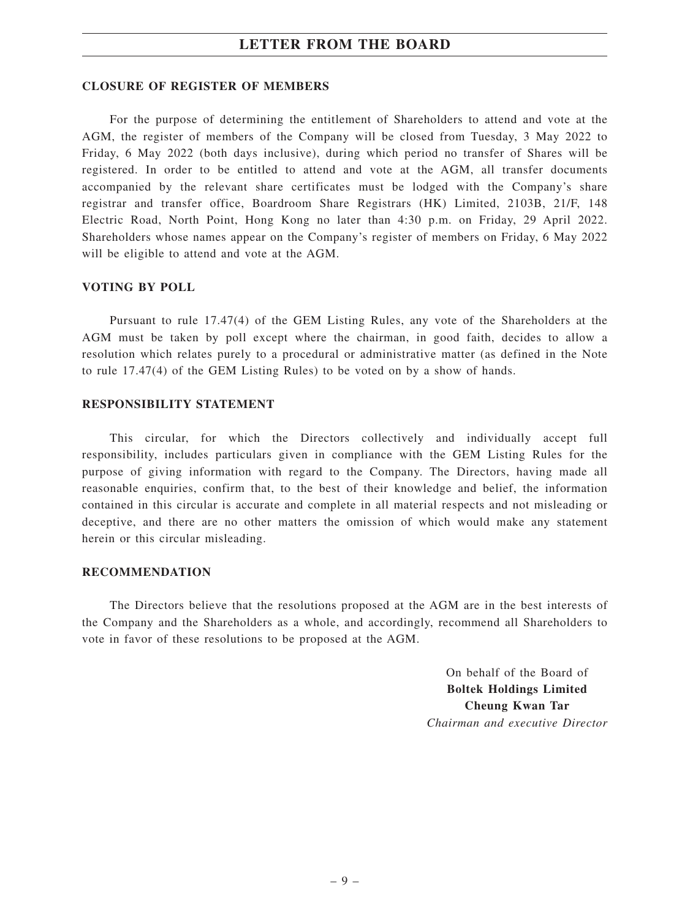#### **CLOSURE OF REGISTER OF MEMBERS**

For the purpose of determining the entitlement of Shareholders to attend and vote at the AGM, the register of members of the Company will be closed from Tuesday, 3 May 2022 to Friday, 6 May 2022 (both days inclusive), during which period no transfer of Shares will be registered. In order to be entitled to attend and vote at the AGM, all transfer documents accompanied by the relevant share certificates must be lodged with the Company's share registrar and transfer office, Boardroom Share Registrars (HK) Limited, 2103B, 21/F, 148 Electric Road, North Point, Hong Kong no later than 4:30 p.m. on Friday, 29 April 2022. Shareholders whose names appear on the Company's register of members on Friday, 6 May 2022 will be eligible to attend and vote at the AGM.

#### **VOTING BY POLL**

Pursuant to rule 17.47(4) of the GEM Listing Rules, any vote of the Shareholders at the AGM must be taken by poll except where the chairman, in good faith, decides to allow a resolution which relates purely to a procedural or administrative matter (as defined in the Note to rule 17.47(4) of the GEM Listing Rules) to be voted on by a show of hands.

#### **RESPONSIBILITY STATEMENT**

This circular, for which the Directors collectively and individually accept full responsibility, includes particulars given in compliance with the GEM Listing Rules for the purpose of giving information with regard to the Company. The Directors, having made all reasonable enquiries, confirm that, to the best of their knowledge and belief, the information contained in this circular is accurate and complete in all material respects and not misleading or deceptive, and there are no other matters the omission of which would make any statement herein or this circular misleading.

#### **RECOMMENDATION**

The Directors believe that the resolutions proposed at the AGM are in the best interests of the Company and the Shareholders as a whole, and accordingly, recommend all Shareholders to vote in favor of these resolutions to be proposed at the AGM.

> On behalf of the Board of **Boltek Holdings Limited Cheung Kwan Tar** *Chairman and executive Director*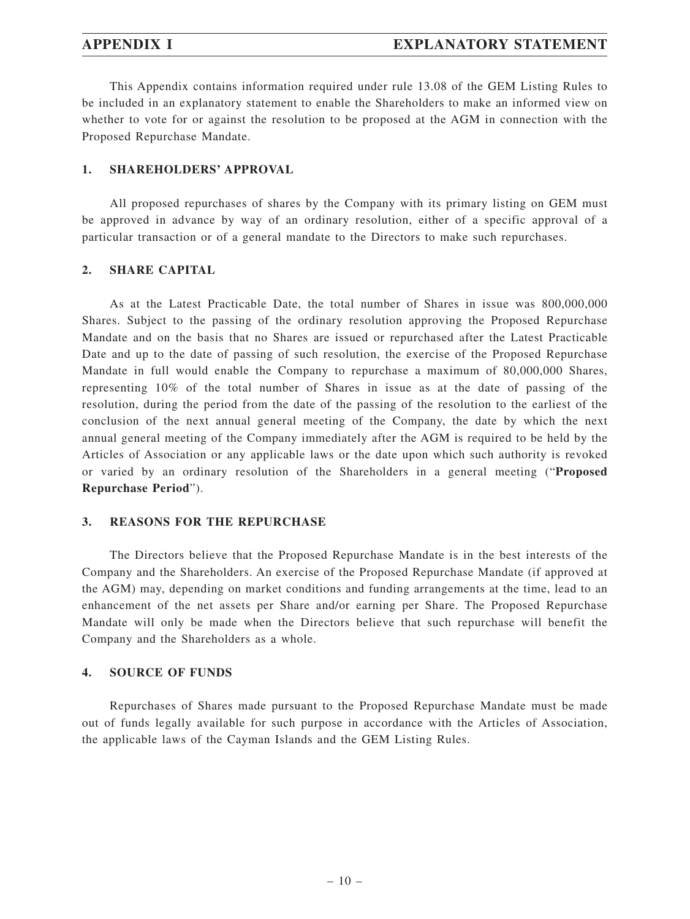This Appendix contains information required under rule 13.08 of the GEM Listing Rules to be included in an explanatory statement to enable the Shareholders to make an informed view on whether to vote for or against the resolution to be proposed at the AGM in connection with the Proposed Repurchase Mandate.

#### **1. SHAREHOLDERS' APPROVAL**

All proposed repurchases of shares by the Company with its primary listing on GEM must be approved in advance by way of an ordinary resolution, either of a specific approval of a particular transaction or of a general mandate to the Directors to make such repurchases.

#### **2. SHARE CAPITAL**

As at the Latest Practicable Date, the total number of Shares in issue was 800,000,000 Shares. Subject to the passing of the ordinary resolution approving the Proposed Repurchase Mandate and on the basis that no Shares are issued or repurchased after the Latest Practicable Date and up to the date of passing of such resolution, the exercise of the Proposed Repurchase Mandate in full would enable the Company to repurchase a maximum of 80,000,000 Shares, representing 10% of the total number of Shares in issue as at the date of passing of the resolution, during the period from the date of the passing of the resolution to the earliest of the conclusion of the next annual general meeting of the Company, the date by which the next annual general meeting of the Company immediately after the AGM is required to be held by the Articles of Association or any applicable laws or the date upon which such authority is revoked or varied by an ordinary resolution of the Shareholders in a general meeting ("**Proposed Repurchase Period**").

#### **3. REASONS FOR THE REPURCHASE**

The Directors believe that the Proposed Repurchase Mandate is in the best interests of the Company and the Shareholders. An exercise of the Proposed Repurchase Mandate (if approved at the AGM) may, depending on market conditions and funding arrangements at the time, lead to an enhancement of the net assets per Share and/or earning per Share. The Proposed Repurchase Mandate will only be made when the Directors believe that such repurchase will benefit the Company and the Shareholders as a whole.

### **4. SOURCE OF FUNDS**

Repurchases of Shares made pursuant to the Proposed Repurchase Mandate must be made out of funds legally available for such purpose in accordance with the Articles of Association, the applicable laws of the Cayman Islands and the GEM Listing Rules.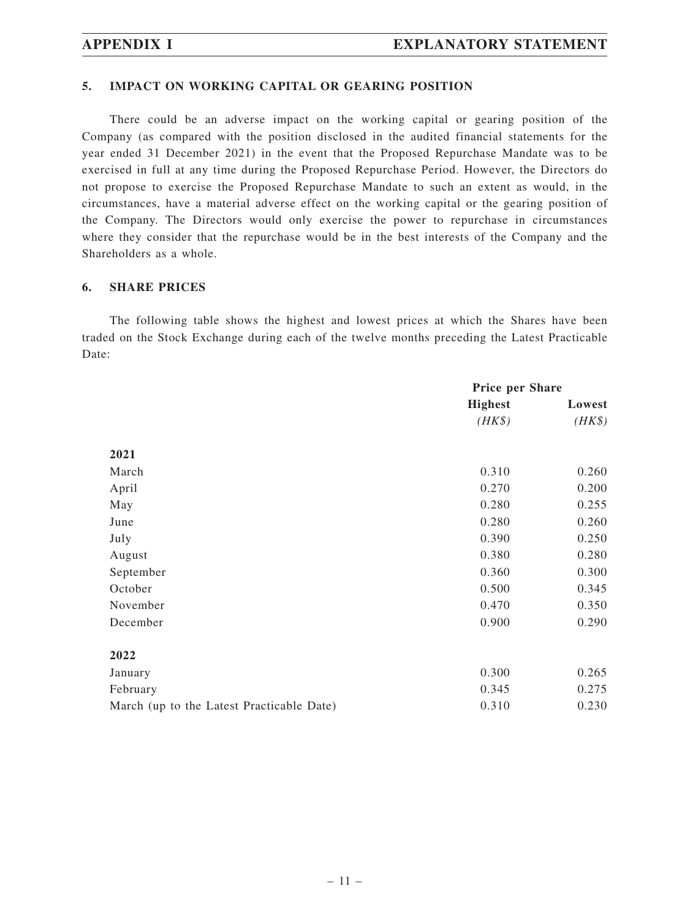#### **5. IMPACT ON WORKING CAPITAL OR GEARING POSITION**

There could be an adverse impact on the working capital or gearing position of the Company (as compared with the position disclosed in the audited financial statements for the year ended 31 December 2021) in the event that the Proposed Repurchase Mandate was to be exercised in full at any time during the Proposed Repurchase Period. However, the Directors do not propose to exercise the Proposed Repurchase Mandate to such an extent as would, in the circumstances, have a material adverse effect on the working capital or the gearing position of the Company. The Directors would only exercise the power to repurchase in circumstances where they consider that the repurchase would be in the best interests of the Company and the Shareholders as a whole.

### **6. SHARE PRICES**

The following table shows the highest and lowest prices at which the Shares have been traded on the Stock Exchange during each of the twelve months preceding the Latest Practicable Date:

|                                           | <b>Price per Share</b> |        |
|-------------------------------------------|------------------------|--------|
|                                           | <b>Highest</b>         | Lowest |
|                                           | $(HK\$                 | $(HK\$ |
| 2021                                      |                        |        |
| March                                     | 0.310                  | 0.260  |
| April                                     | 0.270                  | 0.200  |
| May                                       | 0.280                  | 0.255  |
| June                                      | 0.280                  | 0.260  |
| July                                      | 0.390                  | 0.250  |
| August                                    | 0.380                  | 0.280  |
| September                                 | 0.360                  | 0.300  |
| October                                   | 0.500                  | 0.345  |
| November                                  | 0.470                  | 0.350  |
| December                                  | 0.900                  | 0.290  |
| 2022                                      |                        |        |
| January                                   | 0.300                  | 0.265  |
| February                                  | 0.345                  | 0.275  |
| March (up to the Latest Practicable Date) | 0.310                  | 0.230  |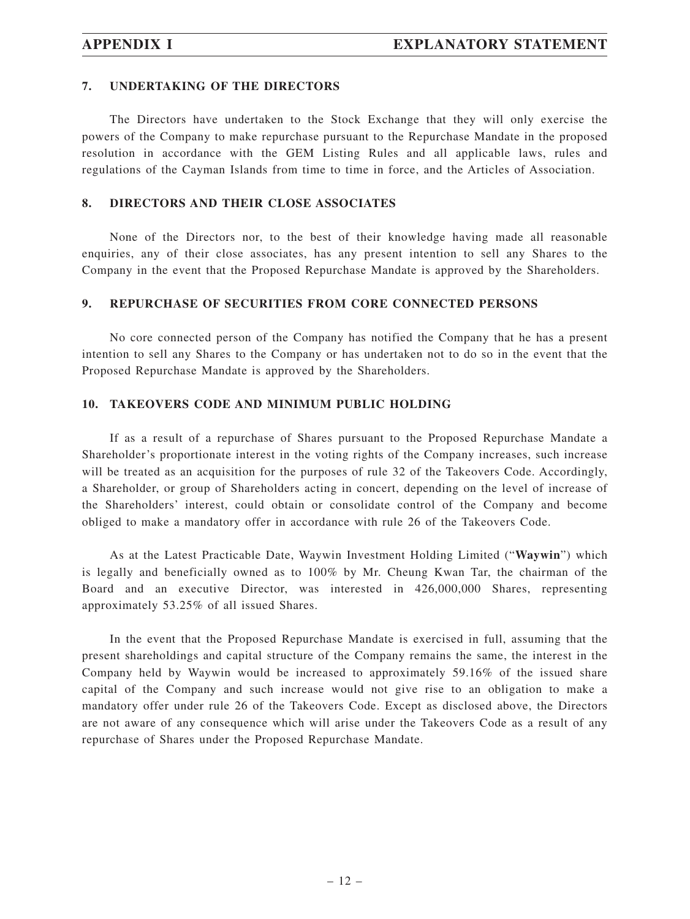#### **7. UNDERTAKING OF THE DIRECTORS**

The Directors have undertaken to the Stock Exchange that they will only exercise the powers of the Company to make repurchase pursuant to the Repurchase Mandate in the proposed resolution in accordance with the GEM Listing Rules and all applicable laws, rules and regulations of the Cayman Islands from time to time in force, and the Articles of Association.

#### **8. DIRECTORS AND THEIR CLOSE ASSOCIATES**

None of the Directors nor, to the best of their knowledge having made all reasonable enquiries, any of their close associates, has any present intention to sell any Shares to the Company in the event that the Proposed Repurchase Mandate is approved by the Shareholders.

#### **9. REPURCHASE OF SECURITIES FROM CORE CONNECTED PERSONS**

No core connected person of the Company has notified the Company that he has a present intention to sell any Shares to the Company or has undertaken not to do so in the event that the Proposed Repurchase Mandate is approved by the Shareholders.

#### **10. TAKEOVERS CODE AND MINIMUM PUBLIC HOLDING**

If as a result of a repurchase of Shares pursuant to the Proposed Repurchase Mandate a Shareholder's proportionate interest in the voting rights of the Company increases, such increase will be treated as an acquisition for the purposes of rule 32 of the Takeovers Code. Accordingly, a Shareholder, or group of Shareholders acting in concert, depending on the level of increase of the Shareholders' interest, could obtain or consolidate control of the Company and become obliged to make a mandatory offer in accordance with rule 26 of the Takeovers Code.

As at the Latest Practicable Date, Waywin Investment Holding Limited ("**Waywin**") which is legally and beneficially owned as to 100% by Mr. Cheung Kwan Tar, the chairman of the Board and an executive Director, was interested in 426,000,000 Shares, representing approximately 53.25% of all issued Shares.

In the event that the Proposed Repurchase Mandate is exercised in full, assuming that the present shareholdings and capital structure of the Company remains the same, the interest in the Company held by Waywin would be increased to approximately 59.16% of the issued share capital of the Company and such increase would not give rise to an obligation to make a mandatory offer under rule 26 of the Takeovers Code. Except as disclosed above, the Directors are not aware of any consequence which will arise under the Takeovers Code as a result of any repurchase of Shares under the Proposed Repurchase Mandate.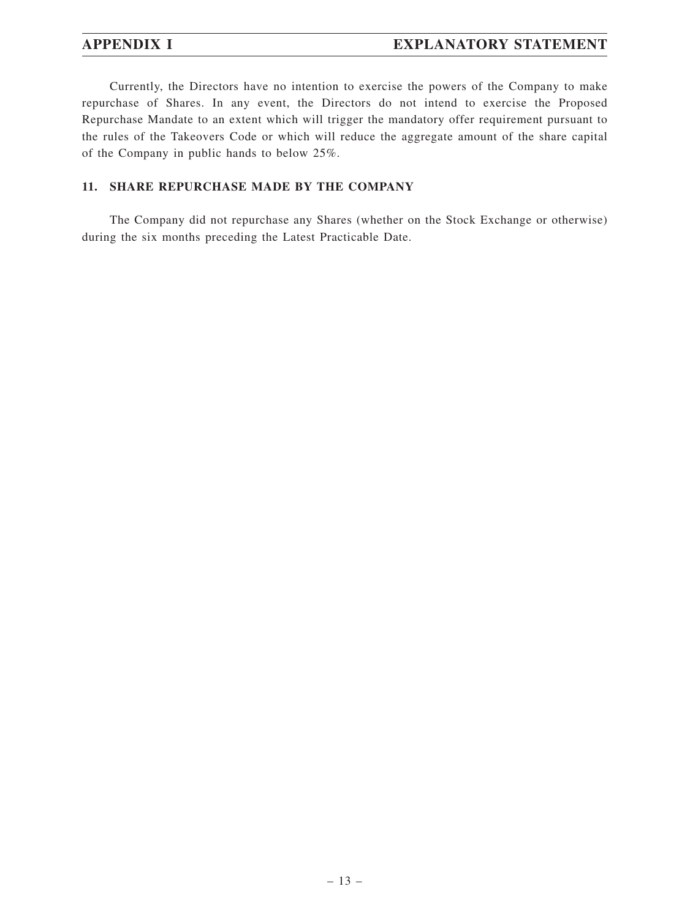Currently, the Directors have no intention to exercise the powers of the Company to make repurchase of Shares. In any event, the Directors do not intend to exercise the Proposed Repurchase Mandate to an extent which will trigger the mandatory offer requirement pursuant to the rules of the Takeovers Code or which will reduce the aggregate amount of the share capital of the Company in public hands to below 25%.

### **11. SHARE REPURCHASE MADE BY THE COMPANY**

The Company did not repurchase any Shares (whether on the Stock Exchange or otherwise) during the six months preceding the Latest Practicable Date.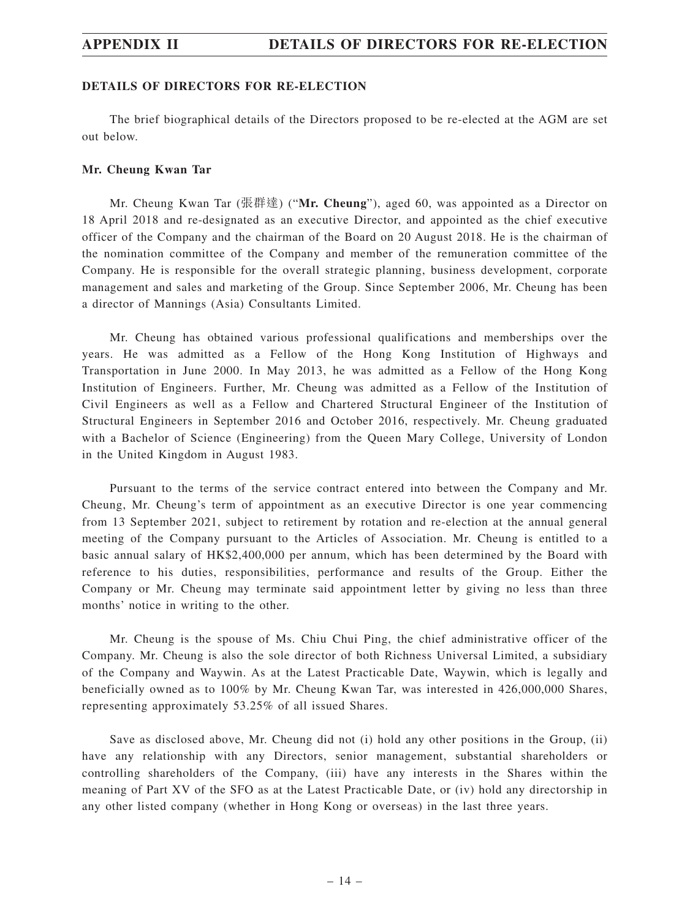#### **DETAILS OF DIRECTORS FOR RE-ELECTION**

The brief biographical details of the Directors proposed to be re-elected at the AGM are set out below.

#### **Mr. Cheung Kwan Tar**

Mr. Cheung Kwan Tar (張群達) ("**Mr. Cheung**"), aged 60, was appointed as a Director on 18 April 2018 and re-designated as an executive Director, and appointed as the chief executive officer of the Company and the chairman of the Board on 20 August 2018. He is the chairman of the nomination committee of the Company and member of the remuneration committee of the Company. He is responsible for the overall strategic planning, business development, corporate management and sales and marketing of the Group. Since September 2006, Mr. Cheung has been a director of Mannings (Asia) Consultants Limited.

Mr. Cheung has obtained various professional qualifications and memberships over the years. He was admitted as a Fellow of the Hong Kong Institution of Highways and Transportation in June 2000. In May 2013, he was admitted as a Fellow of the Hong Kong Institution of Engineers. Further, Mr. Cheung was admitted as a Fellow of the Institution of Civil Engineers as well as a Fellow and Chartered Structural Engineer of the Institution of Structural Engineers in September 2016 and October 2016, respectively. Mr. Cheung graduated with a Bachelor of Science (Engineering) from the Queen Mary College, University of London in the United Kingdom in August 1983.

Pursuant to the terms of the service contract entered into between the Company and Mr. Cheung, Mr. Cheung's term of appointment as an executive Director is one year commencing from 13 September 2021, subject to retirement by rotation and re-election at the annual general meeting of the Company pursuant to the Articles of Association. Mr. Cheung is entitled to a basic annual salary of HK\$2,400,000 per annum, which has been determined by the Board with reference to his duties, responsibilities, performance and results of the Group. Either the Company or Mr. Cheung may terminate said appointment letter by giving no less than three months' notice in writing to the other.

Mr. Cheung is the spouse of Ms. Chiu Chui Ping, the chief administrative officer of the Company. Mr. Cheung is also the sole director of both Richness Universal Limited, a subsidiary of the Company and Waywin. As at the Latest Practicable Date, Waywin, which is legally and beneficially owned as to 100% by Mr. Cheung Kwan Tar, was interested in 426,000,000 Shares, representing approximately 53.25% of all issued Shares.

Save as disclosed above, Mr. Cheung did not (i) hold any other positions in the Group, (ii) have any relationship with any Directors, senior management, substantial shareholders or controlling shareholders of the Company, (iii) have any interests in the Shares within the meaning of Part XV of the SFO as at the Latest Practicable Date, or (iv) hold any directorship in any other listed company (whether in Hong Kong or overseas) in the last three years.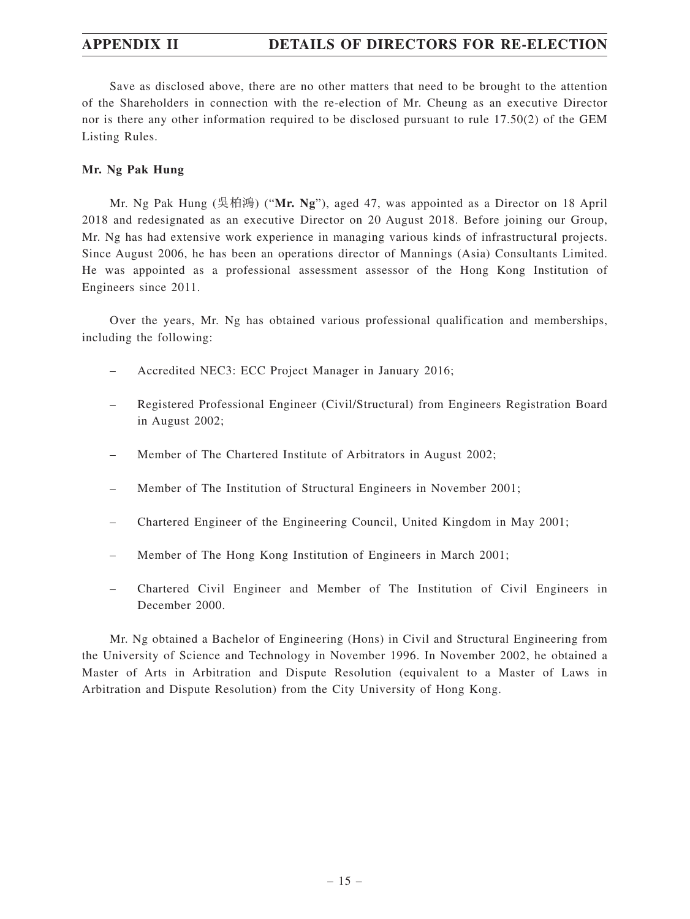Save as disclosed above, there are no other matters that need to be brought to the attention of the Shareholders in connection with the re-election of Mr. Cheung as an executive Director nor is there any other information required to be disclosed pursuant to rule 17.50(2) of the GEM Listing Rules.

#### **Mr. Ng Pak Hung**

Mr. Ng Pak Hung (吳柏鴻) ("**Mr. Ng**"), aged 47, was appointed as a Director on 18 April 2018 and redesignated as an executive Director on 20 August 2018. Before joining our Group, Mr. Ng has had extensive work experience in managing various kinds of infrastructural projects. Since August 2006, he has been an operations director of Mannings (Asia) Consultants Limited. He was appointed as a professional assessment assessor of the Hong Kong Institution of Engineers since 2011.

Over the years, Mr. Ng has obtained various professional qualification and memberships, including the following:

- Accredited NEC3: ECC Project Manager in January 2016;
- Registered Professional Engineer (Civil/Structural) from Engineers Registration Board in August 2002;
- Member of The Chartered Institute of Arbitrators in August 2002;
- Member of The Institution of Structural Engineers in November 2001;
- Chartered Engineer of the Engineering Council, United Kingdom in May 2001;
- Member of The Hong Kong Institution of Engineers in March 2001;
- Chartered Civil Engineer and Member of The Institution of Civil Engineers in December 2000.

Mr. Ng obtained a Bachelor of Engineering (Hons) in Civil and Structural Engineering from the University of Science and Technology in November 1996. In November 2002, he obtained a Master of Arts in Arbitration and Dispute Resolution (equivalent to a Master of Laws in Arbitration and Dispute Resolution) from the City University of Hong Kong.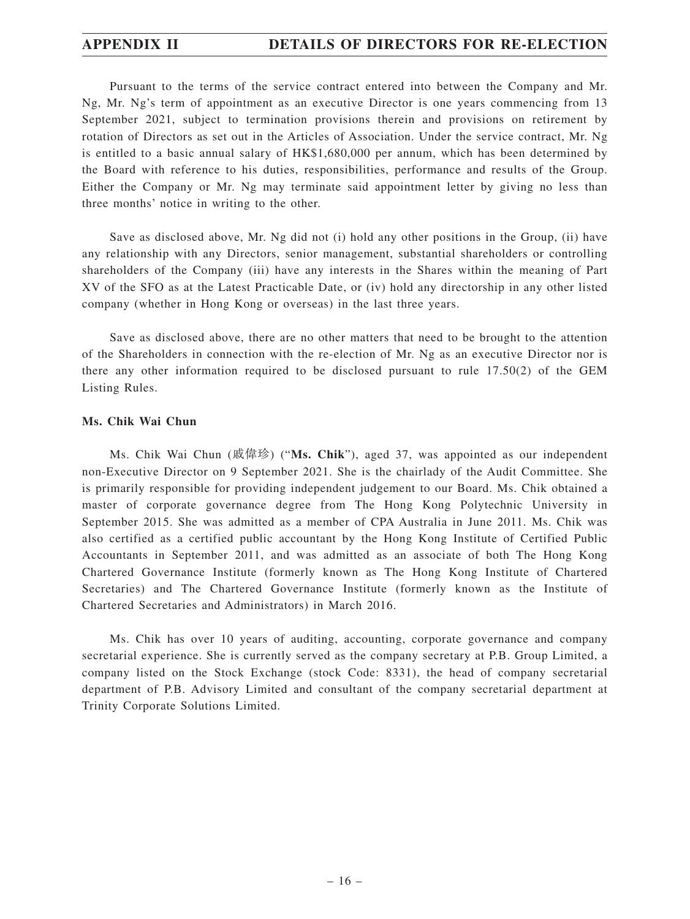Pursuant to the terms of the service contract entered into between the Company and Mr. Ng, Mr. Ng's term of appointment as an executive Director is one years commencing from 13 September 2021, subject to termination provisions therein and provisions on retirement by rotation of Directors as set out in the Articles of Association. Under the service contract, Mr. Ng is entitled to a basic annual salary of HK\$1,680,000 per annum, which has been determined by the Board with reference to his duties, responsibilities, performance and results of the Group. Either the Company or Mr. Ng may terminate said appointment letter by giving no less than three months' notice in writing to the other.

Save as disclosed above, Mr. Ng did not (i) hold any other positions in the Group, (ii) have any relationship with any Directors, senior management, substantial shareholders or controlling shareholders of the Company (iii) have any interests in the Shares within the meaning of Part XV of the SFO as at the Latest Practicable Date, or (iv) hold any directorship in any other listed company (whether in Hong Kong or overseas) in the last three years.

Save as disclosed above, there are no other matters that need to be brought to the attention of the Shareholders in connection with the re-election of Mr. Ng as an executive Director nor is there any other information required to be disclosed pursuant to rule 17.50(2) of the GEM Listing Rules.

#### **Ms. Chik Wai Chun**

Ms. Chik Wai Chun (戚偉珍) ("**Ms. Chik**"), aged 37, was appointed as our independent non-Executive Director on 9 September 2021. She is the chairlady of the Audit Committee. She is primarily responsible for providing independent judgement to our Board. Ms. Chik obtained a master of corporate governance degree from The Hong Kong Polytechnic University in September 2015. She was admitted as a member of CPA Australia in June 2011. Ms. Chik was also certified as a certified public accountant by the Hong Kong Institute of Certified Public Accountants in September 2011, and was admitted as an associate of both The Hong Kong Chartered Governance Institute (formerly known as The Hong Kong Institute of Chartered Secretaries) and The Chartered Governance Institute (formerly known as the Institute of Chartered Secretaries and Administrators) in March 2016.

Ms. Chik has over 10 years of auditing, accounting, corporate governance and company secretarial experience. She is currently served as the company secretary at P.B. Group Limited, a company listed on the Stock Exchange (stock Code: 8331), the head of company secretarial department of P.B. Advisory Limited and consultant of the company secretarial department at Trinity Corporate Solutions Limited.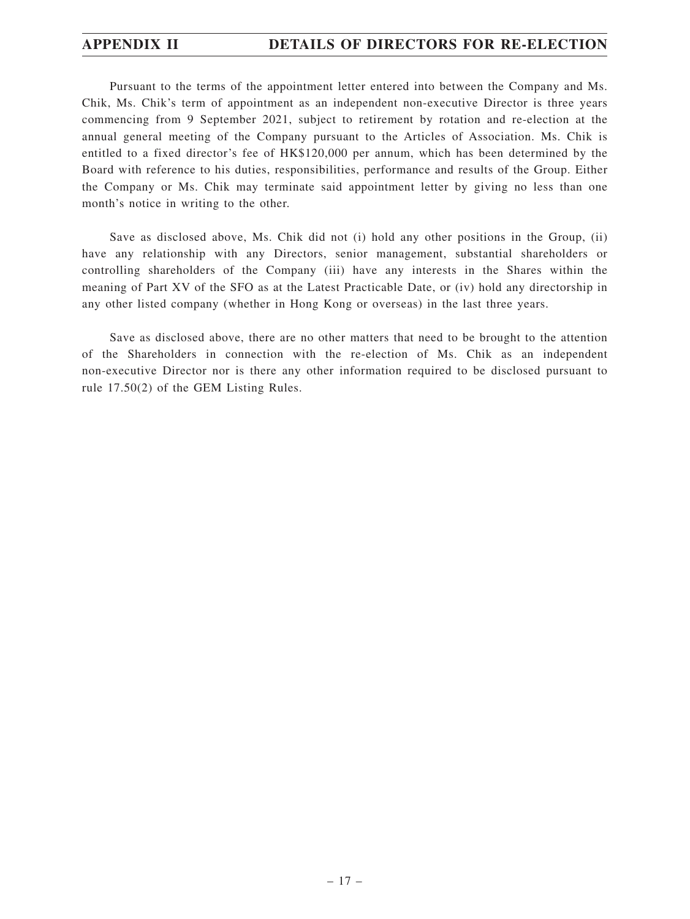Pursuant to the terms of the appointment letter entered into between the Company and Ms. Chik, Ms. Chik's term of appointment as an independent non-executive Director is three years commencing from 9 September 2021, subject to retirement by rotation and re-election at the annual general meeting of the Company pursuant to the Articles of Association. Ms. Chik is entitled to a fixed director's fee of HK\$120,000 per annum, which has been determined by the Board with reference to his duties, responsibilities, performance and results of the Group. Either the Company or Ms. Chik may terminate said appointment letter by giving no less than one month's notice in writing to the other.

Save as disclosed above, Ms. Chik did not (i) hold any other positions in the Group, (ii) have any relationship with any Directors, senior management, substantial shareholders or controlling shareholders of the Company (iii) have any interests in the Shares within the meaning of Part XV of the SFO as at the Latest Practicable Date, or (iv) hold any directorship in any other listed company (whether in Hong Kong or overseas) in the last three years.

Save as disclosed above, there are no other matters that need to be brought to the attention of the Shareholders in connection with the re-election of Ms. Chik as an independent non-executive Director nor is there any other information required to be disclosed pursuant to rule 17.50(2) of the GEM Listing Rules.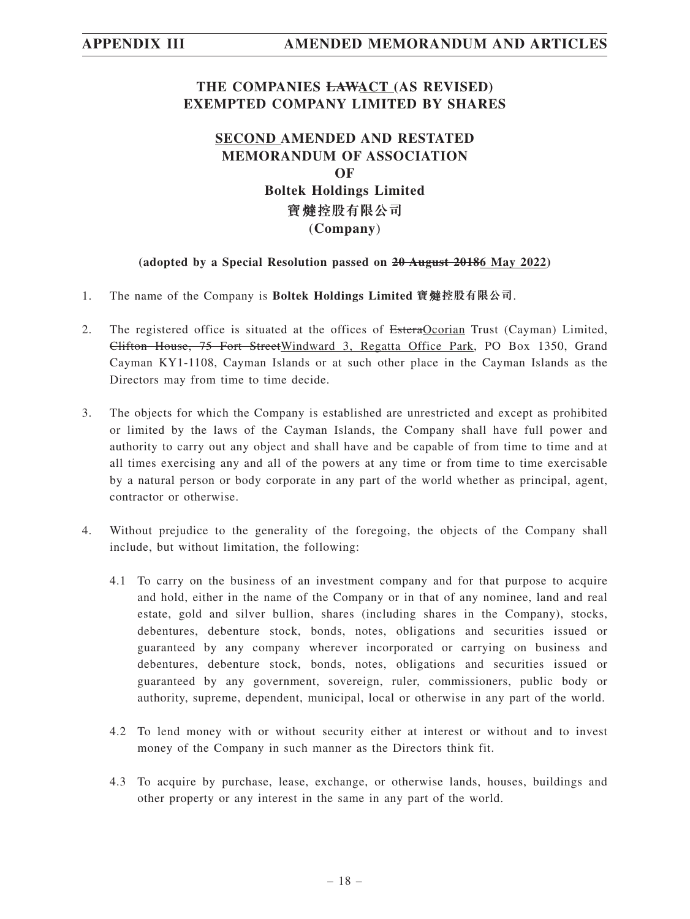## **THE COMPANIES LAWACT (AS REVISED) EXEMPTED COMPANY LIMITED BY SHARES**

## **SECOND AMENDED AND RESTATED MEMORANDUM OF ASSOCIATION OF Boltek Holdings Limited 寶 控股有限公司** (**Company**)

### **(adopted by a Special Resolution passed on 20 August 20186 May 2022)**

- 1. The name of the Company is **Boltek Holdings Limited 寶 控股有限公司**.
- 2. The registered office is situated at the offices of EsteraOcorian Trust (Cayman) Limited, Clifton House, 75 Fort StreetWindward 3, Regatta Office Park, PO Box 1350, Grand Cayman KY1-1108, Cayman Islands or at such other place in the Cayman Islands as the Directors may from time to time decide.
- 3. The objects for which the Company is established are unrestricted and except as prohibited or limited by the laws of the Cayman Islands, the Company shall have full power and authority to carry out any object and shall have and be capable of from time to time and at all times exercising any and all of the powers at any time or from time to time exercisable by a natural person or body corporate in any part of the world whether as principal, agent, contractor or otherwise.
- 4. Without prejudice to the generality of the foregoing, the objects of the Company shall include, but without limitation, the following:
	- 4.1 To carry on the business of an investment company and for that purpose to acquire and hold, either in the name of the Company or in that of any nominee, land and real estate, gold and silver bullion, shares (including shares in the Company), stocks, debentures, debenture stock, bonds, notes, obligations and securities issued or guaranteed by any company wherever incorporated or carrying on business and debentures, debenture stock, bonds, notes, obligations and securities issued or guaranteed by any government, sovereign, ruler, commissioners, public body or authority, supreme, dependent, municipal, local or otherwise in any part of the world.
	- 4.2 To lend money with or without security either at interest or without and to invest money of the Company in such manner as the Directors think fit.
	- 4.3 To acquire by purchase, lease, exchange, or otherwise lands, houses, buildings and other property or any interest in the same in any part of the world.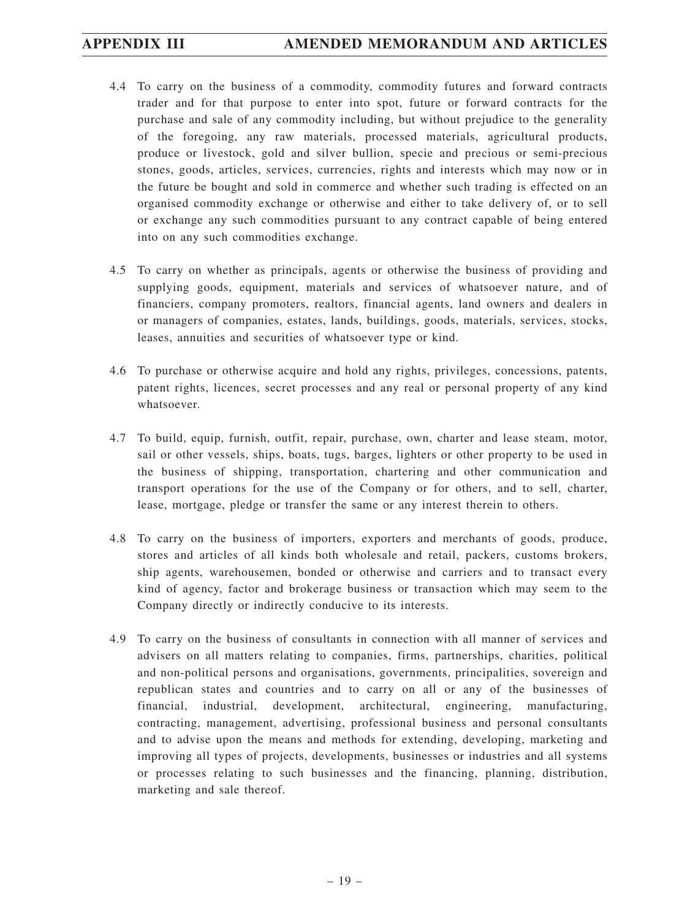- 4.4 To carry on the business of a commodity, commodity futures and forward contracts trader and for that purpose to enter into spot, future or forward contracts for the purchase and sale of any commodity including, but without prejudice to the generality of the foregoing, any raw materials, processed materials, agricultural products, produce or livestock, gold and silver bullion, specie and precious or semi-precious stones, goods, articles, services, currencies, rights and interests which may now or in the future be bought and sold in commerce and whether such trading is effected on an organised commodity exchange or otherwise and either to take delivery of, or to sell or exchange any such commodities pursuant to any contract capable of being entered into on any such commodities exchange.
- 4.5 To carry on whether as principals, agents or otherwise the business of providing and supplying goods, equipment, materials and services of whatsoever nature, and of financiers, company promoters, realtors, financial agents, land owners and dealers in or managers of companies, estates, lands, buildings, goods, materials, services, stocks, leases, annuities and securities of whatsoever type or kind.
- 4.6 To purchase or otherwise acquire and hold any rights, privileges, concessions, patents, patent rights, licences, secret processes and any real or personal property of any kind whatsoever.
- 4.7 To build, equip, furnish, outfit, repair, purchase, own, charter and lease steam, motor, sail or other vessels, ships, boats, tugs, barges, lighters or other property to be used in the business of shipping, transportation, chartering and other communication and transport operations for the use of the Company or for others, and to sell, charter, lease, mortgage, pledge or transfer the same or any interest therein to others.
- 4.8 To carry on the business of importers, exporters and merchants of goods, produce, stores and articles of all kinds both wholesale and retail, packers, customs brokers, ship agents, warehousemen, bonded or otherwise and carriers and to transact every kind of agency, factor and brokerage business or transaction which may seem to the Company directly or indirectly conducive to its interests.
- 4.9 To carry on the business of consultants in connection with all manner of services and advisers on all matters relating to companies, firms, partnerships, charities, political and non-political persons and organisations, governments, principalities, sovereign and republican states and countries and to carry on all or any of the businesses of financial, industrial, development, architectural, engineering, manufacturing, contracting, management, advertising, professional business and personal consultants and to advise upon the means and methods for extending, developing, marketing and improving all types of projects, developments, businesses or industries and all systems or processes relating to such businesses and the financing, planning, distribution, marketing and sale thereof.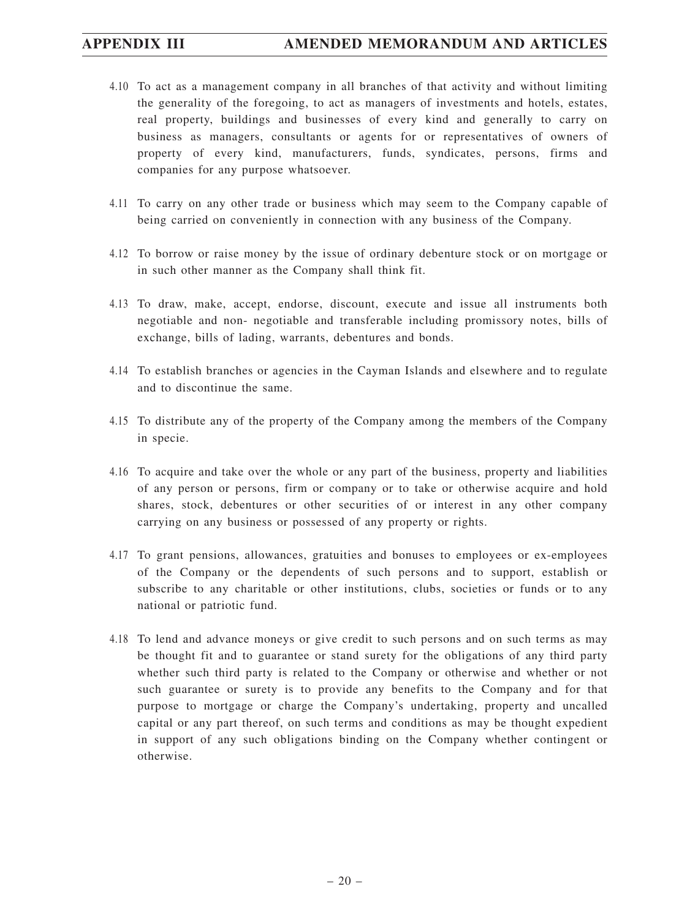- 4.10 To act as a management company in all branches of that activity and without limiting the generality of the foregoing, to act as managers of investments and hotels, estates, real property, buildings and businesses of every kind and generally to carry on business as managers, consultants or agents for or representatives of owners of property of every kind, manufacturers, funds, syndicates, persons, firms and companies for any purpose whatsoever.
- 4.11 To carry on any other trade or business which may seem to the Company capable of being carried on conveniently in connection with any business of the Company.
- 4.12 To borrow or raise money by the issue of ordinary debenture stock or on mortgage or in such other manner as the Company shall think fit.
- 4.13 To draw, make, accept, endorse, discount, execute and issue all instruments both negotiable and non- negotiable and transferable including promissory notes, bills of exchange, bills of lading, warrants, debentures and bonds.
- 4.14 To establish branches or agencies in the Cayman Islands and elsewhere and to regulate and to discontinue the same.
- 4.15 To distribute any of the property of the Company among the members of the Company in specie.
- 4.16 To acquire and take over the whole or any part of the business, property and liabilities of any person or persons, firm or company or to take or otherwise acquire and hold shares, stock, debentures or other securities of or interest in any other company carrying on any business or possessed of any property or rights.
- 4.17 To grant pensions, allowances, gratuities and bonuses to employees or ex-employees of the Company or the dependents of such persons and to support, establish or subscribe to any charitable or other institutions, clubs, societies or funds or to any national or patriotic fund.
- 4.18 To lend and advance moneys or give credit to such persons and on such terms as may be thought fit and to guarantee or stand surety for the obligations of any third party whether such third party is related to the Company or otherwise and whether or not such guarantee or surety is to provide any benefits to the Company and for that purpose to mortgage or charge the Company's undertaking, property and uncalled capital or any part thereof, on such terms and conditions as may be thought expedient in support of any such obligations binding on the Company whether contingent or otherwise.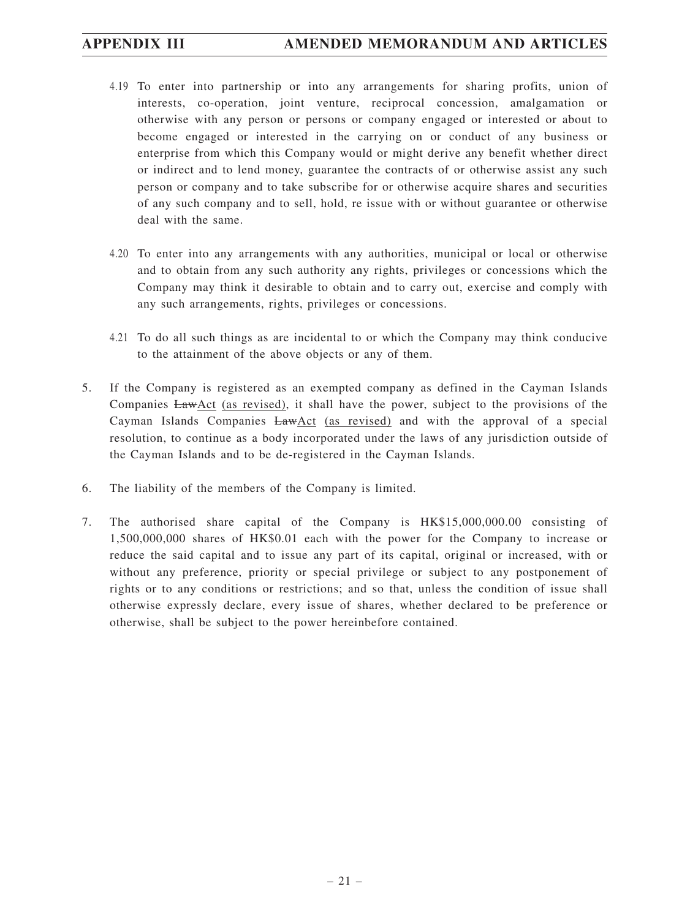## **APPENDIX III AMENDED MEMORANDUM AND ARTICLES**

- 4.19 To enter into partnership or into any arrangements for sharing profits, union of interests, co-operation, joint venture, reciprocal concession, amalgamation or otherwise with any person or persons or company engaged or interested or about to become engaged or interested in the carrying on or conduct of any business or enterprise from which this Company would or might derive any benefit whether direct or indirect and to lend money, guarantee the contracts of or otherwise assist any such person or company and to take subscribe for or otherwise acquire shares and securities of any such company and to sell, hold, re issue with or without guarantee or otherwise deal with the same.
- 4.20 To enter into any arrangements with any authorities, municipal or local or otherwise and to obtain from any such authority any rights, privileges or concessions which the Company may think it desirable to obtain and to carry out, exercise and comply with any such arrangements, rights, privileges or concessions.
- 4.21 To do all such things as are incidental to or which the Company may think conducive to the attainment of the above objects or any of them.
- 5. If the Company is registered as an exempted company as defined in the Cayman Islands Companies  $Law \Delta ct$  (as revised), it shall have the power, subject to the provisions of the Cayman Islands Companies LawAct (as revised) and with the approval of a special resolution, to continue as a body incorporated under the laws of any jurisdiction outside of the Cayman Islands and to be de-registered in the Cayman Islands.
- 6. The liability of the members of the Company is limited.
- 7. The authorised share capital of the Company is HK\$15,000,000.00 consisting of 1,500,000,000 shares of HK\$0.01 each with the power for the Company to increase or reduce the said capital and to issue any part of its capital, original or increased, with or without any preference, priority or special privilege or subject to any postponement of rights or to any conditions or restrictions; and so that, unless the condition of issue shall otherwise expressly declare, every issue of shares, whether declared to be preference or otherwise, shall be subject to the power hereinbefore contained.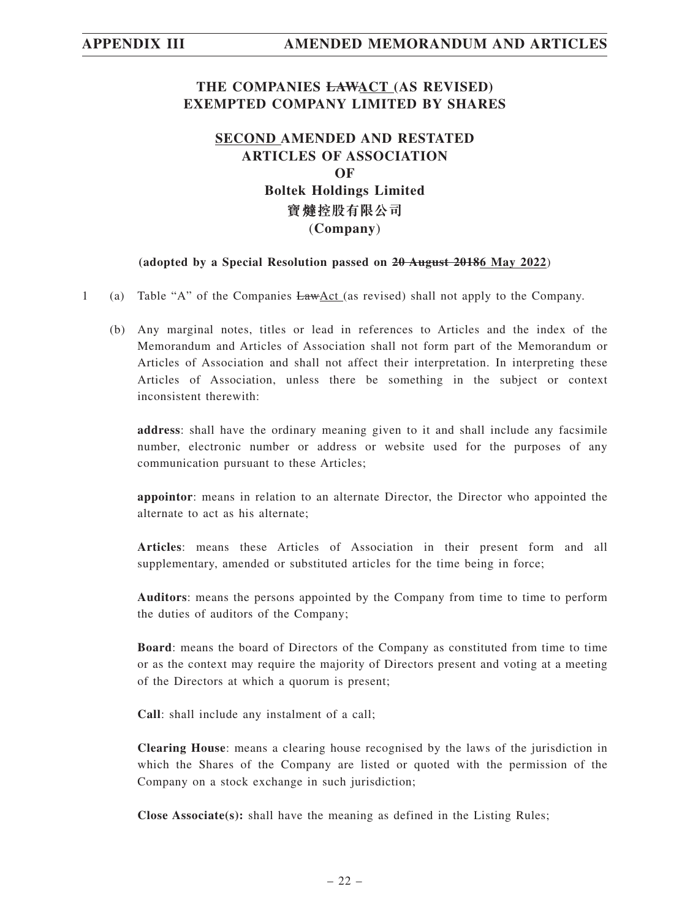## **THE COMPANIES LAWACT (AS REVISED) EXEMPTED COMPANY LIMITED BY SHARES**

## **SECOND AMENDED AND RESTATED ARTICLES OF ASSOCIATION OF Boltek Holdings Limited 寶 控股有限公司** (**Company**)

### **(adopted by a Special Resolution passed on 20 August 20186 May 2022**)

- 1 (a) Table "A" of the Companies LawAct (as revised) shall not apply to the Company.
	- (b) Any marginal notes, titles or lead in references to Articles and the index of the Memorandum and Articles of Association shall not form part of the Memorandum or Articles of Association and shall not affect their interpretation. In interpreting these Articles of Association, unless there be something in the subject or context inconsistent therewith:

**address**: shall have the ordinary meaning given to it and shall include any facsimile number, electronic number or address or website used for the purposes of any communication pursuant to these Articles;

**appointor**: means in relation to an alternate Director, the Director who appointed the alternate to act as his alternate;

**Articles**: means these Articles of Association in their present form and all supplementary, amended or substituted articles for the time being in force;

**Auditors**: means the persons appointed by the Company from time to time to perform the duties of auditors of the Company;

**Board**: means the board of Directors of the Company as constituted from time to time or as the context may require the majority of Directors present and voting at a meeting of the Directors at which a quorum is present;

**Call**: shall include any instalment of a call;

**Clearing House**: means a clearing house recognised by the laws of the jurisdiction in which the Shares of the Company are listed or quoted with the permission of the Company on a stock exchange in such jurisdiction;

**Close Associate(s):** shall have the meaning as defined in the Listing Rules;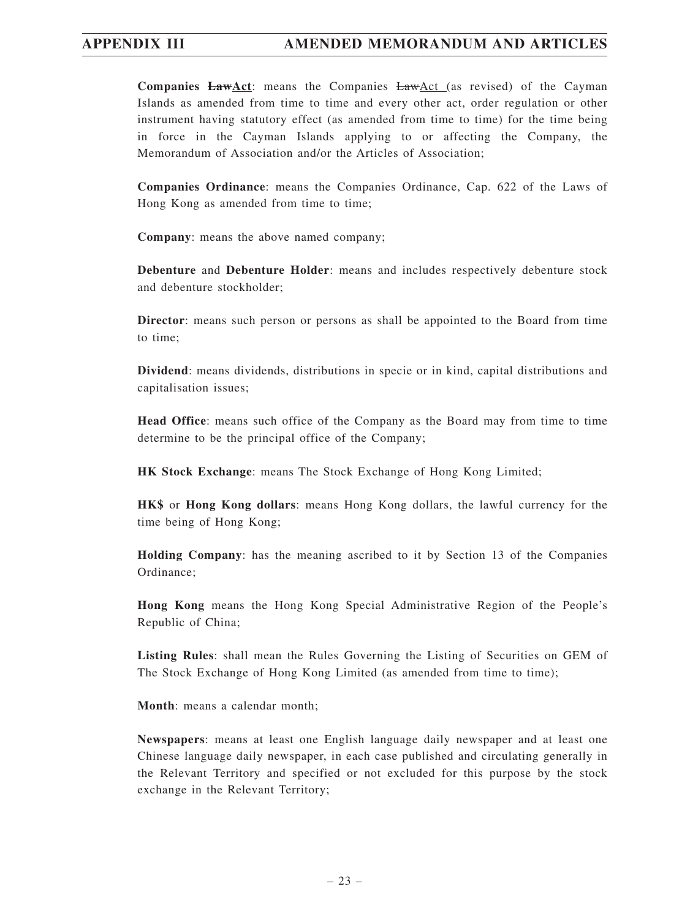**Companies LawAct**: means the Companies LawAct (as revised) of the Cayman Islands as amended from time to time and every other act, order regulation or other instrument having statutory effect (as amended from time to time) for the time being in force in the Cayman Islands applying to or affecting the Company, the Memorandum of Association and/or the Articles of Association;

**Companies Ordinance**: means the Companies Ordinance, Cap. 622 of the Laws of Hong Kong as amended from time to time;

**Company**: means the above named company;

**Debenture** and **Debenture Holder**: means and includes respectively debenture stock and debenture stockholder;

**Director**: means such person or persons as shall be appointed to the Board from time to time;

**Dividend**: means dividends, distributions in specie or in kind, capital distributions and capitalisation issues;

**Head Office**: means such office of the Company as the Board may from time to time determine to be the principal office of the Company;

**HK Stock Exchange**: means The Stock Exchange of Hong Kong Limited;

**HK\$** or **Hong Kong dollars**: means Hong Kong dollars, the lawful currency for the time being of Hong Kong;

**Holding Company**: has the meaning ascribed to it by Section 13 of the Companies Ordinance;

**Hong Kong** means the Hong Kong Special Administrative Region of the People's Republic of China;

**Listing Rules**: shall mean the Rules Governing the Listing of Securities on GEM of The Stock Exchange of Hong Kong Limited (as amended from time to time);

**Month**: means a calendar month;

**Newspapers**: means at least one English language daily newspaper and at least one Chinese language daily newspaper, in each case published and circulating generally in the Relevant Territory and specified or not excluded for this purpose by the stock exchange in the Relevant Territory;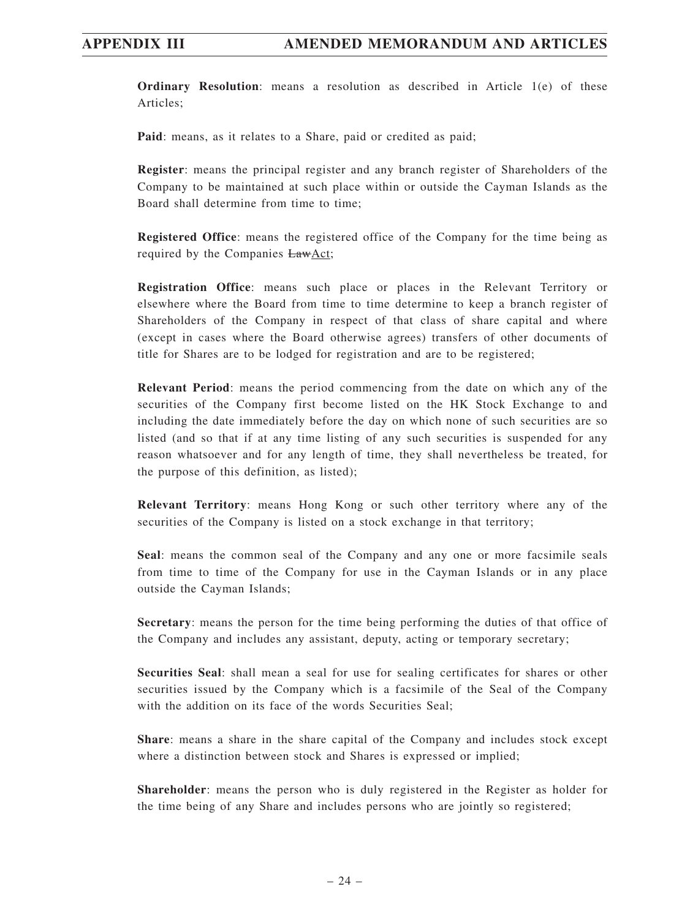**Ordinary Resolution**: means a resolution as described in Article 1(e) of these Articles;

**Paid**: means, as it relates to a Share, paid or credited as paid;

**Register**: means the principal register and any branch register of Shareholders of the Company to be maintained at such place within or outside the Cayman Islands as the Board shall determine from time to time;

**Registered Office**: means the registered office of the Company for the time being as required by the Companies LawAct;

**Registration Office**: means such place or places in the Relevant Territory or elsewhere where the Board from time to time determine to keep a branch register of Shareholders of the Company in respect of that class of share capital and where (except in cases where the Board otherwise agrees) transfers of other documents of title for Shares are to be lodged for registration and are to be registered;

**Relevant Period**: means the period commencing from the date on which any of the securities of the Company first become listed on the HK Stock Exchange to and including the date immediately before the day on which none of such securities are so listed (and so that if at any time listing of any such securities is suspended for any reason whatsoever and for any length of time, they shall nevertheless be treated, for the purpose of this definition, as listed);

**Relevant Territory**: means Hong Kong or such other territory where any of the securities of the Company is listed on a stock exchange in that territory;

**Seal**: means the common seal of the Company and any one or more facsimile seals from time to time of the Company for use in the Cayman Islands or in any place outside the Cayman Islands;

**Secretary**: means the person for the time being performing the duties of that office of the Company and includes any assistant, deputy, acting or temporary secretary;

**Securities Seal**: shall mean a seal for use for sealing certificates for shares or other securities issued by the Company which is a facsimile of the Seal of the Company with the addition on its face of the words Securities Seal:

**Share**: means a share in the share capital of the Company and includes stock except where a distinction between stock and Shares is expressed or implied;

**Shareholder**: means the person who is duly registered in the Register as holder for the time being of any Share and includes persons who are jointly so registered;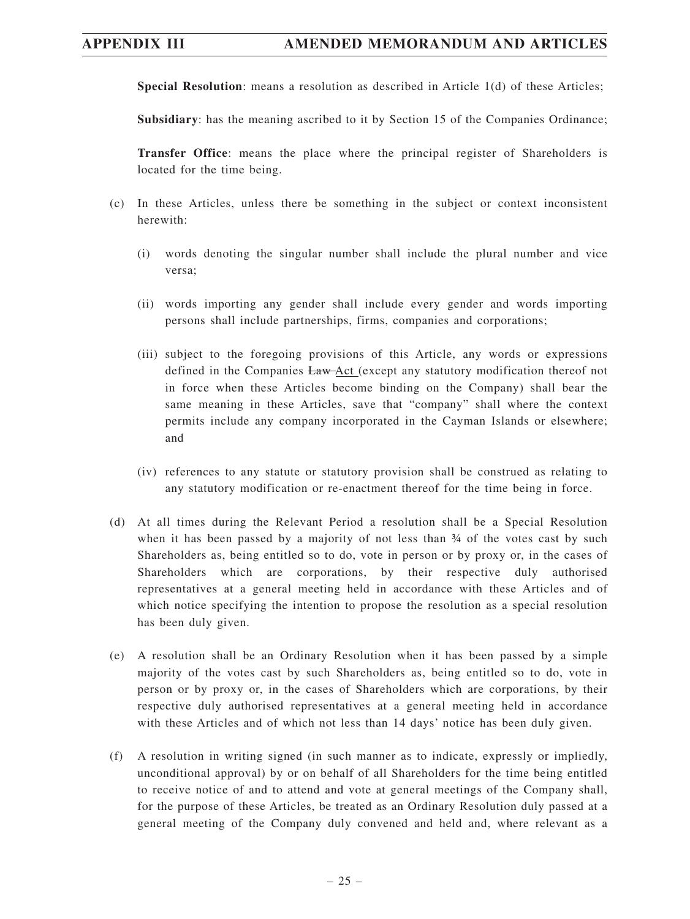## **APPENDIX III AMENDED MEMORANDUM AND ARTICLES**

**Special Resolution**: means a resolution as described in Article 1(d) of these Articles;

**Subsidiary**: has the meaning ascribed to it by Section 15 of the Companies Ordinance;

**Transfer Office**: means the place where the principal register of Shareholders is located for the time being.

- (c) In these Articles, unless there be something in the subject or context inconsistent herewith:
	- (i) words denoting the singular number shall include the plural number and vice versa;
	- (ii) words importing any gender shall include every gender and words importing persons shall include partnerships, firms, companies and corporations;
	- (iii) subject to the foregoing provisions of this Article, any words or expressions defined in the Companies Law-Act (except any statutory modification thereof not in force when these Articles become binding on the Company) shall bear the same meaning in these Articles, save that "company" shall where the context permits include any company incorporated in the Cayman Islands or elsewhere; and
	- (iv) references to any statute or statutory provision shall be construed as relating to any statutory modification or re-enactment thereof for the time being in force.
- (d) At all times during the Relevant Period a resolution shall be a Special Resolution when it has been passed by a majority of not less than  $\frac{3}{4}$  of the votes cast by such Shareholders as, being entitled so to do, vote in person or by proxy or, in the cases of Shareholders which are corporations, by their respective duly authorised representatives at a general meeting held in accordance with these Articles and of which notice specifying the intention to propose the resolution as a special resolution has been duly given.
- (e) A resolution shall be an Ordinary Resolution when it has been passed by a simple majority of the votes cast by such Shareholders as, being entitled so to do, vote in person or by proxy or, in the cases of Shareholders which are corporations, by their respective duly authorised representatives at a general meeting held in accordance with these Articles and of which not less than 14 days' notice has been duly given.
- (f) A resolution in writing signed (in such manner as to indicate, expressly or impliedly, unconditional approval) by or on behalf of all Shareholders for the time being entitled to receive notice of and to attend and vote at general meetings of the Company shall, for the purpose of these Articles, be treated as an Ordinary Resolution duly passed at a general meeting of the Company duly convened and held and, where relevant as a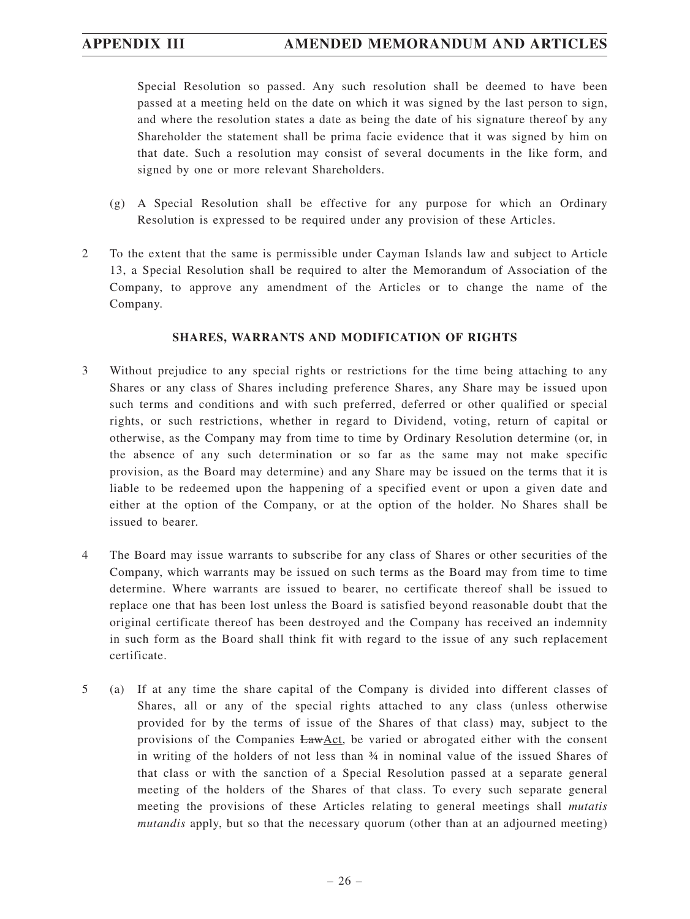Special Resolution so passed. Any such resolution shall be deemed to have been passed at a meeting held on the date on which it was signed by the last person to sign, and where the resolution states a date as being the date of his signature thereof by any Shareholder the statement shall be prima facie evidence that it was signed by him on that date. Such a resolution may consist of several documents in the like form, and signed by one or more relevant Shareholders.

- (g) A Special Resolution shall be effective for any purpose for which an Ordinary Resolution is expressed to be required under any provision of these Articles.
- 2 To the extent that the same is permissible under Cayman Islands law and subject to Article 13, a Special Resolution shall be required to alter the Memorandum of Association of the Company, to approve any amendment of the Articles or to change the name of the Company.

### **SHARES, WARRANTS AND MODIFICATION OF RIGHTS**

- 3 Without prejudice to any special rights or restrictions for the time being attaching to any Shares or any class of Shares including preference Shares, any Share may be issued upon such terms and conditions and with such preferred, deferred or other qualified or special rights, or such restrictions, whether in regard to Dividend, voting, return of capital or otherwise, as the Company may from time to time by Ordinary Resolution determine (or, in the absence of any such determination or so far as the same may not make specific provision, as the Board may determine) and any Share may be issued on the terms that it is liable to be redeemed upon the happening of a specified event or upon a given date and either at the option of the Company, or at the option of the holder. No Shares shall be issued to bearer.
- 4 The Board may issue warrants to subscribe for any class of Shares or other securities of the Company, which warrants may be issued on such terms as the Board may from time to time determine. Where warrants are issued to bearer, no certificate thereof shall be issued to replace one that has been lost unless the Board is satisfied beyond reasonable doubt that the original certificate thereof has been destroyed and the Company has received an indemnity in such form as the Board shall think fit with regard to the issue of any such replacement certificate.
- 5 (a) If at any time the share capital of the Company is divided into different classes of Shares, all or any of the special rights attached to any class (unless otherwise provided for by the terms of issue of the Shares of that class) may, subject to the provisions of the Companies LawAct, be varied or abrogated either with the consent in writing of the holders of not less than ¾ in nominal value of the issued Shares of that class or with the sanction of a Special Resolution passed at a separate general meeting of the holders of the Shares of that class. To every such separate general meeting the provisions of these Articles relating to general meetings shall *mutatis mutandis* apply, but so that the necessary quorum (other than at an adjourned meeting)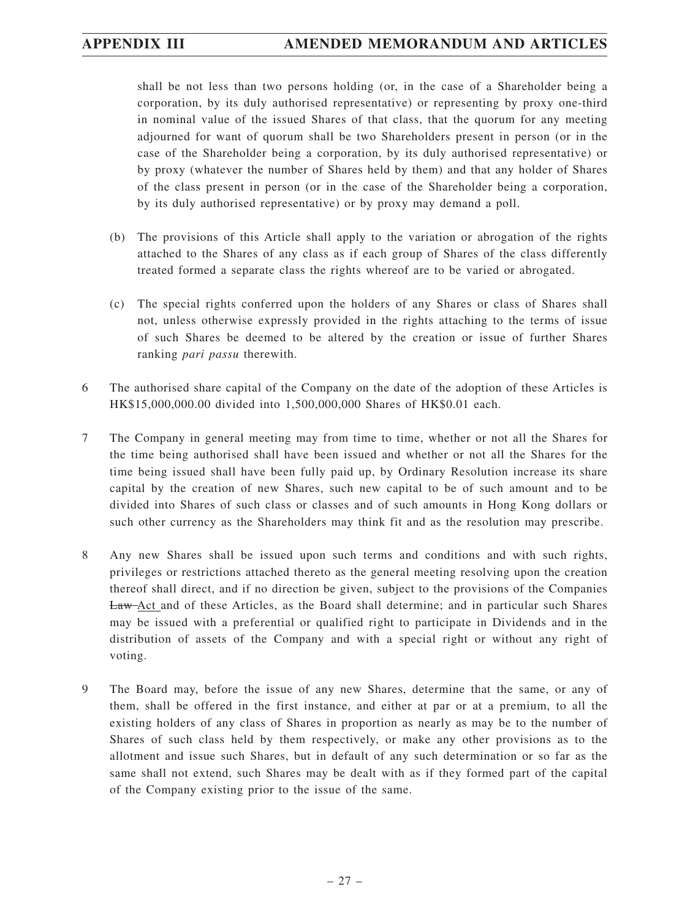shall be not less than two persons holding (or, in the case of a Shareholder being a corporation, by its duly authorised representative) or representing by proxy one-third in nominal value of the issued Shares of that class, that the quorum for any meeting adjourned for want of quorum shall be two Shareholders present in person (or in the case of the Shareholder being a corporation, by its duly authorised representative) or by proxy (whatever the number of Shares held by them) and that any holder of Shares of the class present in person (or in the case of the Shareholder being a corporation, by its duly authorised representative) or by proxy may demand a poll.

- (b) The provisions of this Article shall apply to the variation or abrogation of the rights attached to the Shares of any class as if each group of Shares of the class differently treated formed a separate class the rights whereof are to be varied or abrogated.
- (c) The special rights conferred upon the holders of any Shares or class of Shares shall not, unless otherwise expressly provided in the rights attaching to the terms of issue of such Shares be deemed to be altered by the creation or issue of further Shares ranking *pari passu* therewith.
- 6 The authorised share capital of the Company on the date of the adoption of these Articles is HK\$15,000,000.00 divided into 1,500,000,000 Shares of HK\$0.01 each.
- 7 The Company in general meeting may from time to time, whether or not all the Shares for the time being authorised shall have been issued and whether or not all the Shares for the time being issued shall have been fully paid up, by Ordinary Resolution increase its share capital by the creation of new Shares, such new capital to be of such amount and to be divided into Shares of such class or classes and of such amounts in Hong Kong dollars or such other currency as the Shareholders may think fit and as the resolution may prescribe.
- 8 Any new Shares shall be issued upon such terms and conditions and with such rights, privileges or restrictions attached thereto as the general meeting resolving upon the creation thereof shall direct, and if no direction be given, subject to the provisions of the Companies Law Act and of these Articles, as the Board shall determine; and in particular such Shares may be issued with a preferential or qualified right to participate in Dividends and in the distribution of assets of the Company and with a special right or without any right of voting.
- 9 The Board may, before the issue of any new Shares, determine that the same, or any of them, shall be offered in the first instance, and either at par or at a premium, to all the existing holders of any class of Shares in proportion as nearly as may be to the number of Shares of such class held by them respectively, or make any other provisions as to the allotment and issue such Shares, but in default of any such determination or so far as the same shall not extend, such Shares may be dealt with as if they formed part of the capital of the Company existing prior to the issue of the same.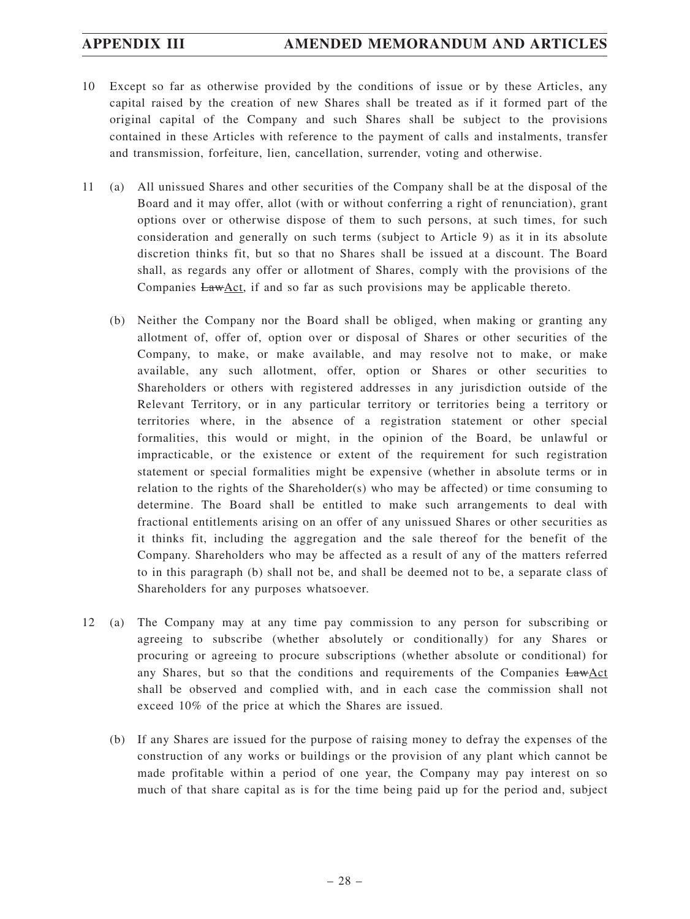- 10 Except so far as otherwise provided by the conditions of issue or by these Articles, any capital raised by the creation of new Shares shall be treated as if it formed part of the original capital of the Company and such Shares shall be subject to the provisions contained in these Articles with reference to the payment of calls and instalments, transfer and transmission, forfeiture, lien, cancellation, surrender, voting and otherwise.
- 11 (a) All unissued Shares and other securities of the Company shall be at the disposal of the Board and it may offer, allot (with or without conferring a right of renunciation), grant options over or otherwise dispose of them to such persons, at such times, for such consideration and generally on such terms (subject to Article 9) as it in its absolute discretion thinks fit, but so that no Shares shall be issued at a discount. The Board shall, as regards any offer or allotment of Shares, comply with the provisions of the Companies LawAct, if and so far as such provisions may be applicable thereto.
	- (b) Neither the Company nor the Board shall be obliged, when making or granting any allotment of, offer of, option over or disposal of Shares or other securities of the Company, to make, or make available, and may resolve not to make, or make available, any such allotment, offer, option or Shares or other securities to Shareholders or others with registered addresses in any jurisdiction outside of the Relevant Territory, or in any particular territory or territories being a territory or territories where, in the absence of a registration statement or other special formalities, this would or might, in the opinion of the Board, be unlawful or impracticable, or the existence or extent of the requirement for such registration statement or special formalities might be expensive (whether in absolute terms or in relation to the rights of the Shareholder(s) who may be affected) or time consuming to determine. The Board shall be entitled to make such arrangements to deal with fractional entitlements arising on an offer of any unissued Shares or other securities as it thinks fit, including the aggregation and the sale thereof for the benefit of the Company. Shareholders who may be affected as a result of any of the matters referred to in this paragraph (b) shall not be, and shall be deemed not to be, a separate class of Shareholders for any purposes whatsoever.
- 12 (a) The Company may at any time pay commission to any person for subscribing or agreeing to subscribe (whether absolutely or conditionally) for any Shares or procuring or agreeing to procure subscriptions (whether absolute or conditional) for any Shares, but so that the conditions and requirements of the Companies LawAct shall be observed and complied with, and in each case the commission shall not exceed 10% of the price at which the Shares are issued.
	- (b) If any Shares are issued for the purpose of raising money to defray the expenses of the construction of any works or buildings or the provision of any plant which cannot be made profitable within a period of one year, the Company may pay interest on so much of that share capital as is for the time being paid up for the period and, subject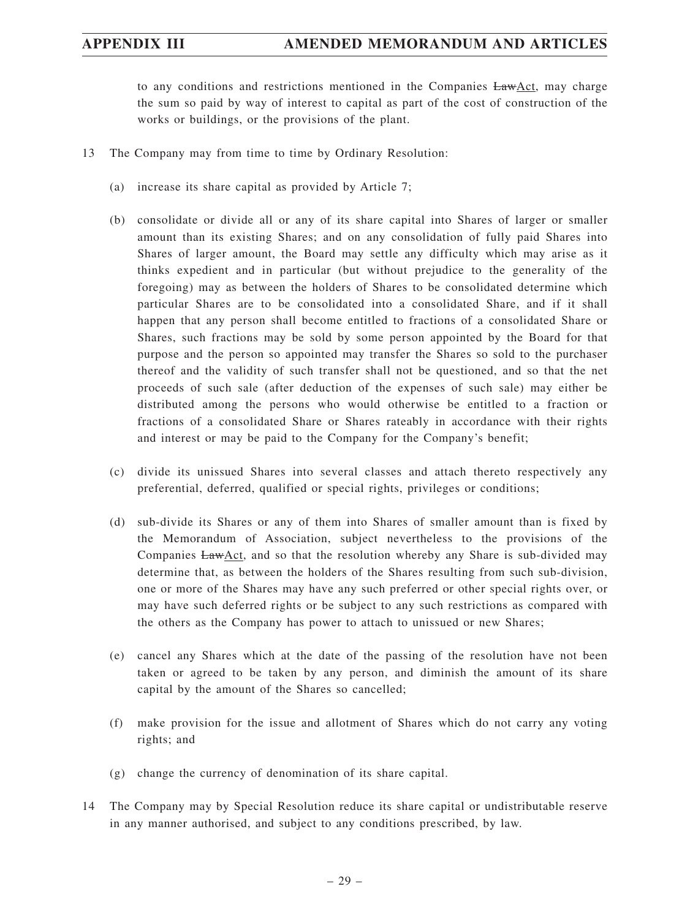## **APPENDIX III AMENDED MEMORANDUM AND ARTICLES**

to any conditions and restrictions mentioned in the Companies LawAct, may charge the sum so paid by way of interest to capital as part of the cost of construction of the works or buildings, or the provisions of the plant.

- 13 The Company may from time to time by Ordinary Resolution:
	- (a) increase its share capital as provided by Article 7;
	- (b) consolidate or divide all or any of its share capital into Shares of larger or smaller amount than its existing Shares; and on any consolidation of fully paid Shares into Shares of larger amount, the Board may settle any difficulty which may arise as it thinks expedient and in particular (but without prejudice to the generality of the foregoing) may as between the holders of Shares to be consolidated determine which particular Shares are to be consolidated into a consolidated Share, and if it shall happen that any person shall become entitled to fractions of a consolidated Share or Shares, such fractions may be sold by some person appointed by the Board for that purpose and the person so appointed may transfer the Shares so sold to the purchaser thereof and the validity of such transfer shall not be questioned, and so that the net proceeds of such sale (after deduction of the expenses of such sale) may either be distributed among the persons who would otherwise be entitled to a fraction or fractions of a consolidated Share or Shares rateably in accordance with their rights and interest or may be paid to the Company for the Company's benefit;
	- (c) divide its unissued Shares into several classes and attach thereto respectively any preferential, deferred, qualified or special rights, privileges or conditions;
	- (d) sub-divide its Shares or any of them into Shares of smaller amount than is fixed by the Memorandum of Association, subject nevertheless to the provisions of the Companies LawAct, and so that the resolution whereby any Share is sub-divided may determine that, as between the holders of the Shares resulting from such sub-division, one or more of the Shares may have any such preferred or other special rights over, or may have such deferred rights or be subject to any such restrictions as compared with the others as the Company has power to attach to unissued or new Shares;
	- (e) cancel any Shares which at the date of the passing of the resolution have not been taken or agreed to be taken by any person, and diminish the amount of its share capital by the amount of the Shares so cancelled;
	- (f) make provision for the issue and allotment of Shares which do not carry any voting rights; and
	- (g) change the currency of denomination of its share capital.
- 14 The Company may by Special Resolution reduce its share capital or undistributable reserve in any manner authorised, and subject to any conditions prescribed, by law.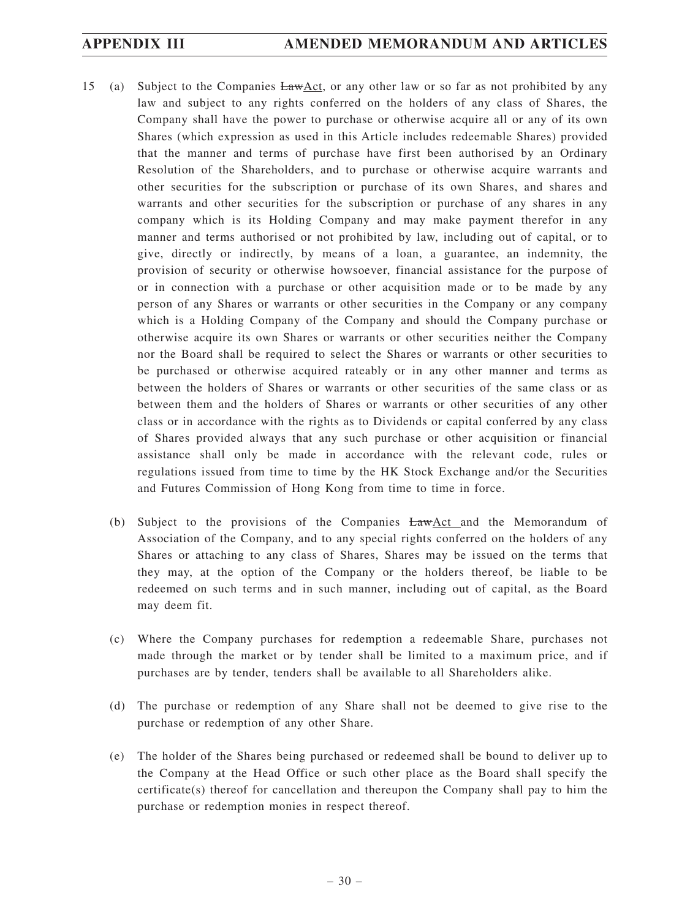- 15 (a) Subject to the Companies LawAct, or any other law or so far as not prohibited by any law and subject to any rights conferred on the holders of any class of Shares, the Company shall have the power to purchase or otherwise acquire all or any of its own Shares (which expression as used in this Article includes redeemable Shares) provided that the manner and terms of purchase have first been authorised by an Ordinary Resolution of the Shareholders, and to purchase or otherwise acquire warrants and other securities for the subscription or purchase of its own Shares, and shares and warrants and other securities for the subscription or purchase of any shares in any company which is its Holding Company and may make payment therefor in any manner and terms authorised or not prohibited by law, including out of capital, or to give, directly or indirectly, by means of a loan, a guarantee, an indemnity, the provision of security or otherwise howsoever, financial assistance for the purpose of or in connection with a purchase or other acquisition made or to be made by any person of any Shares or warrants or other securities in the Company or any company which is a Holding Company of the Company and should the Company purchase or otherwise acquire its own Shares or warrants or other securities neither the Company nor the Board shall be required to select the Shares or warrants or other securities to be purchased or otherwise acquired rateably or in any other manner and terms as between the holders of Shares or warrants or other securities of the same class or as between them and the holders of Shares or warrants or other securities of any other class or in accordance with the rights as to Dividends or capital conferred by any class of Shares provided always that any such purchase or other acquisition or financial assistance shall only be made in accordance with the relevant code, rules or regulations issued from time to time by the HK Stock Exchange and/or the Securities and Futures Commission of Hong Kong from time to time in force.
	- (b) Subject to the provisions of the Companies  $EawAct$  and the Memorandum of Association of the Company, and to any special rights conferred on the holders of any Shares or attaching to any class of Shares, Shares may be issued on the terms that they may, at the option of the Company or the holders thereof, be liable to be redeemed on such terms and in such manner, including out of capital, as the Board may deem fit.
	- (c) Where the Company purchases for redemption a redeemable Share, purchases not made through the market or by tender shall be limited to a maximum price, and if purchases are by tender, tenders shall be available to all Shareholders alike.
	- (d) The purchase or redemption of any Share shall not be deemed to give rise to the purchase or redemption of any other Share.
	- (e) The holder of the Shares being purchased or redeemed shall be bound to deliver up to the Company at the Head Office or such other place as the Board shall specify the certificate(s) thereof for cancellation and thereupon the Company shall pay to him the purchase or redemption monies in respect thereof.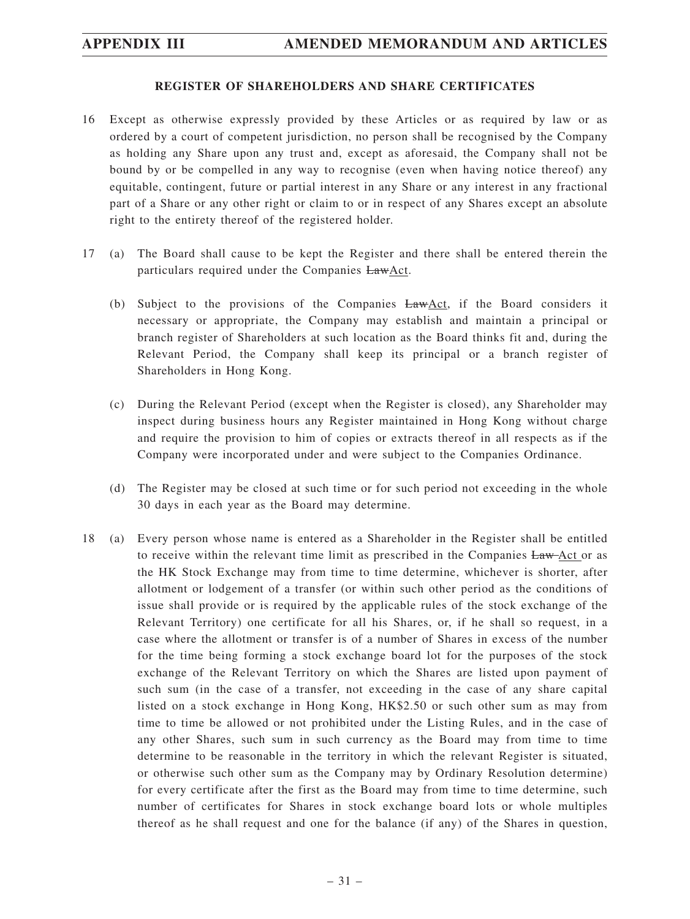#### **REGISTER OF SHAREHOLDERS AND SHARE CERTIFICATES**

- 16 Except as otherwise expressly provided by these Articles or as required by law or as ordered by a court of competent jurisdiction, no person shall be recognised by the Company as holding any Share upon any trust and, except as aforesaid, the Company shall not be bound by or be compelled in any way to recognise (even when having notice thereof) any equitable, contingent, future or partial interest in any Share or any interest in any fractional part of a Share or any other right or claim to or in respect of any Shares except an absolute right to the entirety thereof of the registered holder.
- 17 (a) The Board shall cause to be kept the Register and there shall be entered therein the particulars required under the Companies LawAct.
	- (b) Subject to the provisions of the Companies  $LawAct$ , if the Board considers it necessary or appropriate, the Company may establish and maintain a principal or branch register of Shareholders at such location as the Board thinks fit and, during the Relevant Period, the Company shall keep its principal or a branch register of Shareholders in Hong Kong.
	- (c) During the Relevant Period (except when the Register is closed), any Shareholder may inspect during business hours any Register maintained in Hong Kong without charge and require the provision to him of copies or extracts thereof in all respects as if the Company were incorporated under and were subject to the Companies Ordinance.
	- (d) The Register may be closed at such time or for such period not exceeding in the whole 30 days in each year as the Board may determine.
- 18 (a) Every person whose name is entered as a Shareholder in the Register shall be entitled to receive within the relevant time limit as prescribed in the Companies Law-Act or as the HK Stock Exchange may from time to time determine, whichever is shorter, after allotment or lodgement of a transfer (or within such other period as the conditions of issue shall provide or is required by the applicable rules of the stock exchange of the Relevant Territory) one certificate for all his Shares, or, if he shall so request, in a case where the allotment or transfer is of a number of Shares in excess of the number for the time being forming a stock exchange board lot for the purposes of the stock exchange of the Relevant Territory on which the Shares are listed upon payment of such sum (in the case of a transfer, not exceeding in the case of any share capital listed on a stock exchange in Hong Kong, HK\$2.50 or such other sum as may from time to time be allowed or not prohibited under the Listing Rules, and in the case of any other Shares, such sum in such currency as the Board may from time to time determine to be reasonable in the territory in which the relevant Register is situated, or otherwise such other sum as the Company may by Ordinary Resolution determine) for every certificate after the first as the Board may from time to time determine, such number of certificates for Shares in stock exchange board lots or whole multiples thereof as he shall request and one for the balance (if any) of the Shares in question,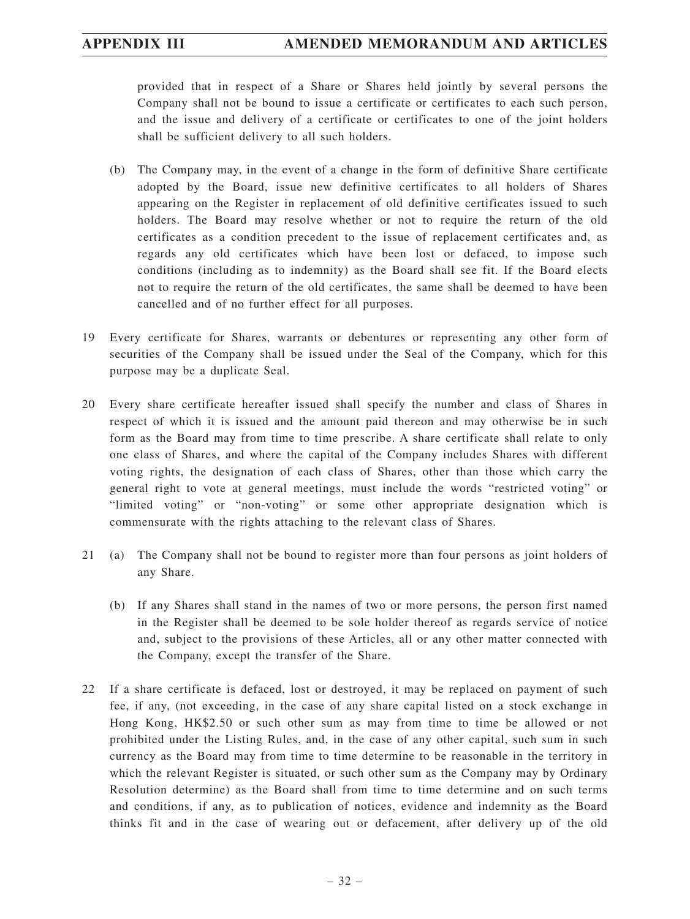provided that in respect of a Share or Shares held jointly by several persons the Company shall not be bound to issue a certificate or certificates to each such person, and the issue and delivery of a certificate or certificates to one of the joint holders shall be sufficient delivery to all such holders.

- (b) The Company may, in the event of a change in the form of definitive Share certificate adopted by the Board, issue new definitive certificates to all holders of Shares appearing on the Register in replacement of old definitive certificates issued to such holders. The Board may resolve whether or not to require the return of the old certificates as a condition precedent to the issue of replacement certificates and, as regards any old certificates which have been lost or defaced, to impose such conditions (including as to indemnity) as the Board shall see fit. If the Board elects not to require the return of the old certificates, the same shall be deemed to have been cancelled and of no further effect for all purposes.
- 19 Every certificate for Shares, warrants or debentures or representing any other form of securities of the Company shall be issued under the Seal of the Company, which for this purpose may be a duplicate Seal.
- 20 Every share certificate hereafter issued shall specify the number and class of Shares in respect of which it is issued and the amount paid thereon and may otherwise be in such form as the Board may from time to time prescribe. A share certificate shall relate to only one class of Shares, and where the capital of the Company includes Shares with different voting rights, the designation of each class of Shares, other than those which carry the general right to vote at general meetings, must include the words "restricted voting" or "limited voting" or "non-voting" or some other appropriate designation which is commensurate with the rights attaching to the relevant class of Shares.
- 21 (a) The Company shall not be bound to register more than four persons as joint holders of any Share.
	- (b) If any Shares shall stand in the names of two or more persons, the person first named in the Register shall be deemed to be sole holder thereof as regards service of notice and, subject to the provisions of these Articles, all or any other matter connected with the Company, except the transfer of the Share.
- 22 If a share certificate is defaced, lost or destroyed, it may be replaced on payment of such fee, if any, (not exceeding, in the case of any share capital listed on a stock exchange in Hong Kong, HK\$2.50 or such other sum as may from time to time be allowed or not prohibited under the Listing Rules, and, in the case of any other capital, such sum in such currency as the Board may from time to time determine to be reasonable in the territory in which the relevant Register is situated, or such other sum as the Company may by Ordinary Resolution determine) as the Board shall from time to time determine and on such terms and conditions, if any, as to publication of notices, evidence and indemnity as the Board thinks fit and in the case of wearing out or defacement, after delivery up of the old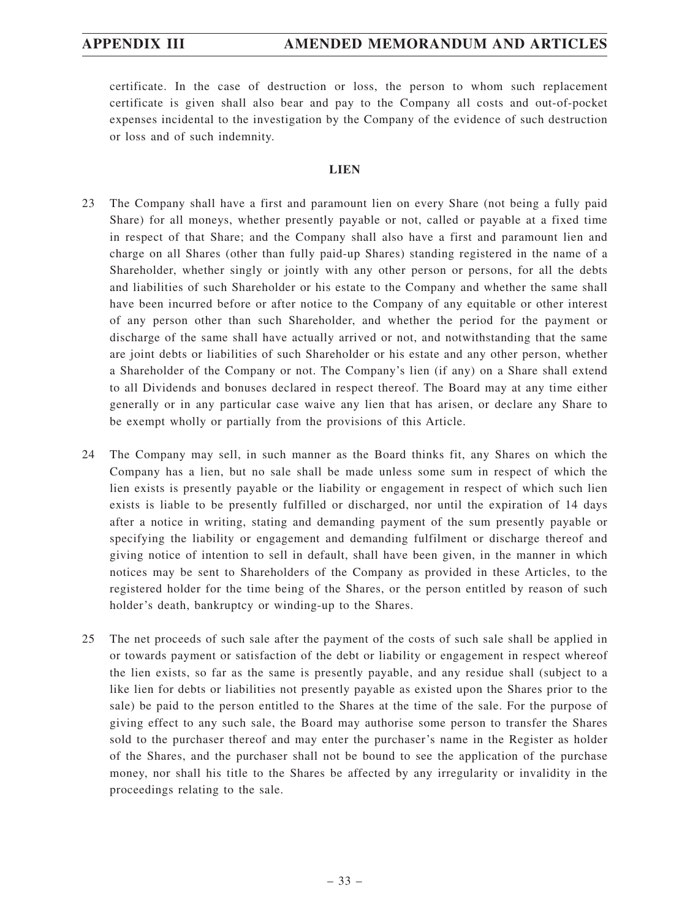certificate. In the case of destruction or loss, the person to whom such replacement certificate is given shall also bear and pay to the Company all costs and out-of-pocket expenses incidental to the investigation by the Company of the evidence of such destruction or loss and of such indemnity.

## **LIEN**

- 23 The Company shall have a first and paramount lien on every Share (not being a fully paid Share) for all moneys, whether presently payable or not, called or payable at a fixed time in respect of that Share; and the Company shall also have a first and paramount lien and charge on all Shares (other than fully paid-up Shares) standing registered in the name of a Shareholder, whether singly or jointly with any other person or persons, for all the debts and liabilities of such Shareholder or his estate to the Company and whether the same shall have been incurred before or after notice to the Company of any equitable or other interest of any person other than such Shareholder, and whether the period for the payment or discharge of the same shall have actually arrived or not, and notwithstanding that the same are joint debts or liabilities of such Shareholder or his estate and any other person, whether a Shareholder of the Company or not. The Company's lien (if any) on a Share shall extend to all Dividends and bonuses declared in respect thereof. The Board may at any time either generally or in any particular case waive any lien that has arisen, or declare any Share to be exempt wholly or partially from the provisions of this Article.
- 24 The Company may sell, in such manner as the Board thinks fit, any Shares on which the Company has a lien, but no sale shall be made unless some sum in respect of which the lien exists is presently payable or the liability or engagement in respect of which such lien exists is liable to be presently fulfilled or discharged, nor until the expiration of 14 days after a notice in writing, stating and demanding payment of the sum presently payable or specifying the liability or engagement and demanding fulfilment or discharge thereof and giving notice of intention to sell in default, shall have been given, in the manner in which notices may be sent to Shareholders of the Company as provided in these Articles, to the registered holder for the time being of the Shares, or the person entitled by reason of such holder's death, bankruptcy or winding-up to the Shares.
- 25 The net proceeds of such sale after the payment of the costs of such sale shall be applied in or towards payment or satisfaction of the debt or liability or engagement in respect whereof the lien exists, so far as the same is presently payable, and any residue shall (subject to a like lien for debts or liabilities not presently payable as existed upon the Shares prior to the sale) be paid to the person entitled to the Shares at the time of the sale. For the purpose of giving effect to any such sale, the Board may authorise some person to transfer the Shares sold to the purchaser thereof and may enter the purchaser's name in the Register as holder of the Shares, and the purchaser shall not be bound to see the application of the purchase money, nor shall his title to the Shares be affected by any irregularity or invalidity in the proceedings relating to the sale.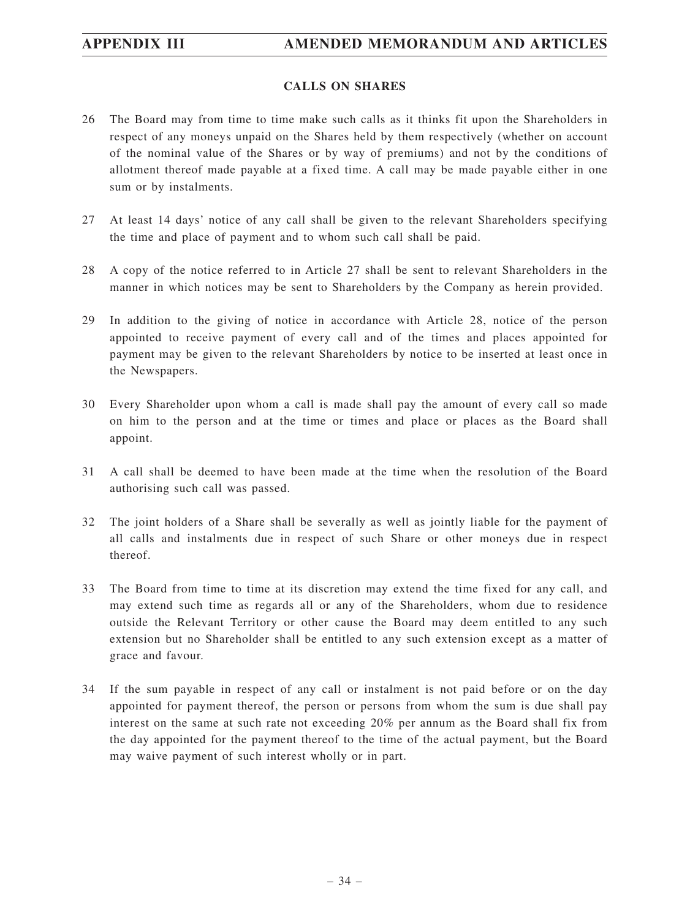# **APPENDIX III AMENDED MEMORANDUM AND ARTICLES**

## **CALLS ON SHARES**

- 26 The Board may from time to time make such calls as it thinks fit upon the Shareholders in respect of any moneys unpaid on the Shares held by them respectively (whether on account of the nominal value of the Shares or by way of premiums) and not by the conditions of allotment thereof made payable at a fixed time. A call may be made payable either in one sum or by instalments.
- 27 At least 14 days' notice of any call shall be given to the relevant Shareholders specifying the time and place of payment and to whom such call shall be paid.
- 28 A copy of the notice referred to in Article 27 shall be sent to relevant Shareholders in the manner in which notices may be sent to Shareholders by the Company as herein provided.
- 29 In addition to the giving of notice in accordance with Article 28, notice of the person appointed to receive payment of every call and of the times and places appointed for payment may be given to the relevant Shareholders by notice to be inserted at least once in the Newspapers.
- 30 Every Shareholder upon whom a call is made shall pay the amount of every call so made on him to the person and at the time or times and place or places as the Board shall appoint.
- 31 A call shall be deemed to have been made at the time when the resolution of the Board authorising such call was passed.
- 32 The joint holders of a Share shall be severally as well as jointly liable for the payment of all calls and instalments due in respect of such Share or other moneys due in respect thereof.
- 33 The Board from time to time at its discretion may extend the time fixed for any call, and may extend such time as regards all or any of the Shareholders, whom due to residence outside the Relevant Territory or other cause the Board may deem entitled to any such extension but no Shareholder shall be entitled to any such extension except as a matter of grace and favour.
- 34 If the sum payable in respect of any call or instalment is not paid before or on the day appointed for payment thereof, the person or persons from whom the sum is due shall pay interest on the same at such rate not exceeding 20% per annum as the Board shall fix from the day appointed for the payment thereof to the time of the actual payment, but the Board may waive payment of such interest wholly or in part.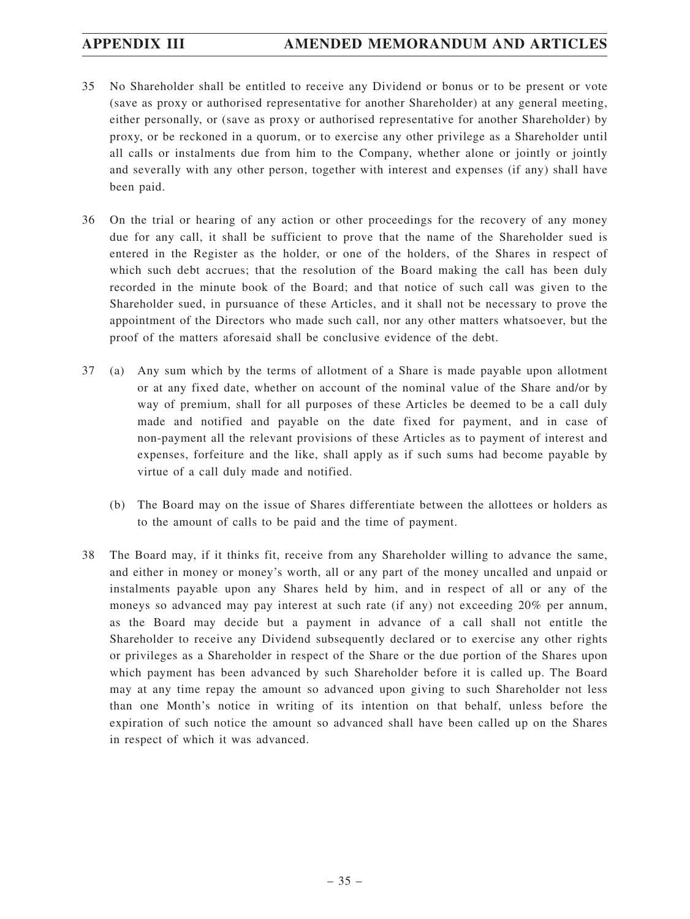- 35 No Shareholder shall be entitled to receive any Dividend or bonus or to be present or vote (save as proxy or authorised representative for another Shareholder) at any general meeting, either personally, or (save as proxy or authorised representative for another Shareholder) by proxy, or be reckoned in a quorum, or to exercise any other privilege as a Shareholder until all calls or instalments due from him to the Company, whether alone or jointly or jointly and severally with any other person, together with interest and expenses (if any) shall have been paid.
- 36 On the trial or hearing of any action or other proceedings for the recovery of any money due for any call, it shall be sufficient to prove that the name of the Shareholder sued is entered in the Register as the holder, or one of the holders, of the Shares in respect of which such debt accrues; that the resolution of the Board making the call has been duly recorded in the minute book of the Board; and that notice of such call was given to the Shareholder sued, in pursuance of these Articles, and it shall not be necessary to prove the appointment of the Directors who made such call, nor any other matters whatsoever, but the proof of the matters aforesaid shall be conclusive evidence of the debt.
- 37 (a) Any sum which by the terms of allotment of a Share is made payable upon allotment or at any fixed date, whether on account of the nominal value of the Share and/or by way of premium, shall for all purposes of these Articles be deemed to be a call duly made and notified and payable on the date fixed for payment, and in case of non-payment all the relevant provisions of these Articles as to payment of interest and expenses, forfeiture and the like, shall apply as if such sums had become payable by virtue of a call duly made and notified.
	- (b) The Board may on the issue of Shares differentiate between the allottees or holders as to the amount of calls to be paid and the time of payment.
- 38 The Board may, if it thinks fit, receive from any Shareholder willing to advance the same, and either in money or money's worth, all or any part of the money uncalled and unpaid or instalments payable upon any Shares held by him, and in respect of all or any of the moneys so advanced may pay interest at such rate (if any) not exceeding 20% per annum, as the Board may decide but a payment in advance of a call shall not entitle the Shareholder to receive any Dividend subsequently declared or to exercise any other rights or privileges as a Shareholder in respect of the Share or the due portion of the Shares upon which payment has been advanced by such Shareholder before it is called up. The Board may at any time repay the amount so advanced upon giving to such Shareholder not less than one Month's notice in writing of its intention on that behalf, unless before the expiration of such notice the amount so advanced shall have been called up on the Shares in respect of which it was advanced.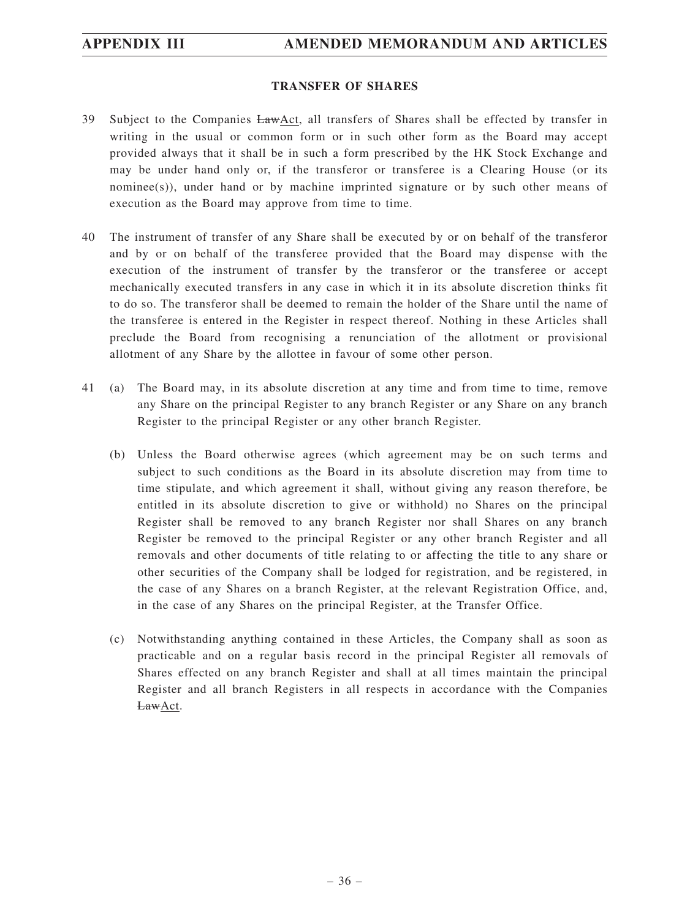## **TRANSFER OF SHARES**

- 39 Subject to the Companies LawAct, all transfers of Shares shall be effected by transfer in writing in the usual or common form or in such other form as the Board may accept provided always that it shall be in such a form prescribed by the HK Stock Exchange and may be under hand only or, if the transferor or transferee is a Clearing House (or its nominee(s)), under hand or by machine imprinted signature or by such other means of execution as the Board may approve from time to time.
- 40 The instrument of transfer of any Share shall be executed by or on behalf of the transferor and by or on behalf of the transferee provided that the Board may dispense with the execution of the instrument of transfer by the transferor or the transferee or accept mechanically executed transfers in any case in which it in its absolute discretion thinks fit to do so. The transferor shall be deemed to remain the holder of the Share until the name of the transferee is entered in the Register in respect thereof. Nothing in these Articles shall preclude the Board from recognising a renunciation of the allotment or provisional allotment of any Share by the allottee in favour of some other person.
- 41 (a) The Board may, in its absolute discretion at any time and from time to time, remove any Share on the principal Register to any branch Register or any Share on any branch Register to the principal Register or any other branch Register.
	- (b) Unless the Board otherwise agrees (which agreement may be on such terms and subject to such conditions as the Board in its absolute discretion may from time to time stipulate, and which agreement it shall, without giving any reason therefore, be entitled in its absolute discretion to give or withhold) no Shares on the principal Register shall be removed to any branch Register nor shall Shares on any branch Register be removed to the principal Register or any other branch Register and all removals and other documents of title relating to or affecting the title to any share or other securities of the Company shall be lodged for registration, and be registered, in the case of any Shares on a branch Register, at the relevant Registration Office, and, in the case of any Shares on the principal Register, at the Transfer Office.
	- (c) Notwithstanding anything contained in these Articles, the Company shall as soon as practicable and on a regular basis record in the principal Register all removals of Shares effected on any branch Register and shall at all times maintain the principal Register and all branch Registers in all respects in accordance with the Companies LawAct.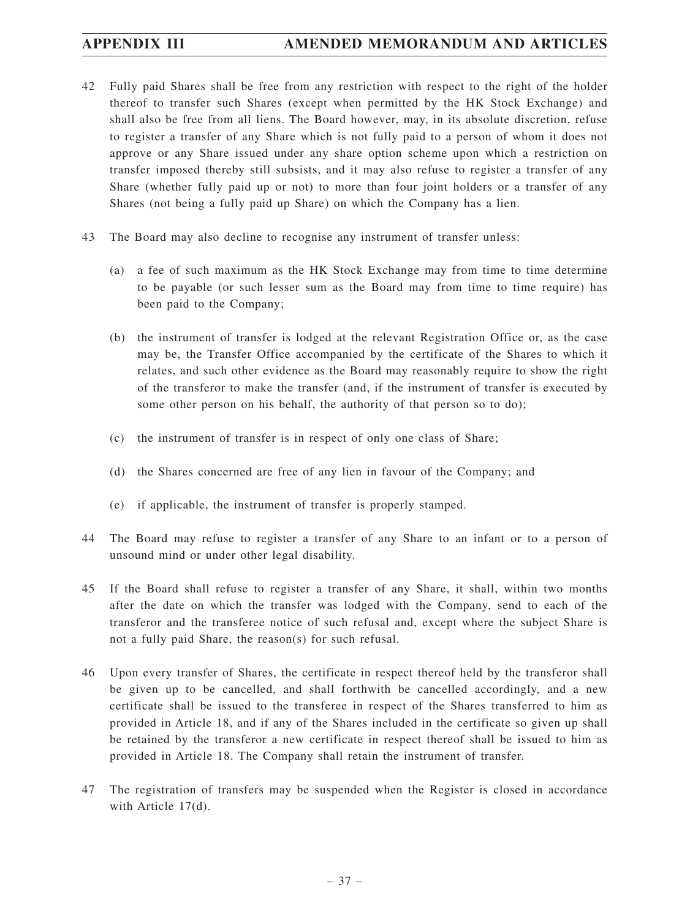- 42 Fully paid Shares shall be free from any restriction with respect to the right of the holder thereof to transfer such Shares (except when permitted by the HK Stock Exchange) and shall also be free from all liens. The Board however, may, in its absolute discretion, refuse to register a transfer of any Share which is not fully paid to a person of whom it does not approve or any Share issued under any share option scheme upon which a restriction on transfer imposed thereby still subsists, and it may also refuse to register a transfer of any Share (whether fully paid up or not) to more than four joint holders or a transfer of any Shares (not being a fully paid up Share) on which the Company has a lien.
- 43 The Board may also decline to recognise any instrument of transfer unless:
	- (a) a fee of such maximum as the HK Stock Exchange may from time to time determine to be payable (or such lesser sum as the Board may from time to time require) has been paid to the Company;
	- (b) the instrument of transfer is lodged at the relevant Registration Office or, as the case may be, the Transfer Office accompanied by the certificate of the Shares to which it relates, and such other evidence as the Board may reasonably require to show the right of the transferor to make the transfer (and, if the instrument of transfer is executed by some other person on his behalf, the authority of that person so to do);
	- (c) the instrument of transfer is in respect of only one class of Share;
	- (d) the Shares concerned are free of any lien in favour of the Company; and
	- (e) if applicable, the instrument of transfer is properly stamped.
- 44 The Board may refuse to register a transfer of any Share to an infant or to a person of unsound mind or under other legal disability.
- 45 If the Board shall refuse to register a transfer of any Share, it shall, within two months after the date on which the transfer was lodged with the Company, send to each of the transferor and the transferee notice of such refusal and, except where the subject Share is not a fully paid Share, the reason(s) for such refusal.
- 46 Upon every transfer of Shares, the certificate in respect thereof held by the transferor shall be given up to be cancelled, and shall forthwith be cancelled accordingly, and a new certificate shall be issued to the transferee in respect of the Shares transferred to him as provided in Article 18, and if any of the Shares included in the certificate so given up shall be retained by the transferor a new certificate in respect thereof shall be issued to him as provided in Article 18. The Company shall retain the instrument of transfer.
- 47 The registration of transfers may be suspended when the Register is closed in accordance with Article 17(d).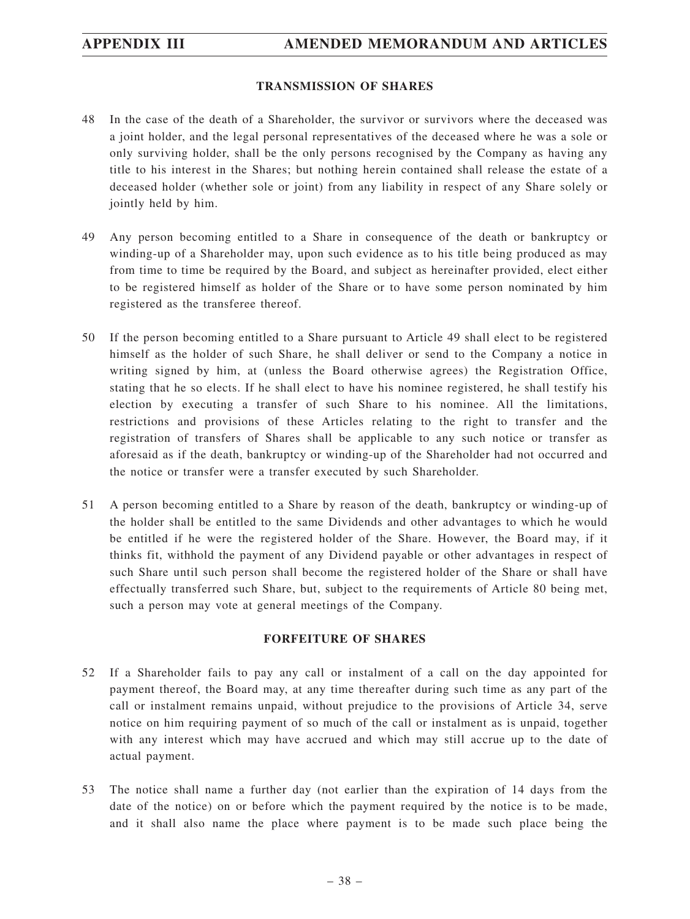## **TRANSMISSION OF SHARES**

- 48 In the case of the death of a Shareholder, the survivor or survivors where the deceased was a joint holder, and the legal personal representatives of the deceased where he was a sole or only surviving holder, shall be the only persons recognised by the Company as having any title to his interest in the Shares; but nothing herein contained shall release the estate of a deceased holder (whether sole or joint) from any liability in respect of any Share solely or jointly held by him.
- 49 Any person becoming entitled to a Share in consequence of the death or bankruptcy or winding-up of a Shareholder may, upon such evidence as to his title being produced as may from time to time be required by the Board, and subject as hereinafter provided, elect either to be registered himself as holder of the Share or to have some person nominated by him registered as the transferee thereof.
- 50 If the person becoming entitled to a Share pursuant to Article 49 shall elect to be registered himself as the holder of such Share, he shall deliver or send to the Company a notice in writing signed by him, at (unless the Board otherwise agrees) the Registration Office, stating that he so elects. If he shall elect to have his nominee registered, he shall testify his election by executing a transfer of such Share to his nominee. All the limitations, restrictions and provisions of these Articles relating to the right to transfer and the registration of transfers of Shares shall be applicable to any such notice or transfer as aforesaid as if the death, bankruptcy or winding-up of the Shareholder had not occurred and the notice or transfer were a transfer executed by such Shareholder.
- 51 A person becoming entitled to a Share by reason of the death, bankruptcy or winding-up of the holder shall be entitled to the same Dividends and other advantages to which he would be entitled if he were the registered holder of the Share. However, the Board may, if it thinks fit, withhold the payment of any Dividend payable or other advantages in respect of such Share until such person shall become the registered holder of the Share or shall have effectually transferred such Share, but, subject to the requirements of Article 80 being met, such a person may vote at general meetings of the Company.

## **FORFEITURE OF SHARES**

- 52 If a Shareholder fails to pay any call or instalment of a call on the day appointed for payment thereof, the Board may, at any time thereafter during such time as any part of the call or instalment remains unpaid, without prejudice to the provisions of Article 34, serve notice on him requiring payment of so much of the call or instalment as is unpaid, together with any interest which may have accrued and which may still accrue up to the date of actual payment.
- 53 The notice shall name a further day (not earlier than the expiration of 14 days from the date of the notice) on or before which the payment required by the notice is to be made, and it shall also name the place where payment is to be made such place being the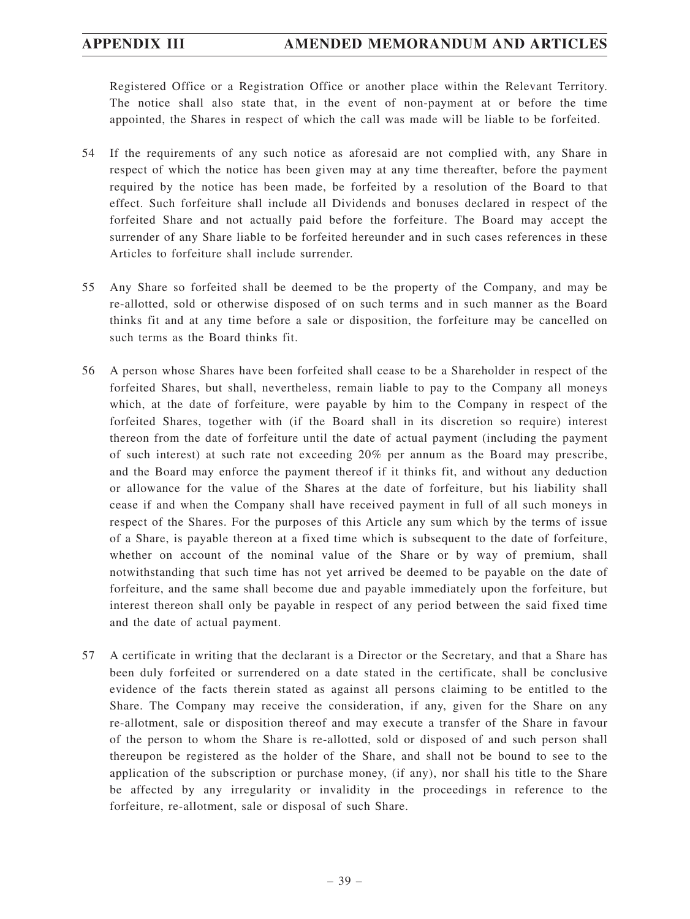Registered Office or a Registration Office or another place within the Relevant Territory. The notice shall also state that, in the event of non-payment at or before the time appointed, the Shares in respect of which the call was made will be liable to be forfeited.

- 54 If the requirements of any such notice as aforesaid are not complied with, any Share in respect of which the notice has been given may at any time thereafter, before the payment required by the notice has been made, be forfeited by a resolution of the Board to that effect. Such forfeiture shall include all Dividends and bonuses declared in respect of the forfeited Share and not actually paid before the forfeiture. The Board may accept the surrender of any Share liable to be forfeited hereunder and in such cases references in these Articles to forfeiture shall include surrender.
- 55 Any Share so forfeited shall be deemed to be the property of the Company, and may be re-allotted, sold or otherwise disposed of on such terms and in such manner as the Board thinks fit and at any time before a sale or disposition, the forfeiture may be cancelled on such terms as the Board thinks fit.
- 56 A person whose Shares have been forfeited shall cease to be a Shareholder in respect of the forfeited Shares, but shall, nevertheless, remain liable to pay to the Company all moneys which, at the date of forfeiture, were payable by him to the Company in respect of the forfeited Shares, together with (if the Board shall in its discretion so require) interest thereon from the date of forfeiture until the date of actual payment (including the payment of such interest) at such rate not exceeding 20% per annum as the Board may prescribe, and the Board may enforce the payment thereof if it thinks fit, and without any deduction or allowance for the value of the Shares at the date of forfeiture, but his liability shall cease if and when the Company shall have received payment in full of all such moneys in respect of the Shares. For the purposes of this Article any sum which by the terms of issue of a Share, is payable thereon at a fixed time which is subsequent to the date of forfeiture, whether on account of the nominal value of the Share or by way of premium, shall notwithstanding that such time has not yet arrived be deemed to be payable on the date of forfeiture, and the same shall become due and payable immediately upon the forfeiture, but interest thereon shall only be payable in respect of any period between the said fixed time and the date of actual payment.
- 57 A certificate in writing that the declarant is a Director or the Secretary, and that a Share has been duly forfeited or surrendered on a date stated in the certificate, shall be conclusive evidence of the facts therein stated as against all persons claiming to be entitled to the Share. The Company may receive the consideration, if any, given for the Share on any re-allotment, sale or disposition thereof and may execute a transfer of the Share in favour of the person to whom the Share is re-allotted, sold or disposed of and such person shall thereupon be registered as the holder of the Share, and shall not be bound to see to the application of the subscription or purchase money, (if any), nor shall his title to the Share be affected by any irregularity or invalidity in the proceedings in reference to the forfeiture, re-allotment, sale or disposal of such Share.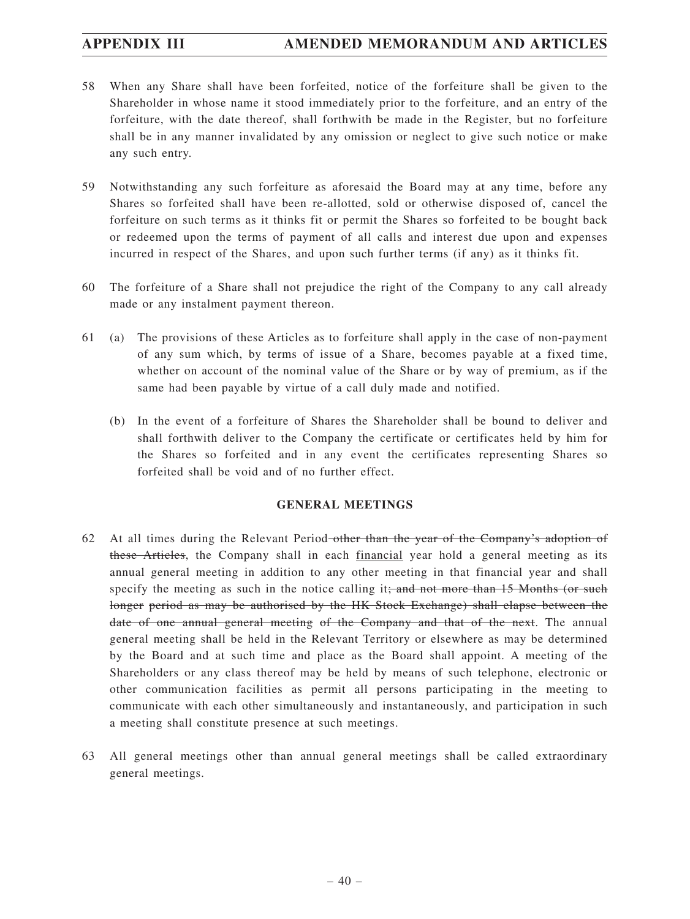- 58 When any Share shall have been forfeited, notice of the forfeiture shall be given to the Shareholder in whose name it stood immediately prior to the forfeiture, and an entry of the forfeiture, with the date thereof, shall forthwith be made in the Register, but no forfeiture shall be in any manner invalidated by any omission or neglect to give such notice or make any such entry.
- 59 Notwithstanding any such forfeiture as aforesaid the Board may at any time, before any Shares so forfeited shall have been re-allotted, sold or otherwise disposed of, cancel the forfeiture on such terms as it thinks fit or permit the Shares so forfeited to be bought back or redeemed upon the terms of payment of all calls and interest due upon and expenses incurred in respect of the Shares, and upon such further terms (if any) as it thinks fit.
- 60 The forfeiture of a Share shall not prejudice the right of the Company to any call already made or any instalment payment thereon.
- 61 (a) The provisions of these Articles as to forfeiture shall apply in the case of non-payment of any sum which, by terms of issue of a Share, becomes payable at a fixed time, whether on account of the nominal value of the Share or by way of premium, as if the same had been payable by virtue of a call duly made and notified.
	- (b) In the event of a forfeiture of Shares the Shareholder shall be bound to deliver and shall forthwith deliver to the Company the certificate or certificates held by him for the Shares so forfeited and in any event the certificates representing Shares so forfeited shall be void and of no further effect.

## **GENERAL MEETINGS**

- 62 At all times during the Relevant Period other than the year of the Company's adoption of these Articles, the Company shall in each financial year hold a general meeting as its annual general meeting in addition to any other meeting in that financial year and shall specify the meeting as such in the notice calling it; and not more than  $15$  Months (or such longer period as may be authorised by the HK Stock Exchange) shall elapse between the date of one annual general meeting of the Company and that of the next. The annual general meeting shall be held in the Relevant Territory or elsewhere as may be determined by the Board and at such time and place as the Board shall appoint. A meeting of the Shareholders or any class thereof may be held by means of such telephone, electronic or other communication facilities as permit all persons participating in the meeting to communicate with each other simultaneously and instantaneously, and participation in such a meeting shall constitute presence at such meetings.
- 63 All general meetings other than annual general meetings shall be called extraordinary general meetings.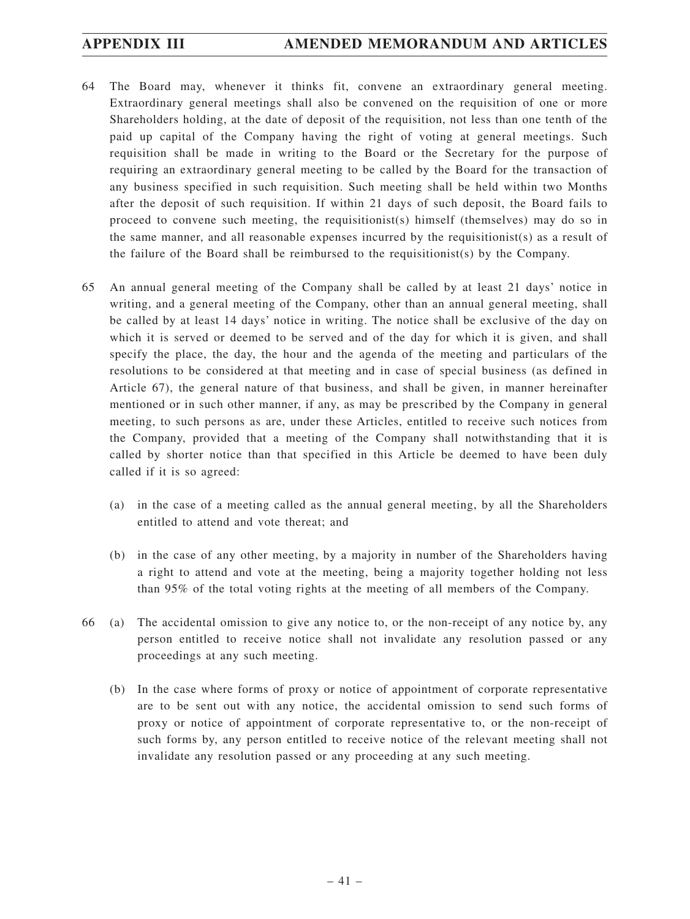- 64 The Board may, whenever it thinks fit, convene an extraordinary general meeting. Extraordinary general meetings shall also be convened on the requisition of one or more Shareholders holding, at the date of deposit of the requisition, not less than one tenth of the paid up capital of the Company having the right of voting at general meetings. Such requisition shall be made in writing to the Board or the Secretary for the purpose of requiring an extraordinary general meeting to be called by the Board for the transaction of any business specified in such requisition. Such meeting shall be held within two Months after the deposit of such requisition. If within 21 days of such deposit, the Board fails to proceed to convene such meeting, the requisitionist(s) himself (themselves) may do so in the same manner, and all reasonable expenses incurred by the requisitionist(s) as a result of the failure of the Board shall be reimbursed to the requisitionist(s) by the Company.
- 65 An annual general meeting of the Company shall be called by at least 21 days' notice in writing, and a general meeting of the Company, other than an annual general meeting, shall be called by at least 14 days' notice in writing. The notice shall be exclusive of the day on which it is served or deemed to be served and of the day for which it is given, and shall specify the place, the day, the hour and the agenda of the meeting and particulars of the resolutions to be considered at that meeting and in case of special business (as defined in Article 67), the general nature of that business, and shall be given, in manner hereinafter mentioned or in such other manner, if any, as may be prescribed by the Company in general meeting, to such persons as are, under these Articles, entitled to receive such notices from the Company, provided that a meeting of the Company shall notwithstanding that it is called by shorter notice than that specified in this Article be deemed to have been duly called if it is so agreed:
	- (a) in the case of a meeting called as the annual general meeting, by all the Shareholders entitled to attend and vote thereat; and
	- (b) in the case of any other meeting, by a majority in number of the Shareholders having a right to attend and vote at the meeting, being a majority together holding not less than 95% of the total voting rights at the meeting of all members of the Company.
- 66 (a) The accidental omission to give any notice to, or the non-receipt of any notice by, any person entitled to receive notice shall not invalidate any resolution passed or any proceedings at any such meeting.
	- (b) In the case where forms of proxy or notice of appointment of corporate representative are to be sent out with any notice, the accidental omission to send such forms of proxy or notice of appointment of corporate representative to, or the non-receipt of such forms by, any person entitled to receive notice of the relevant meeting shall not invalidate any resolution passed or any proceeding at any such meeting.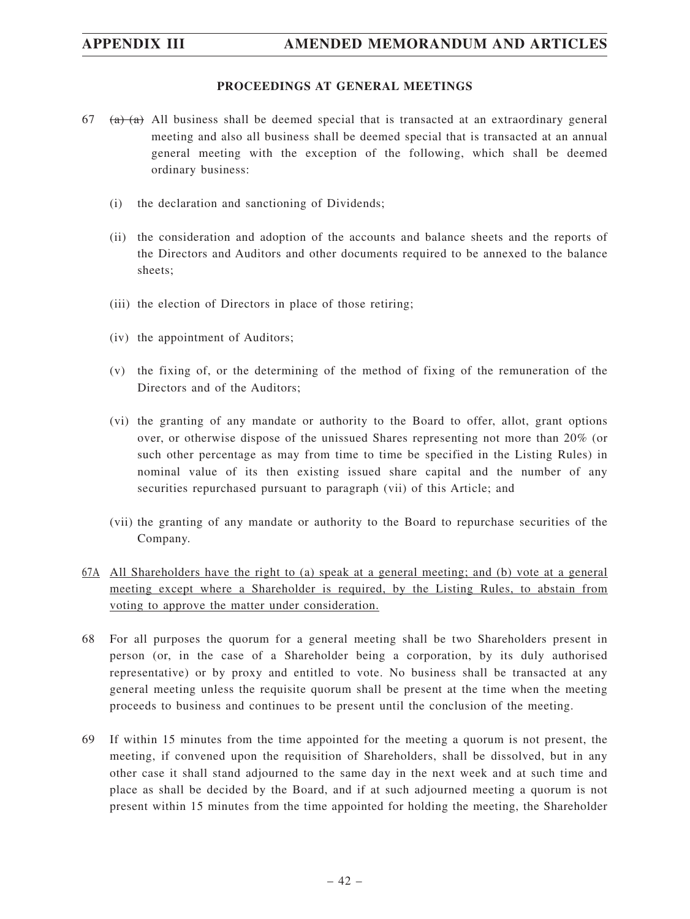# **APPENDIX III AMENDED MEMORANDUM AND ARTICLES**

## **PROCEEDINGS AT GENERAL MEETINGS**

- $67$  (a)  $\overline{a}$ ) All business shall be deemed special that is transacted at an extraordinary general meeting and also all business shall be deemed special that is transacted at an annual general meeting with the exception of the following, which shall be deemed ordinary business:
	- (i) the declaration and sanctioning of Dividends;
	- (ii) the consideration and adoption of the accounts and balance sheets and the reports of the Directors and Auditors and other documents required to be annexed to the balance sheets;
	- (iii) the election of Directors in place of those retiring;
	- (iv) the appointment of Auditors;
	- (v) the fixing of, or the determining of the method of fixing of the remuneration of the Directors and of the Auditors;
	- (vi) the granting of any mandate or authority to the Board to offer, allot, grant options over, or otherwise dispose of the unissued Shares representing not more than 20% (or such other percentage as may from time to time be specified in the Listing Rules) in nominal value of its then existing issued share capital and the number of any securities repurchased pursuant to paragraph (vii) of this Article; and
	- (vii) the granting of any mandate or authority to the Board to repurchase securities of the Company.
- 67A All Shareholders have the right to (a) speak at a general meeting; and (b) vote at a general meeting except where a Shareholder is required, by the Listing Rules, to abstain from voting to approve the matter under consideration.
- 68 For all purposes the quorum for a general meeting shall be two Shareholders present in person (or, in the case of a Shareholder being a corporation, by its duly authorised representative) or by proxy and entitled to vote. No business shall be transacted at any general meeting unless the requisite quorum shall be present at the time when the meeting proceeds to business and continues to be present until the conclusion of the meeting.
- 69 If within 15 minutes from the time appointed for the meeting a quorum is not present, the meeting, if convened upon the requisition of Shareholders, shall be dissolved, but in any other case it shall stand adjourned to the same day in the next week and at such time and place as shall be decided by the Board, and if at such adjourned meeting a quorum is not present within 15 minutes from the time appointed for holding the meeting, the Shareholder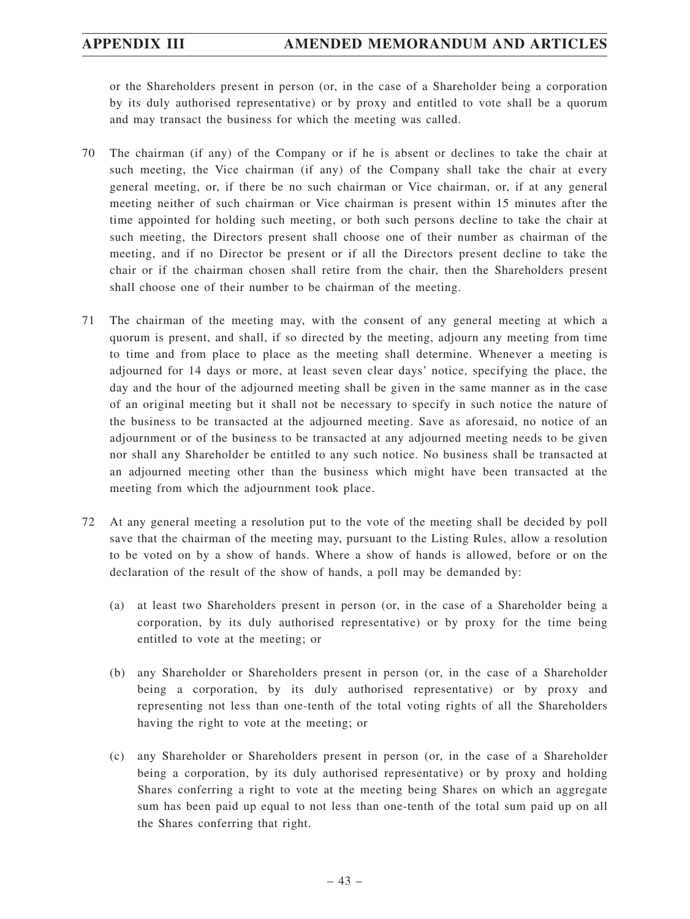or the Shareholders present in person (or, in the case of a Shareholder being a corporation by its duly authorised representative) or by proxy and entitled to vote shall be a quorum and may transact the business for which the meeting was called.

- 70 The chairman (if any) of the Company or if he is absent or declines to take the chair at such meeting, the Vice chairman (if any) of the Company shall take the chair at every general meeting, or, if there be no such chairman or Vice chairman, or, if at any general meeting neither of such chairman or Vice chairman is present within 15 minutes after the time appointed for holding such meeting, or both such persons decline to take the chair at such meeting, the Directors present shall choose one of their number as chairman of the meeting, and if no Director be present or if all the Directors present decline to take the chair or if the chairman chosen shall retire from the chair, then the Shareholders present shall choose one of their number to be chairman of the meeting.
- 71 The chairman of the meeting may, with the consent of any general meeting at which a quorum is present, and shall, if so directed by the meeting, adjourn any meeting from time to time and from place to place as the meeting shall determine. Whenever a meeting is adjourned for 14 days or more, at least seven clear days' notice, specifying the place, the day and the hour of the adjourned meeting shall be given in the same manner as in the case of an original meeting but it shall not be necessary to specify in such notice the nature of the business to be transacted at the adjourned meeting. Save as aforesaid, no notice of an adjournment or of the business to be transacted at any adjourned meeting needs to be given nor shall any Shareholder be entitled to any such notice. No business shall be transacted at an adjourned meeting other than the business which might have been transacted at the meeting from which the adjournment took place.
- 72 At any general meeting a resolution put to the vote of the meeting shall be decided by poll save that the chairman of the meeting may, pursuant to the Listing Rules, allow a resolution to be voted on by a show of hands. Where a show of hands is allowed, before or on the declaration of the result of the show of hands, a poll may be demanded by:
	- (a) at least two Shareholders present in person (or, in the case of a Shareholder being a corporation, by its duly authorised representative) or by proxy for the time being entitled to vote at the meeting; or
	- (b) any Shareholder or Shareholders present in person (or, in the case of a Shareholder being a corporation, by its duly authorised representative) or by proxy and representing not less than one-tenth of the total voting rights of all the Shareholders having the right to vote at the meeting; or
	- (c) any Shareholder or Shareholders present in person (or, in the case of a Shareholder being a corporation, by its duly authorised representative) or by proxy and holding Shares conferring a right to vote at the meeting being Shares on which an aggregate sum has been paid up equal to not less than one-tenth of the total sum paid up on all the Shares conferring that right.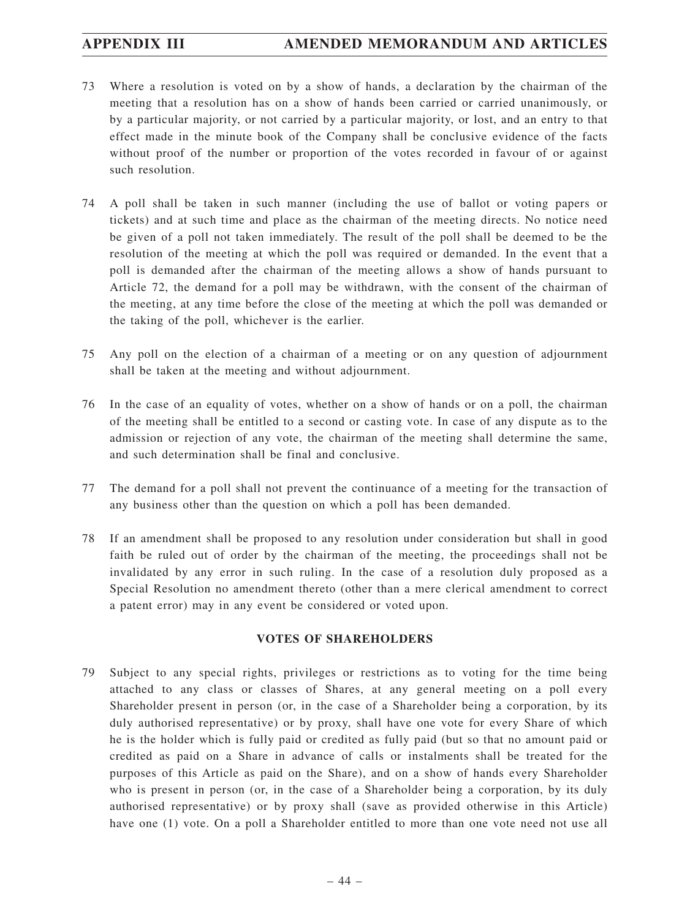- 73 Where a resolution is voted on by a show of hands, a declaration by the chairman of the meeting that a resolution has on a show of hands been carried or carried unanimously, or by a particular majority, or not carried by a particular majority, or lost, and an entry to that effect made in the minute book of the Company shall be conclusive evidence of the facts without proof of the number or proportion of the votes recorded in favour of or against such resolution.
- 74 A poll shall be taken in such manner (including the use of ballot or voting papers or tickets) and at such time and place as the chairman of the meeting directs. No notice need be given of a poll not taken immediately. The result of the poll shall be deemed to be the resolution of the meeting at which the poll was required or demanded. In the event that a poll is demanded after the chairman of the meeting allows a show of hands pursuant to Article 72, the demand for a poll may be withdrawn, with the consent of the chairman of the meeting, at any time before the close of the meeting at which the poll was demanded or the taking of the poll, whichever is the earlier.
- 75 Any poll on the election of a chairman of a meeting or on any question of adjournment shall be taken at the meeting and without adjournment.
- 76 In the case of an equality of votes, whether on a show of hands or on a poll, the chairman of the meeting shall be entitled to a second or casting vote. In case of any dispute as to the admission or rejection of any vote, the chairman of the meeting shall determine the same, and such determination shall be final and conclusive.
- 77 The demand for a poll shall not prevent the continuance of a meeting for the transaction of any business other than the question on which a poll has been demanded.
- 78 If an amendment shall be proposed to any resolution under consideration but shall in good faith be ruled out of order by the chairman of the meeting, the proceedings shall not be invalidated by any error in such ruling. In the case of a resolution duly proposed as a Special Resolution no amendment thereto (other than a mere clerical amendment to correct a patent error) may in any event be considered or voted upon.

## **VOTES OF SHAREHOLDERS**

79 Subject to any special rights, privileges or restrictions as to voting for the time being attached to any class or classes of Shares, at any general meeting on a poll every Shareholder present in person (or, in the case of a Shareholder being a corporation, by its duly authorised representative) or by proxy, shall have one vote for every Share of which he is the holder which is fully paid or credited as fully paid (but so that no amount paid or credited as paid on a Share in advance of calls or instalments shall be treated for the purposes of this Article as paid on the Share), and on a show of hands every Shareholder who is present in person (or, in the case of a Shareholder being a corporation, by its duly authorised representative) or by proxy shall (save as provided otherwise in this Article) have one (1) vote. On a poll a Shareholder entitled to more than one vote need not use all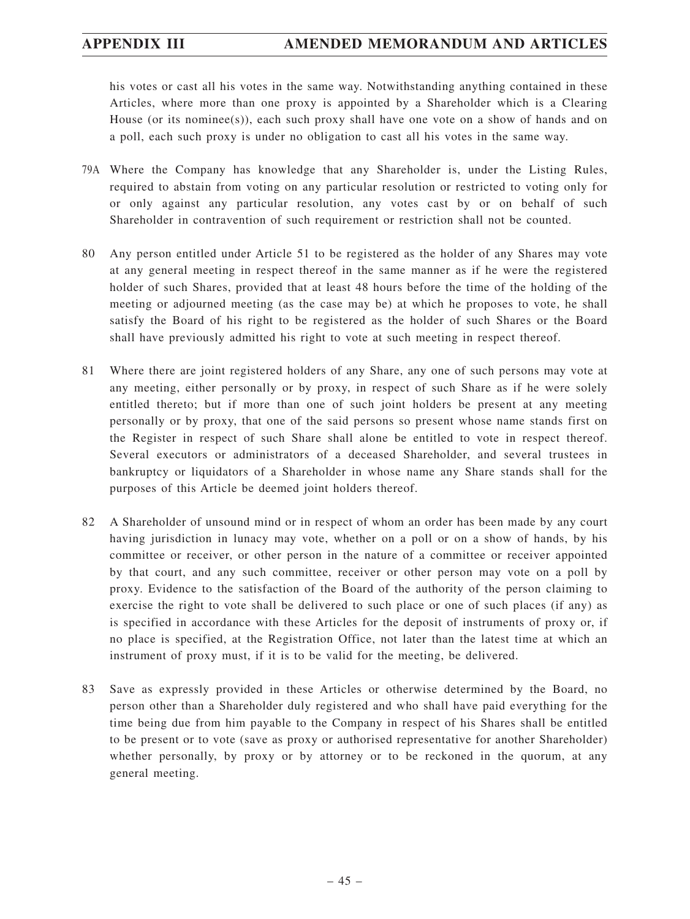his votes or cast all his votes in the same way. Notwithstanding anything contained in these Articles, where more than one proxy is appointed by a Shareholder which is a Clearing House (or its nominee(s)), each such proxy shall have one vote on a show of hands and on a poll, each such proxy is under no obligation to cast all his votes in the same way.

- 79A Where the Company has knowledge that any Shareholder is, under the Listing Rules, required to abstain from voting on any particular resolution or restricted to voting only for or only against any particular resolution, any votes cast by or on behalf of such Shareholder in contravention of such requirement or restriction shall not be counted.
- 80 Any person entitled under Article 51 to be registered as the holder of any Shares may vote at any general meeting in respect thereof in the same manner as if he were the registered holder of such Shares, provided that at least 48 hours before the time of the holding of the meeting or adjourned meeting (as the case may be) at which he proposes to vote, he shall satisfy the Board of his right to be registered as the holder of such Shares or the Board shall have previously admitted his right to vote at such meeting in respect thereof.
- 81 Where there are joint registered holders of any Share, any one of such persons may vote at any meeting, either personally or by proxy, in respect of such Share as if he were solely entitled thereto; but if more than one of such joint holders be present at any meeting personally or by proxy, that one of the said persons so present whose name stands first on the Register in respect of such Share shall alone be entitled to vote in respect thereof. Several executors or administrators of a deceased Shareholder, and several trustees in bankruptcy or liquidators of a Shareholder in whose name any Share stands shall for the purposes of this Article be deemed joint holders thereof.
- 82 A Shareholder of unsound mind or in respect of whom an order has been made by any court having jurisdiction in lunacy may vote, whether on a poll or on a show of hands, by his committee or receiver, or other person in the nature of a committee or receiver appointed by that court, and any such committee, receiver or other person may vote on a poll by proxy. Evidence to the satisfaction of the Board of the authority of the person claiming to exercise the right to vote shall be delivered to such place or one of such places (if any) as is specified in accordance with these Articles for the deposit of instruments of proxy or, if no place is specified, at the Registration Office, not later than the latest time at which an instrument of proxy must, if it is to be valid for the meeting, be delivered.
- 83 Save as expressly provided in these Articles or otherwise determined by the Board, no person other than a Shareholder duly registered and who shall have paid everything for the time being due from him payable to the Company in respect of his Shares shall be entitled to be present or to vote (save as proxy or authorised representative for another Shareholder) whether personally, by proxy or by attorney or to be reckoned in the quorum, at any general meeting.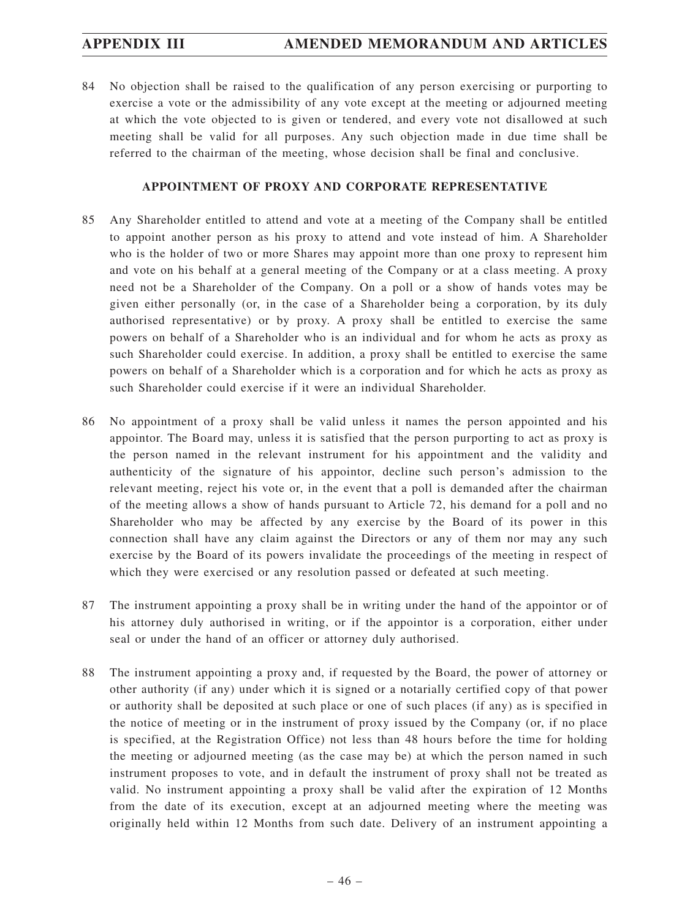84 No objection shall be raised to the qualification of any person exercising or purporting to exercise a vote or the admissibility of any vote except at the meeting or adjourned meeting at which the vote objected to is given or tendered, and every vote not disallowed at such meeting shall be valid for all purposes. Any such objection made in due time shall be referred to the chairman of the meeting, whose decision shall be final and conclusive.

## **APPOINTMENT OF PROXY AND CORPORATE REPRESENTATIVE**

- 85 Any Shareholder entitled to attend and vote at a meeting of the Company shall be entitled to appoint another person as his proxy to attend and vote instead of him. A Shareholder who is the holder of two or more Shares may appoint more than one proxy to represent him and vote on his behalf at a general meeting of the Company or at a class meeting. A proxy need not be a Shareholder of the Company. On a poll or a show of hands votes may be given either personally (or, in the case of a Shareholder being a corporation, by its duly authorised representative) or by proxy. A proxy shall be entitled to exercise the same powers on behalf of a Shareholder who is an individual and for whom he acts as proxy as such Shareholder could exercise. In addition, a proxy shall be entitled to exercise the same powers on behalf of a Shareholder which is a corporation and for which he acts as proxy as such Shareholder could exercise if it were an individual Shareholder.
- 86 No appointment of a proxy shall be valid unless it names the person appointed and his appointor. The Board may, unless it is satisfied that the person purporting to act as proxy is the person named in the relevant instrument for his appointment and the validity and authenticity of the signature of his appointor, decline such person's admission to the relevant meeting, reject his vote or, in the event that a poll is demanded after the chairman of the meeting allows a show of hands pursuant to Article 72, his demand for a poll and no Shareholder who may be affected by any exercise by the Board of its power in this connection shall have any claim against the Directors or any of them nor may any such exercise by the Board of its powers invalidate the proceedings of the meeting in respect of which they were exercised or any resolution passed or defeated at such meeting.
- 87 The instrument appointing a proxy shall be in writing under the hand of the appointor or of his attorney duly authorised in writing, or if the appointor is a corporation, either under seal or under the hand of an officer or attorney duly authorised.
- 88 The instrument appointing a proxy and, if requested by the Board, the power of attorney or other authority (if any) under which it is signed or a notarially certified copy of that power or authority shall be deposited at such place or one of such places (if any) as is specified in the notice of meeting or in the instrument of proxy issued by the Company (or, if no place is specified, at the Registration Office) not less than 48 hours before the time for holding the meeting or adjourned meeting (as the case may be) at which the person named in such instrument proposes to vote, and in default the instrument of proxy shall not be treated as valid. No instrument appointing a proxy shall be valid after the expiration of 12 Months from the date of its execution, except at an adjourned meeting where the meeting was originally held within 12 Months from such date. Delivery of an instrument appointing a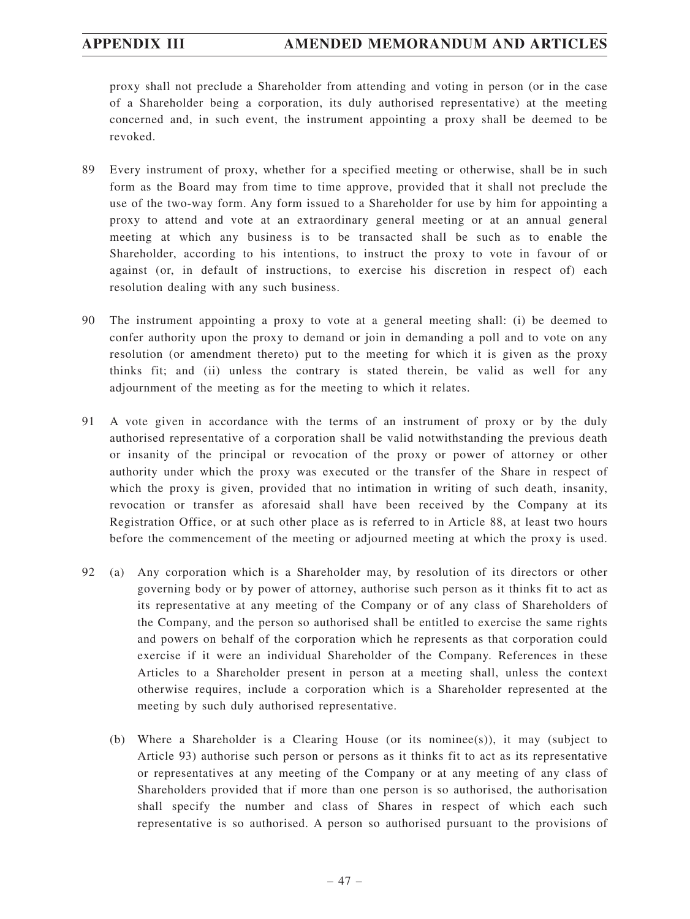proxy shall not preclude a Shareholder from attending and voting in person (or in the case of a Shareholder being a corporation, its duly authorised representative) at the meeting concerned and, in such event, the instrument appointing a proxy shall be deemed to be revoked.

- 89 Every instrument of proxy, whether for a specified meeting or otherwise, shall be in such form as the Board may from time to time approve, provided that it shall not preclude the use of the two-way form. Any form issued to a Shareholder for use by him for appointing a proxy to attend and vote at an extraordinary general meeting or at an annual general meeting at which any business is to be transacted shall be such as to enable the Shareholder, according to his intentions, to instruct the proxy to vote in favour of or against (or, in default of instructions, to exercise his discretion in respect of) each resolution dealing with any such business.
- 90 The instrument appointing a proxy to vote at a general meeting shall: (i) be deemed to confer authority upon the proxy to demand or join in demanding a poll and to vote on any resolution (or amendment thereto) put to the meeting for which it is given as the proxy thinks fit; and (ii) unless the contrary is stated therein, be valid as well for any adjournment of the meeting as for the meeting to which it relates.
- 91 A vote given in accordance with the terms of an instrument of proxy or by the duly authorised representative of a corporation shall be valid notwithstanding the previous death or insanity of the principal or revocation of the proxy or power of attorney or other authority under which the proxy was executed or the transfer of the Share in respect of which the proxy is given, provided that no intimation in writing of such death, insanity, revocation or transfer as aforesaid shall have been received by the Company at its Registration Office, or at such other place as is referred to in Article 88, at least two hours before the commencement of the meeting or adjourned meeting at which the proxy is used.
- 92 (a) Any corporation which is a Shareholder may, by resolution of its directors or other governing body or by power of attorney, authorise such person as it thinks fit to act as its representative at any meeting of the Company or of any class of Shareholders of the Company, and the person so authorised shall be entitled to exercise the same rights and powers on behalf of the corporation which he represents as that corporation could exercise if it were an individual Shareholder of the Company. References in these Articles to a Shareholder present in person at a meeting shall, unless the context otherwise requires, include a corporation which is a Shareholder represented at the meeting by such duly authorised representative.
	- (b) Where a Shareholder is a Clearing House (or its nominee(s)), it may (subject to Article 93) authorise such person or persons as it thinks fit to act as its representative or representatives at any meeting of the Company or at any meeting of any class of Shareholders provided that if more than one person is so authorised, the authorisation shall specify the number and class of Shares in respect of which each such representative is so authorised. A person so authorised pursuant to the provisions of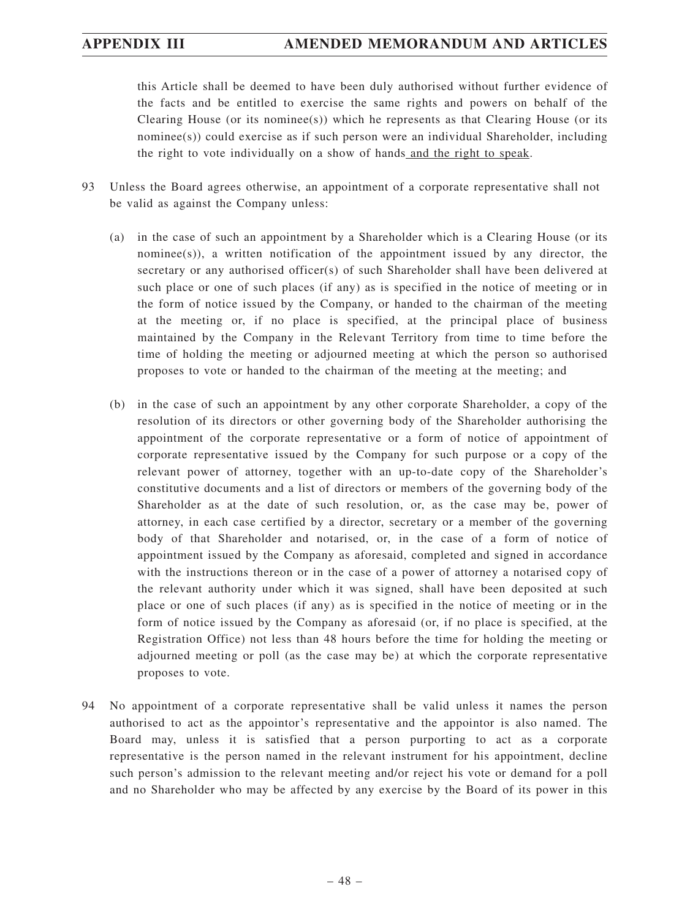this Article shall be deemed to have been duly authorised without further evidence of the facts and be entitled to exercise the same rights and powers on behalf of the Clearing House (or its nominee(s)) which he represents as that Clearing House (or its nominee(s)) could exercise as if such person were an individual Shareholder, including the right to vote individually on a show of hands and the right to speak.

- 93 Unless the Board agrees otherwise, an appointment of a corporate representative shall not be valid as against the Company unless:
	- (a) in the case of such an appointment by a Shareholder which is a Clearing House (or its nominee(s)), a written notification of the appointment issued by any director, the secretary or any authorised officer(s) of such Shareholder shall have been delivered at such place or one of such places (if any) as is specified in the notice of meeting or in the form of notice issued by the Company, or handed to the chairman of the meeting at the meeting or, if no place is specified, at the principal place of business maintained by the Company in the Relevant Territory from time to time before the time of holding the meeting or adjourned meeting at which the person so authorised proposes to vote or handed to the chairman of the meeting at the meeting; and
	- (b) in the case of such an appointment by any other corporate Shareholder, a copy of the resolution of its directors or other governing body of the Shareholder authorising the appointment of the corporate representative or a form of notice of appointment of corporate representative issued by the Company for such purpose or a copy of the relevant power of attorney, together with an up-to-date copy of the Shareholder's constitutive documents and a list of directors or members of the governing body of the Shareholder as at the date of such resolution, or, as the case may be, power of attorney, in each case certified by a director, secretary or a member of the governing body of that Shareholder and notarised, or, in the case of a form of notice of appointment issued by the Company as aforesaid, completed and signed in accordance with the instructions thereon or in the case of a power of attorney a notarised copy of the relevant authority under which it was signed, shall have been deposited at such place or one of such places (if any) as is specified in the notice of meeting or in the form of notice issued by the Company as aforesaid (or, if no place is specified, at the Registration Office) not less than 48 hours before the time for holding the meeting or adjourned meeting or poll (as the case may be) at which the corporate representative proposes to vote.
- 94 No appointment of a corporate representative shall be valid unless it names the person authorised to act as the appointor's representative and the appointor is also named. The Board may, unless it is satisfied that a person purporting to act as a corporate representative is the person named in the relevant instrument for his appointment, decline such person's admission to the relevant meeting and/or reject his vote or demand for a poll and no Shareholder who may be affected by any exercise by the Board of its power in this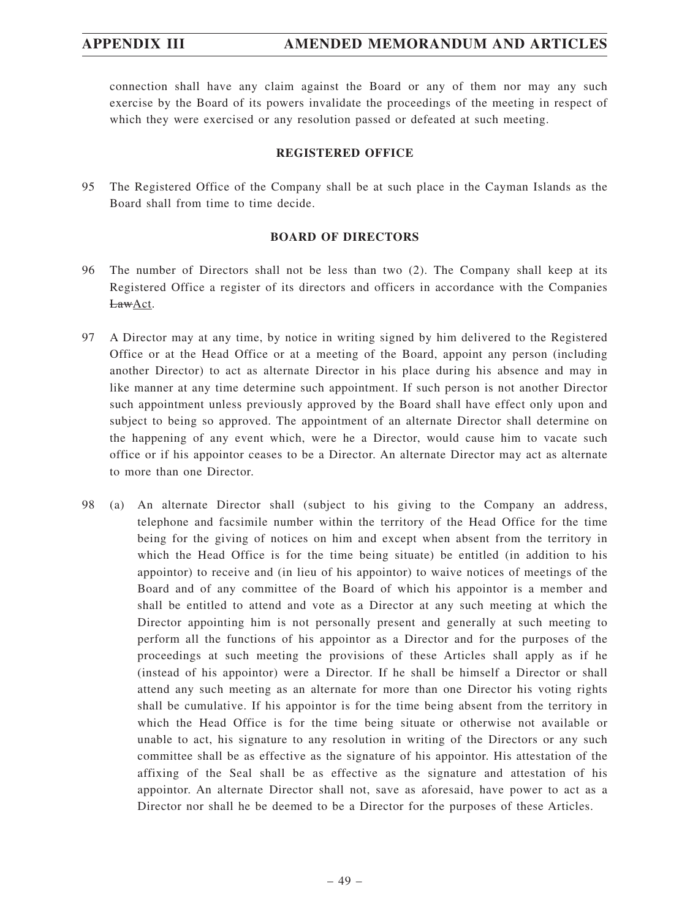connection shall have any claim against the Board or any of them nor may any such exercise by the Board of its powers invalidate the proceedings of the meeting in respect of which they were exercised or any resolution passed or defeated at such meeting.

## **REGISTERED OFFICE**

95 The Registered Office of the Company shall be at such place in the Cayman Islands as the Board shall from time to time decide.

## **BOARD OF DIRECTORS**

- 96 The number of Directors shall not be less than two (2). The Company shall keep at its Registered Office a register of its directors and officers in accordance with the Companies LawAct.
- 97 A Director may at any time, by notice in writing signed by him delivered to the Registered Office or at the Head Office or at a meeting of the Board, appoint any person (including another Director) to act as alternate Director in his place during his absence and may in like manner at any time determine such appointment. If such person is not another Director such appointment unless previously approved by the Board shall have effect only upon and subject to being so approved. The appointment of an alternate Director shall determine on the happening of any event which, were he a Director, would cause him to vacate such office or if his appointor ceases to be a Director. An alternate Director may act as alternate to more than one Director.
- 98 (a) An alternate Director shall (subject to his giving to the Company an address, telephone and facsimile number within the territory of the Head Office for the time being for the giving of notices on him and except when absent from the territory in which the Head Office is for the time being situate) be entitled (in addition to his appointor) to receive and (in lieu of his appointor) to waive notices of meetings of the Board and of any committee of the Board of which his appointor is a member and shall be entitled to attend and vote as a Director at any such meeting at which the Director appointing him is not personally present and generally at such meeting to perform all the functions of his appointor as a Director and for the purposes of the proceedings at such meeting the provisions of these Articles shall apply as if he (instead of his appointor) were a Director. If he shall be himself a Director or shall attend any such meeting as an alternate for more than one Director his voting rights shall be cumulative. If his appointor is for the time being absent from the territory in which the Head Office is for the time being situate or otherwise not available or unable to act, his signature to any resolution in writing of the Directors or any such committee shall be as effective as the signature of his appointor. His attestation of the affixing of the Seal shall be as effective as the signature and attestation of his appointor. An alternate Director shall not, save as aforesaid, have power to act as a Director nor shall he be deemed to be a Director for the purposes of these Articles.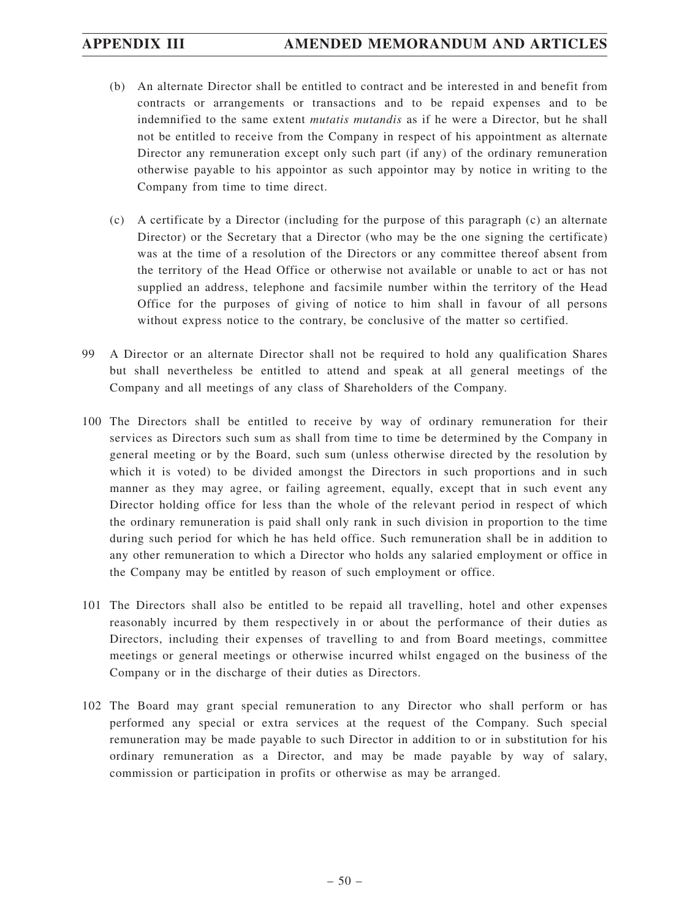- (b) An alternate Director shall be entitled to contract and be interested in and benefit from contracts or arrangements or transactions and to be repaid expenses and to be indemnified to the same extent *mutatis mutandis* as if he were a Director, but he shall not be entitled to receive from the Company in respect of his appointment as alternate Director any remuneration except only such part (if any) of the ordinary remuneration otherwise payable to his appointor as such appointor may by notice in writing to the Company from time to time direct.
- (c) A certificate by a Director (including for the purpose of this paragraph (c) an alternate Director) or the Secretary that a Director (who may be the one signing the certificate) was at the time of a resolution of the Directors or any committee thereof absent from the territory of the Head Office or otherwise not available or unable to act or has not supplied an address, telephone and facsimile number within the territory of the Head Office for the purposes of giving of notice to him shall in favour of all persons without express notice to the contrary, be conclusive of the matter so certified.
- 99 A Director or an alternate Director shall not be required to hold any qualification Shares but shall nevertheless be entitled to attend and speak at all general meetings of the Company and all meetings of any class of Shareholders of the Company.
- 100 The Directors shall be entitled to receive by way of ordinary remuneration for their services as Directors such sum as shall from time to time be determined by the Company in general meeting or by the Board, such sum (unless otherwise directed by the resolution by which it is voted) to be divided amongst the Directors in such proportions and in such manner as they may agree, or failing agreement, equally, except that in such event any Director holding office for less than the whole of the relevant period in respect of which the ordinary remuneration is paid shall only rank in such division in proportion to the time during such period for which he has held office. Such remuneration shall be in addition to any other remuneration to which a Director who holds any salaried employment or office in the Company may be entitled by reason of such employment or office.
- 101 The Directors shall also be entitled to be repaid all travelling, hotel and other expenses reasonably incurred by them respectively in or about the performance of their duties as Directors, including their expenses of travelling to and from Board meetings, committee meetings or general meetings or otherwise incurred whilst engaged on the business of the Company or in the discharge of their duties as Directors.
- 102 The Board may grant special remuneration to any Director who shall perform or has performed any special or extra services at the request of the Company. Such special remuneration may be made payable to such Director in addition to or in substitution for his ordinary remuneration as a Director, and may be made payable by way of salary, commission or participation in profits or otherwise as may be arranged.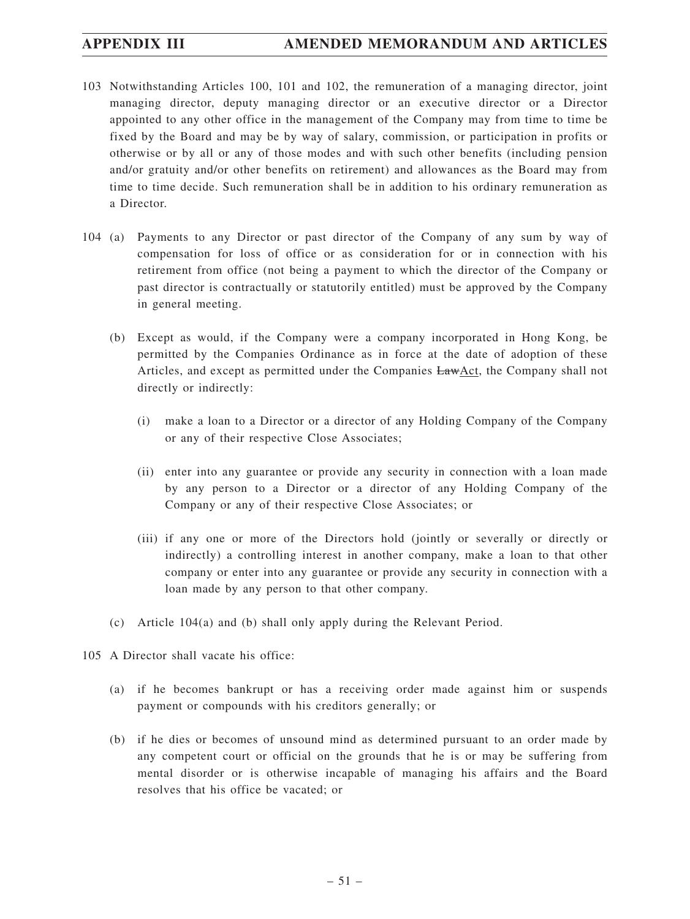- 103 Notwithstanding Articles 100, 101 and 102, the remuneration of a managing director, joint managing director, deputy managing director or an executive director or a Director appointed to any other office in the management of the Company may from time to time be fixed by the Board and may be by way of salary, commission, or participation in profits or otherwise or by all or any of those modes and with such other benefits (including pension and/or gratuity and/or other benefits on retirement) and allowances as the Board may from time to time decide. Such remuneration shall be in addition to his ordinary remuneration as a Director.
- 104 (a) Payments to any Director or past director of the Company of any sum by way of compensation for loss of office or as consideration for or in connection with his retirement from office (not being a payment to which the director of the Company or past director is contractually or statutorily entitled) must be approved by the Company in general meeting.
	- (b) Except as would, if the Company were a company incorporated in Hong Kong, be permitted by the Companies Ordinance as in force at the date of adoption of these Articles, and except as permitted under the Companies LawAct, the Company shall not directly or indirectly:
		- (i) make a loan to a Director or a director of any Holding Company of the Company or any of their respective Close Associates;
		- (ii) enter into any guarantee or provide any security in connection with a loan made by any person to a Director or a director of any Holding Company of the Company or any of their respective Close Associates; or
		- (iii) if any one or more of the Directors hold (jointly or severally or directly or indirectly) a controlling interest in another company, make a loan to that other company or enter into any guarantee or provide any security in connection with a loan made by any person to that other company.
	- (c) Article 104(a) and (b) shall only apply during the Relevant Period.
- 105 A Director shall vacate his office:
	- (a) if he becomes bankrupt or has a receiving order made against him or suspends payment or compounds with his creditors generally; or
	- (b) if he dies or becomes of unsound mind as determined pursuant to an order made by any competent court or official on the grounds that he is or may be suffering from mental disorder or is otherwise incapable of managing his affairs and the Board resolves that his office be vacated; or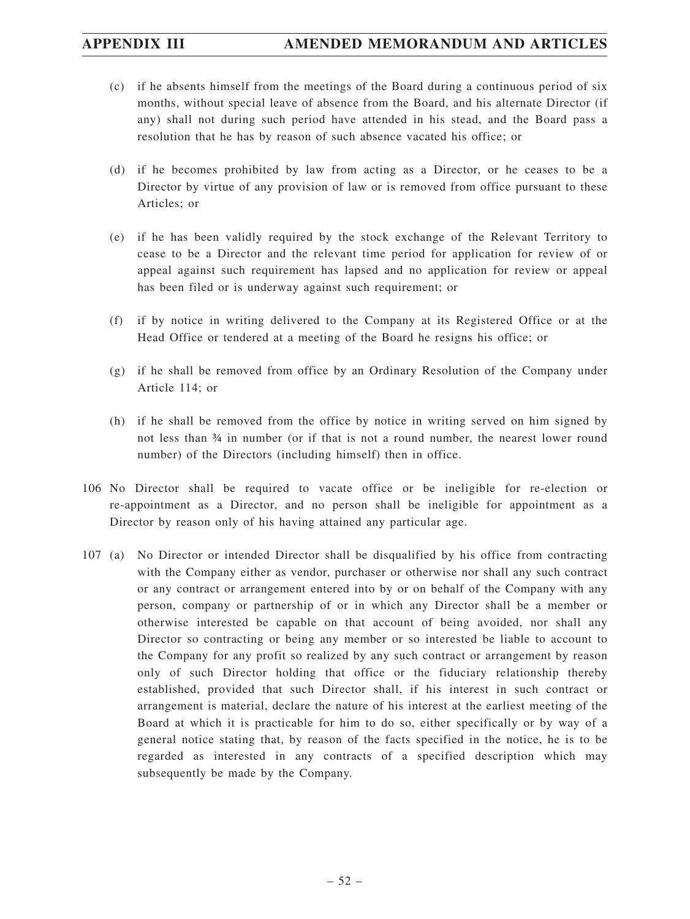- (c) if he absents himself from the meetings of the Board during a continuous period of six months, without special leave of absence from the Board, and his alternate Director (if any) shall not during such period have attended in his stead, and the Board pass a resolution that he has by reason of such absence vacated his office; or
- (d) if he becomes prohibited by law from acting as a Director, or he ceases to be a Director by virtue of any provision of law or is removed from office pursuant to these Articles; or
- (e) if he has been validly required by the stock exchange of the Relevant Territory to cease to be a Director and the relevant time period for application for review of or appeal against such requirement has lapsed and no application for review or appeal has been filed or is underway against such requirement; or
- (f) if by notice in writing delivered to the Company at its Registered Office or at the Head Office or tendered at a meeting of the Board he resigns his office; or
- (g) if he shall be removed from office by an Ordinary Resolution of the Company under Article 114; or
- (h) if he shall be removed from the office by notice in writing served on him signed by not less than ¾ in number (or if that is not a round number, the nearest lower round number) of the Directors (including himself) then in office.
- 106 No Director shall be required to vacate office or be ineligible for re-election or re-appointment as a Director, and no person shall be ineligible for appointment as a Director by reason only of his having attained any particular age.
- 107 (a) No Director or intended Director shall be disqualified by his office from contracting with the Company either as vendor, purchaser or otherwise nor shall any such contract or any contract or arrangement entered into by or on behalf of the Company with any person, company or partnership of or in which any Director shall be a member or otherwise interested be capable on that account of being avoided, nor shall any Director so contracting or being any member or so interested be liable to account to the Company for any profit so realized by any such contract or arrangement by reason only of such Director holding that office or the fiduciary relationship thereby established, provided that such Director shall, if his interest in such contract or arrangement is material, declare the nature of his interest at the earliest meeting of the Board at which it is practicable for him to do so, either specifically or by way of a general notice stating that, by reason of the facts specified in the notice, he is to be regarded as interested in any contracts of a specified description which may subsequently be made by the Company.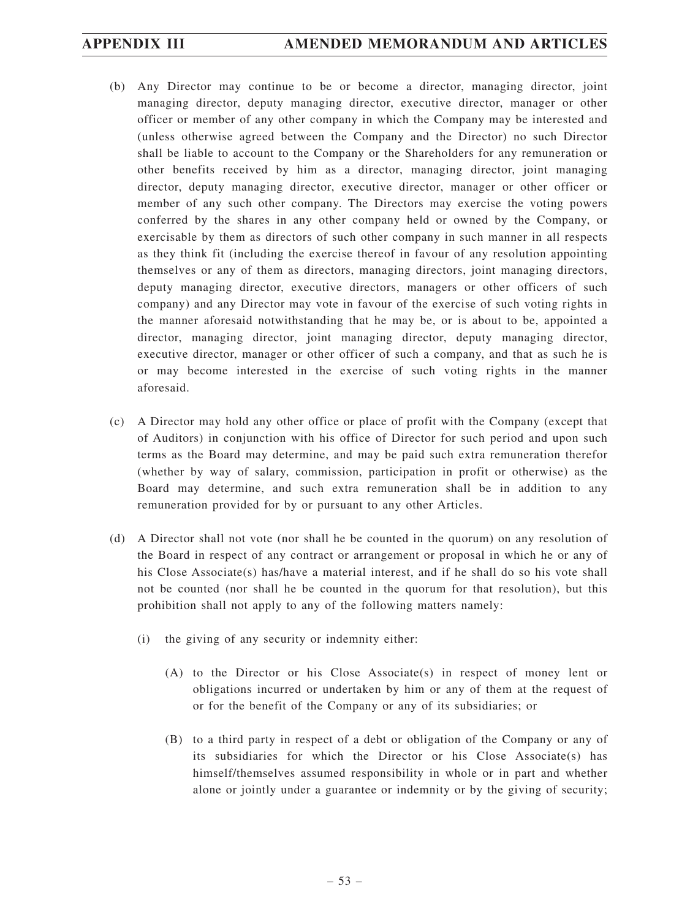## **APPENDIX III AMENDED MEMORANDUM AND ARTICLES**

- (b) Any Director may continue to be or become a director, managing director, joint managing director, deputy managing director, executive director, manager or other officer or member of any other company in which the Company may be interested and (unless otherwise agreed between the Company and the Director) no such Director shall be liable to account to the Company or the Shareholders for any remuneration or other benefits received by him as a director, managing director, joint managing director, deputy managing director, executive director, manager or other officer or member of any such other company. The Directors may exercise the voting powers conferred by the shares in any other company held or owned by the Company, or exercisable by them as directors of such other company in such manner in all respects as they think fit (including the exercise thereof in favour of any resolution appointing themselves or any of them as directors, managing directors, joint managing directors, deputy managing director, executive directors, managers or other officers of such company) and any Director may vote in favour of the exercise of such voting rights in the manner aforesaid notwithstanding that he may be, or is about to be, appointed a director, managing director, joint managing director, deputy managing director, executive director, manager or other officer of such a company, and that as such he is or may become interested in the exercise of such voting rights in the manner aforesaid.
- (c) A Director may hold any other office or place of profit with the Company (except that of Auditors) in conjunction with his office of Director for such period and upon such terms as the Board may determine, and may be paid such extra remuneration therefor (whether by way of salary, commission, participation in profit or otherwise) as the Board may determine, and such extra remuneration shall be in addition to any remuneration provided for by or pursuant to any other Articles.
- (d) A Director shall not vote (nor shall he be counted in the quorum) on any resolution of the Board in respect of any contract or arrangement or proposal in which he or any of his Close Associate(s) has/have a material interest, and if he shall do so his vote shall not be counted (nor shall he be counted in the quorum for that resolution), but this prohibition shall not apply to any of the following matters namely:
	- (i) the giving of any security or indemnity either:
		- (A) to the Director or his Close Associate(s) in respect of money lent or obligations incurred or undertaken by him or any of them at the request of or for the benefit of the Company or any of its subsidiaries; or
		- (B) to a third party in respect of a debt or obligation of the Company or any of its subsidiaries for which the Director or his Close Associate(s) has himself/themselves assumed responsibility in whole or in part and whether alone or jointly under a guarantee or indemnity or by the giving of security;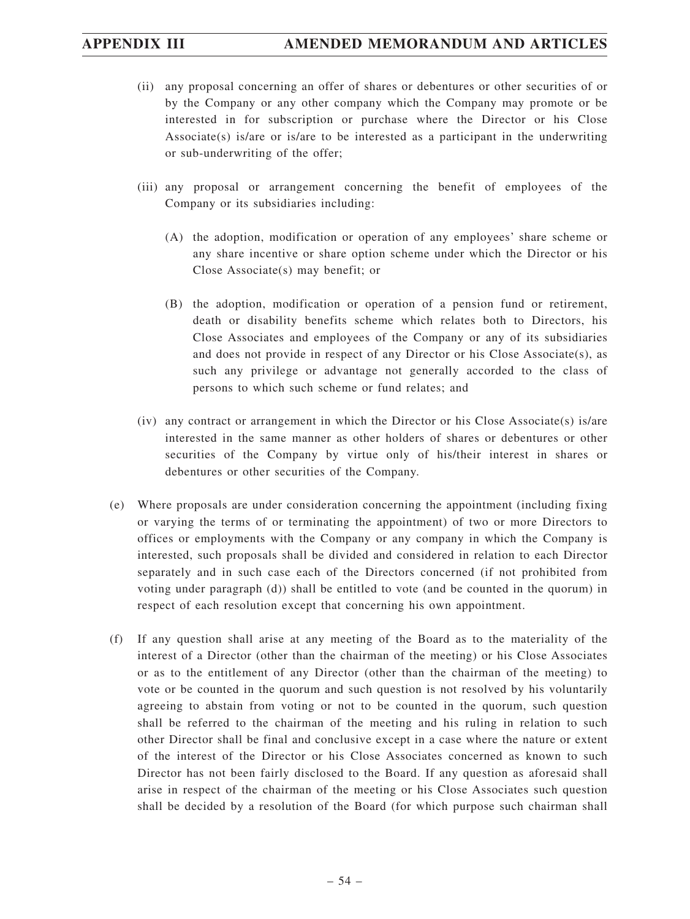- (ii) any proposal concerning an offer of shares or debentures or other securities of or by the Company or any other company which the Company may promote or be interested in for subscription or purchase where the Director or his Close Associate(s) is/are or is/are to be interested as a participant in the underwriting or sub-underwriting of the offer;
- (iii) any proposal or arrangement concerning the benefit of employees of the Company or its subsidiaries including:
	- (A) the adoption, modification or operation of any employees' share scheme or any share incentive or share option scheme under which the Director or his Close Associate(s) may benefit; or
	- (B) the adoption, modification or operation of a pension fund or retirement, death or disability benefits scheme which relates both to Directors, his Close Associates and employees of the Company or any of its subsidiaries and does not provide in respect of any Director or his Close Associate(s), as such any privilege or advantage not generally accorded to the class of persons to which such scheme or fund relates; and
- (iv) any contract or arrangement in which the Director or his Close Associate(s) is/are interested in the same manner as other holders of shares or debentures or other securities of the Company by virtue only of his/their interest in shares or debentures or other securities of the Company.
- (e) Where proposals are under consideration concerning the appointment (including fixing or varying the terms of or terminating the appointment) of two or more Directors to offices or employments with the Company or any company in which the Company is interested, such proposals shall be divided and considered in relation to each Director separately and in such case each of the Directors concerned (if not prohibited from voting under paragraph (d)) shall be entitled to vote (and be counted in the quorum) in respect of each resolution except that concerning his own appointment.
- (f) If any question shall arise at any meeting of the Board as to the materiality of the interest of a Director (other than the chairman of the meeting) or his Close Associates or as to the entitlement of any Director (other than the chairman of the meeting) to vote or be counted in the quorum and such question is not resolved by his voluntarily agreeing to abstain from voting or not to be counted in the quorum, such question shall be referred to the chairman of the meeting and his ruling in relation to such other Director shall be final and conclusive except in a case where the nature or extent of the interest of the Director or his Close Associates concerned as known to such Director has not been fairly disclosed to the Board. If any question as aforesaid shall arise in respect of the chairman of the meeting or his Close Associates such question shall be decided by a resolution of the Board (for which purpose such chairman shall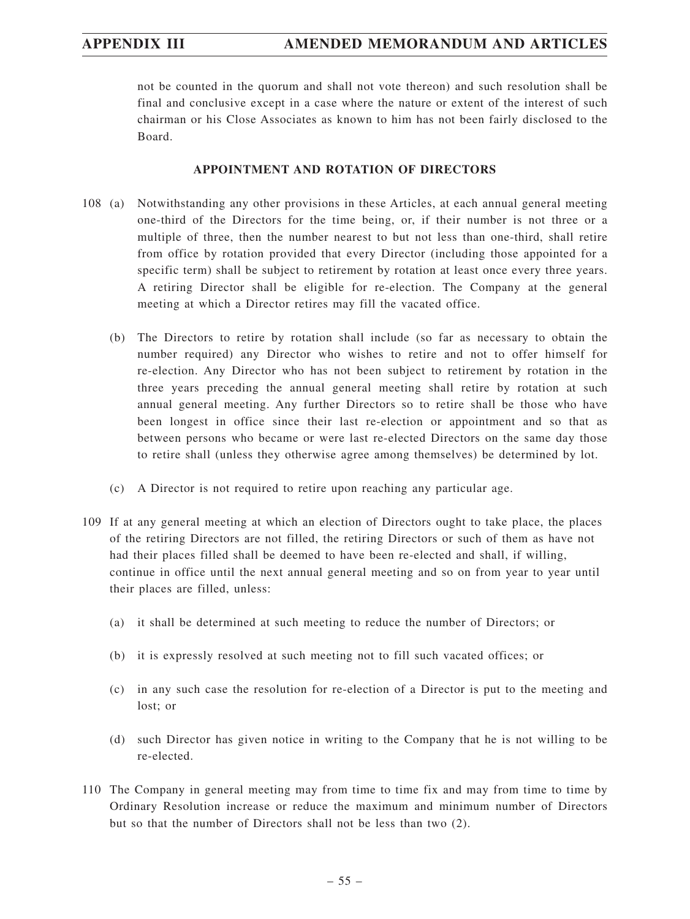not be counted in the quorum and shall not vote thereon) and such resolution shall be final and conclusive except in a case where the nature or extent of the interest of such chairman or his Close Associates as known to him has not been fairly disclosed to the Board.

## **APPOINTMENT AND ROTATION OF DIRECTORS**

- 108 (a) Notwithstanding any other provisions in these Articles, at each annual general meeting one-third of the Directors for the time being, or, if their number is not three or a multiple of three, then the number nearest to but not less than one-third, shall retire from office by rotation provided that every Director (including those appointed for a specific term) shall be subject to retirement by rotation at least once every three years. A retiring Director shall be eligible for re-election. The Company at the general meeting at which a Director retires may fill the vacated office.
	- (b) The Directors to retire by rotation shall include (so far as necessary to obtain the number required) any Director who wishes to retire and not to offer himself for re-election. Any Director who has not been subject to retirement by rotation in the three years preceding the annual general meeting shall retire by rotation at such annual general meeting. Any further Directors so to retire shall be those who have been longest in office since their last re-election or appointment and so that as between persons who became or were last re-elected Directors on the same day those to retire shall (unless they otherwise agree among themselves) be determined by lot.
	- (c) A Director is not required to retire upon reaching any particular age.
- 109 If at any general meeting at which an election of Directors ought to take place, the places of the retiring Directors are not filled, the retiring Directors or such of them as have not had their places filled shall be deemed to have been re-elected and shall, if willing, continue in office until the next annual general meeting and so on from year to year until their places are filled, unless:
	- (a) it shall be determined at such meeting to reduce the number of Directors; or
	- (b) it is expressly resolved at such meeting not to fill such vacated offices; or
	- (c) in any such case the resolution for re-election of a Director is put to the meeting and lost; or
	- (d) such Director has given notice in writing to the Company that he is not willing to be re-elected.
- 110 The Company in general meeting may from time to time fix and may from time to time by Ordinary Resolution increase or reduce the maximum and minimum number of Directors but so that the number of Directors shall not be less than two (2).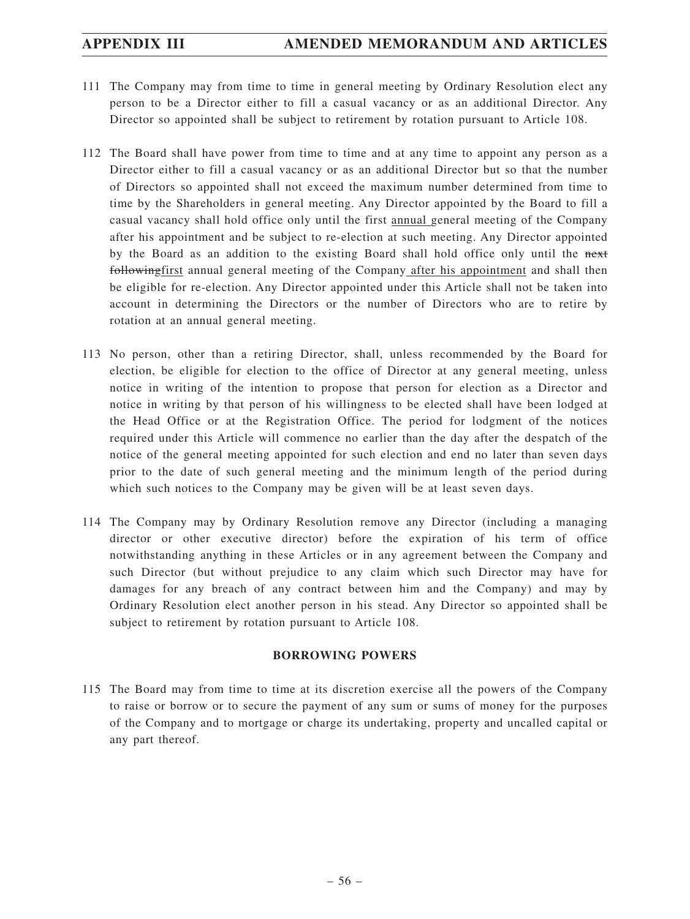- 111 The Company may from time to time in general meeting by Ordinary Resolution elect any person to be a Director either to fill a casual vacancy or as an additional Director. Any Director so appointed shall be subject to retirement by rotation pursuant to Article 108.
- 112 The Board shall have power from time to time and at any time to appoint any person as a Director either to fill a casual vacancy or as an additional Director but so that the number of Directors so appointed shall not exceed the maximum number determined from time to time by the Shareholders in general meeting. Any Director appointed by the Board to fill a casual vacancy shall hold office only until the first annual general meeting of the Company after his appointment and be subject to re-election at such meeting. Any Director appointed by the Board as an addition to the existing Board shall hold office only until the next followingfirst annual general meeting of the Company after his appointment and shall then be eligible for re-election. Any Director appointed under this Article shall not be taken into account in determining the Directors or the number of Directors who are to retire by rotation at an annual general meeting.
- 113 No person, other than a retiring Director, shall, unless recommended by the Board for election, be eligible for election to the office of Director at any general meeting, unless notice in writing of the intention to propose that person for election as a Director and notice in writing by that person of his willingness to be elected shall have been lodged at the Head Office or at the Registration Office. The period for lodgment of the notices required under this Article will commence no earlier than the day after the despatch of the notice of the general meeting appointed for such election and end no later than seven days prior to the date of such general meeting and the minimum length of the period during which such notices to the Company may be given will be at least seven days.
- 114 The Company may by Ordinary Resolution remove any Director (including a managing director or other executive director) before the expiration of his term of office notwithstanding anything in these Articles or in any agreement between the Company and such Director (but without prejudice to any claim which such Director may have for damages for any breach of any contract between him and the Company) and may by Ordinary Resolution elect another person in his stead. Any Director so appointed shall be subject to retirement by rotation pursuant to Article 108.

## **BORROWING POWERS**

115 The Board may from time to time at its discretion exercise all the powers of the Company to raise or borrow or to secure the payment of any sum or sums of money for the purposes of the Company and to mortgage or charge its undertaking, property and uncalled capital or any part thereof.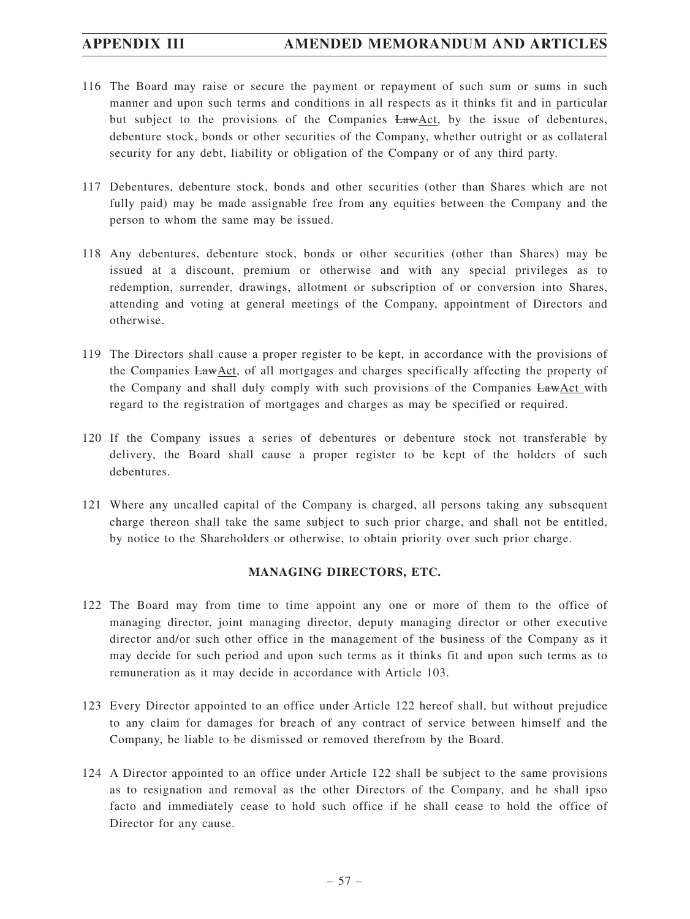- 116 The Board may raise or secure the payment or repayment of such sum or sums in such manner and upon such terms and conditions in all respects as it thinks fit and in particular but subject to the provisions of the Companies LawAct, by the issue of debentures, debenture stock, bonds or other securities of the Company, whether outright or as collateral security for any debt, liability or obligation of the Company or of any third party.
- 117 Debentures, debenture stock, bonds and other securities (other than Shares which are not fully paid) may be made assignable free from any equities between the Company and the person to whom the same may be issued.
- 118 Any debentures, debenture stock, bonds or other securities (other than Shares) may be issued at a discount, premium or otherwise and with any special privileges as to redemption, surrender, drawings, allotment or subscription of or conversion into Shares, attending and voting at general meetings of the Company, appointment of Directors and otherwise.
- 119 The Directors shall cause a proper register to be kept, in accordance with the provisions of the Companies LawAct, of all mortgages and charges specifically affecting the property of the Company and shall duly comply with such provisions of the Companies LawAct with regard to the registration of mortgages and charges as may be specified or required.
- 120 If the Company issues a series of debentures or debenture stock not transferable by delivery, the Board shall cause a proper register to be kept of the holders of such debentures.
- 121 Where any uncalled capital of the Company is charged, all persons taking any subsequent charge thereon shall take the same subject to such prior charge, and shall not be entitled, by notice to the Shareholders or otherwise, to obtain priority over such prior charge.

## **MANAGING DIRECTORS, ETC.**

- 122 The Board may from time to time appoint any one or more of them to the office of managing director, joint managing director, deputy managing director or other executive director and/or such other office in the management of the business of the Company as it may decide for such period and upon such terms as it thinks fit and upon such terms as to remuneration as it may decide in accordance with Article 103.
- 123 Every Director appointed to an office under Article 122 hereof shall, but without prejudice to any claim for damages for breach of any contract of service between himself and the Company, be liable to be dismissed or removed therefrom by the Board.
- 124 A Director appointed to an office under Article 122 shall be subject to the same provisions as to resignation and removal as the other Directors of the Company, and he shall ipso facto and immediately cease to hold such office if he shall cease to hold the office of Director for any cause.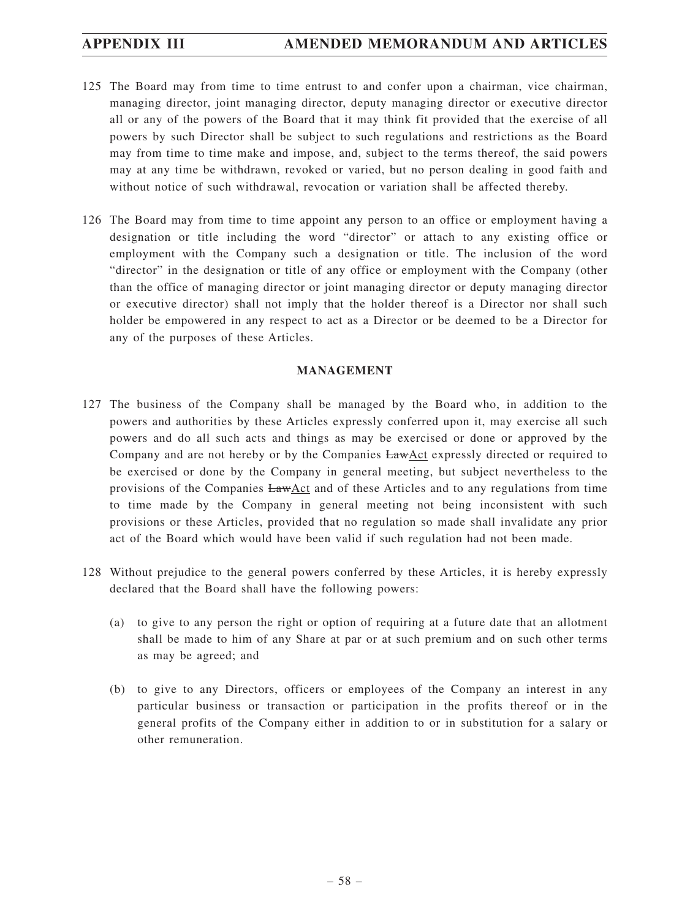- 125 The Board may from time to time entrust to and confer upon a chairman, vice chairman, managing director, joint managing director, deputy managing director or executive director all or any of the powers of the Board that it may think fit provided that the exercise of all powers by such Director shall be subject to such regulations and restrictions as the Board may from time to time make and impose, and, subject to the terms thereof, the said powers may at any time be withdrawn, revoked or varied, but no person dealing in good faith and without notice of such withdrawal, revocation or variation shall be affected thereby.
- 126 The Board may from time to time appoint any person to an office or employment having a designation or title including the word "director" or attach to any existing office or employment with the Company such a designation or title. The inclusion of the word "director" in the designation or title of any office or employment with the Company (other than the office of managing director or joint managing director or deputy managing director or executive director) shall not imply that the holder thereof is a Director nor shall such holder be empowered in any respect to act as a Director or be deemed to be a Director for any of the purposes of these Articles.

## **MANAGEMENT**

- 127 The business of the Company shall be managed by the Board who, in addition to the powers and authorities by these Articles expressly conferred upon it, may exercise all such powers and do all such acts and things as may be exercised or done or approved by the Company and are not hereby or by the Companies  $EawAct$  expressly directed or required to be exercised or done by the Company in general meeting, but subject nevertheless to the provisions of the Companies LawAct and of these Articles and to any regulations from time to time made by the Company in general meeting not being inconsistent with such provisions or these Articles, provided that no regulation so made shall invalidate any prior act of the Board which would have been valid if such regulation had not been made.
- 128 Without prejudice to the general powers conferred by these Articles, it is hereby expressly declared that the Board shall have the following powers:
	- (a) to give to any person the right or option of requiring at a future date that an allotment shall be made to him of any Share at par or at such premium and on such other terms as may be agreed; and
	- (b) to give to any Directors, officers or employees of the Company an interest in any particular business or transaction or participation in the profits thereof or in the general profits of the Company either in addition to or in substitution for a salary or other remuneration.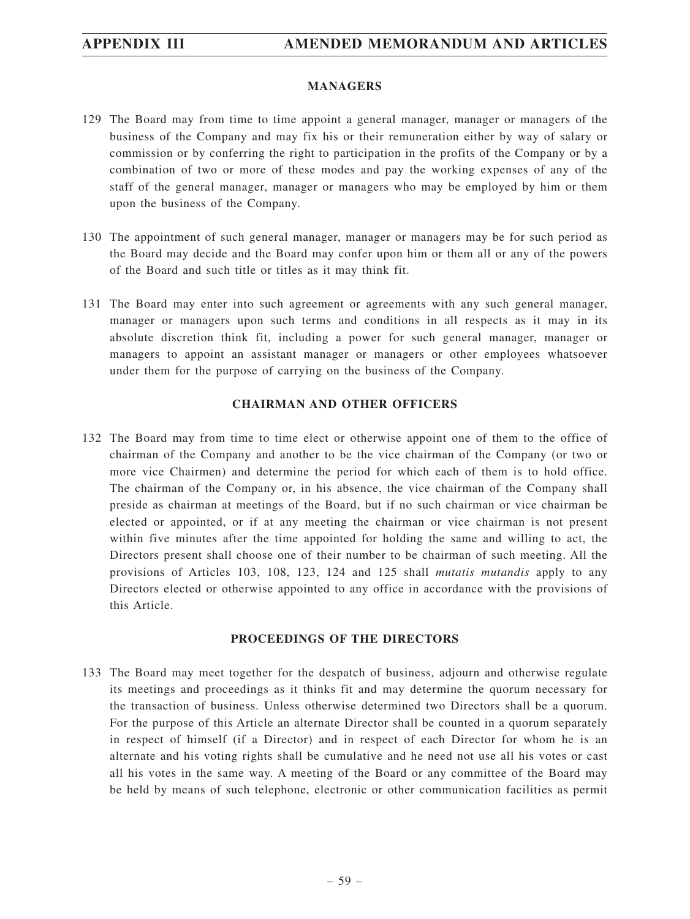## **MANAGERS**

- 129 The Board may from time to time appoint a general manager, manager or managers of the business of the Company and may fix his or their remuneration either by way of salary or commission or by conferring the right to participation in the profits of the Company or by a combination of two or more of these modes and pay the working expenses of any of the staff of the general manager, manager or managers who may be employed by him or them upon the business of the Company.
- 130 The appointment of such general manager, manager or managers may be for such period as the Board may decide and the Board may confer upon him or them all or any of the powers of the Board and such title or titles as it may think fit.
- 131 The Board may enter into such agreement or agreements with any such general manager, manager or managers upon such terms and conditions in all respects as it may in its absolute discretion think fit, including a power for such general manager, manager or managers to appoint an assistant manager or managers or other employees whatsoever under them for the purpose of carrying on the business of the Company.

## **CHAIRMAN AND OTHER OFFICERS**

132 The Board may from time to time elect or otherwise appoint one of them to the office of chairman of the Company and another to be the vice chairman of the Company (or two or more vice Chairmen) and determine the period for which each of them is to hold office. The chairman of the Company or, in his absence, the vice chairman of the Company shall preside as chairman at meetings of the Board, but if no such chairman or vice chairman be elected or appointed, or if at any meeting the chairman or vice chairman is not present within five minutes after the time appointed for holding the same and willing to act, the Directors present shall choose one of their number to be chairman of such meeting. All the provisions of Articles 103, 108, 123, 124 and 125 shall *mutatis mutandis* apply to any Directors elected or otherwise appointed to any office in accordance with the provisions of this Article.

## **PROCEEDINGS OF THE DIRECTORS**

133 The Board may meet together for the despatch of business, adjourn and otherwise regulate its meetings and proceedings as it thinks fit and may determine the quorum necessary for the transaction of business. Unless otherwise determined two Directors shall be a quorum. For the purpose of this Article an alternate Director shall be counted in a quorum separately in respect of himself (if a Director) and in respect of each Director for whom he is an alternate and his voting rights shall be cumulative and he need not use all his votes or cast all his votes in the same way. A meeting of the Board or any committee of the Board may be held by means of such telephone, electronic or other communication facilities as permit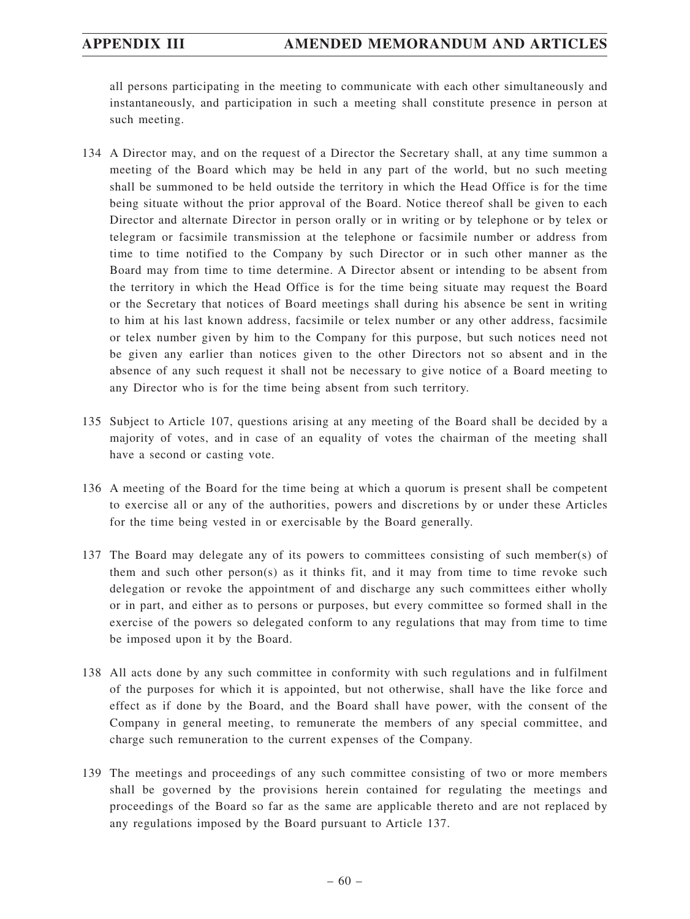all persons participating in the meeting to communicate with each other simultaneously and instantaneously, and participation in such a meeting shall constitute presence in person at such meeting.

- 134 A Director may, and on the request of a Director the Secretary shall, at any time summon a meeting of the Board which may be held in any part of the world, but no such meeting shall be summoned to be held outside the territory in which the Head Office is for the time being situate without the prior approval of the Board. Notice thereof shall be given to each Director and alternate Director in person orally or in writing or by telephone or by telex or telegram or facsimile transmission at the telephone or facsimile number or address from time to time notified to the Company by such Director or in such other manner as the Board may from time to time determine. A Director absent or intending to be absent from the territory in which the Head Office is for the time being situate may request the Board or the Secretary that notices of Board meetings shall during his absence be sent in writing to him at his last known address, facsimile or telex number or any other address, facsimile or telex number given by him to the Company for this purpose, but such notices need not be given any earlier than notices given to the other Directors not so absent and in the absence of any such request it shall not be necessary to give notice of a Board meeting to any Director who is for the time being absent from such territory.
- 135 Subject to Article 107, questions arising at any meeting of the Board shall be decided by a majority of votes, and in case of an equality of votes the chairman of the meeting shall have a second or casting vote.
- 136 A meeting of the Board for the time being at which a quorum is present shall be competent to exercise all or any of the authorities, powers and discretions by or under these Articles for the time being vested in or exercisable by the Board generally.
- 137 The Board may delegate any of its powers to committees consisting of such member(s) of them and such other person(s) as it thinks fit, and it may from time to time revoke such delegation or revoke the appointment of and discharge any such committees either wholly or in part, and either as to persons or purposes, but every committee so formed shall in the exercise of the powers so delegated conform to any regulations that may from time to time be imposed upon it by the Board.
- 138 All acts done by any such committee in conformity with such regulations and in fulfilment of the purposes for which it is appointed, but not otherwise, shall have the like force and effect as if done by the Board, and the Board shall have power, with the consent of the Company in general meeting, to remunerate the members of any special committee, and charge such remuneration to the current expenses of the Company.
- 139 The meetings and proceedings of any such committee consisting of two or more members shall be governed by the provisions herein contained for regulating the meetings and proceedings of the Board so far as the same are applicable thereto and are not replaced by any regulations imposed by the Board pursuant to Article 137.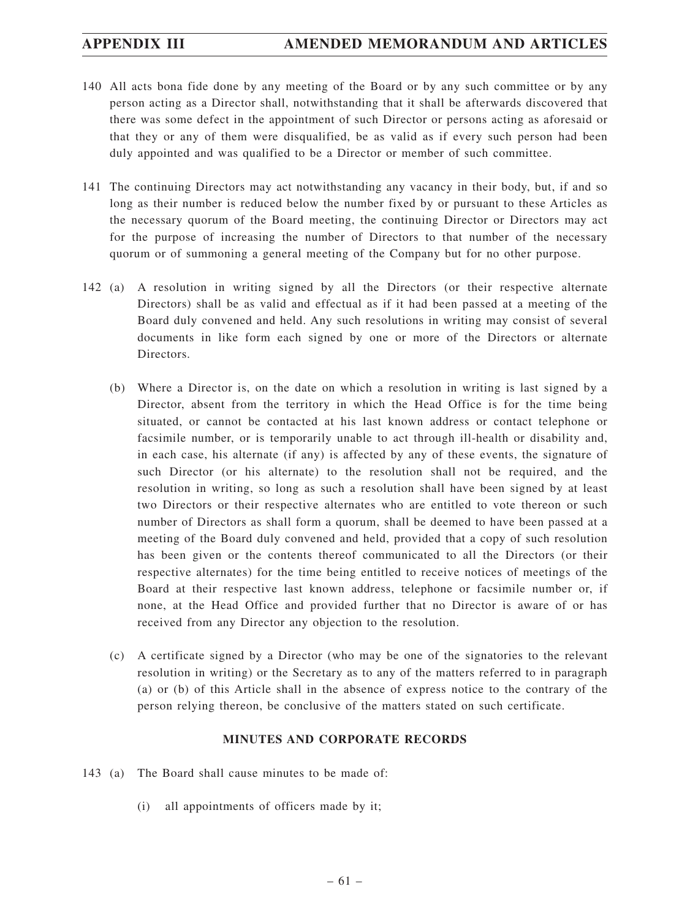- 140 All acts bona fide done by any meeting of the Board or by any such committee or by any person acting as a Director shall, notwithstanding that it shall be afterwards discovered that there was some defect in the appointment of such Director or persons acting as aforesaid or that they or any of them were disqualified, be as valid as if every such person had been duly appointed and was qualified to be a Director or member of such committee.
- 141 The continuing Directors may act notwithstanding any vacancy in their body, but, if and so long as their number is reduced below the number fixed by or pursuant to these Articles as the necessary quorum of the Board meeting, the continuing Director or Directors may act for the purpose of increasing the number of Directors to that number of the necessary quorum or of summoning a general meeting of the Company but for no other purpose.
- 142 (a) A resolution in writing signed by all the Directors (or their respective alternate Directors) shall be as valid and effectual as if it had been passed at a meeting of the Board duly convened and held. Any such resolutions in writing may consist of several documents in like form each signed by one or more of the Directors or alternate Directors.
	- (b) Where a Director is, on the date on which a resolution in writing is last signed by a Director, absent from the territory in which the Head Office is for the time being situated, or cannot be contacted at his last known address or contact telephone or facsimile number, or is temporarily unable to act through ill-health or disability and, in each case, his alternate (if any) is affected by any of these events, the signature of such Director (or his alternate) to the resolution shall not be required, and the resolution in writing, so long as such a resolution shall have been signed by at least two Directors or their respective alternates who are entitled to vote thereon or such number of Directors as shall form a quorum, shall be deemed to have been passed at a meeting of the Board duly convened and held, provided that a copy of such resolution has been given or the contents thereof communicated to all the Directors (or their respective alternates) for the time being entitled to receive notices of meetings of the Board at their respective last known address, telephone or facsimile number or, if none, at the Head Office and provided further that no Director is aware of or has received from any Director any objection to the resolution.
	- (c) A certificate signed by a Director (who may be one of the signatories to the relevant resolution in writing) or the Secretary as to any of the matters referred to in paragraph (a) or (b) of this Article shall in the absence of express notice to the contrary of the person relying thereon, be conclusive of the matters stated on such certificate.

## **MINUTES AND CORPORATE RECORDS**

- 143 (a) The Board shall cause minutes to be made of:
	- (i) all appointments of officers made by it;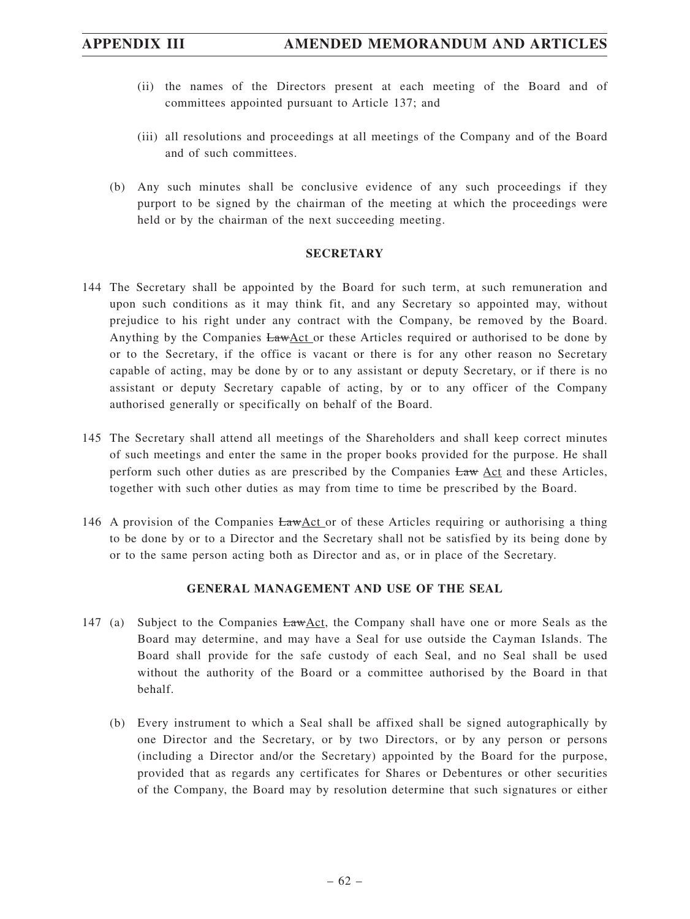# **APPENDIX III AMENDED MEMORANDUM AND ARTICLES**

- (ii) the names of the Directors present at each meeting of the Board and of committees appointed pursuant to Article 137; and
- (iii) all resolutions and proceedings at all meetings of the Company and of the Board and of such committees.
- (b) Any such minutes shall be conclusive evidence of any such proceedings if they purport to be signed by the chairman of the meeting at which the proceedings were held or by the chairman of the next succeeding meeting.

## **SECRETARY**

- 144 The Secretary shall be appointed by the Board for such term, at such remuneration and upon such conditions as it may think fit, and any Secretary so appointed may, without prejudice to his right under any contract with the Company, be removed by the Board. Anything by the Companies LawAct or these Articles required or authorised to be done by or to the Secretary, if the office is vacant or there is for any other reason no Secretary capable of acting, may be done by or to any assistant or deputy Secretary, or if there is no assistant or deputy Secretary capable of acting, by or to any officer of the Company authorised generally or specifically on behalf of the Board.
- 145 The Secretary shall attend all meetings of the Shareholders and shall keep correct minutes of such meetings and enter the same in the proper books provided for the purpose. He shall perform such other duties as are prescribed by the Companies Law Act and these Articles, together with such other duties as may from time to time be prescribed by the Board.
- 146 A provision of the Companies  $LawAct$  or of these Articles requiring or authorising a thing to be done by or to a Director and the Secretary shall not be satisfied by its being done by or to the same person acting both as Director and as, or in place of the Secretary.

## **GENERAL MANAGEMENT AND USE OF THE SEAL**

- 147 (a) Subject to the Companies LawAct, the Company shall have one or more Seals as the Board may determine, and may have a Seal for use outside the Cayman Islands. The Board shall provide for the safe custody of each Seal, and no Seal shall be used without the authority of the Board or a committee authorised by the Board in that behalf.
	- (b) Every instrument to which a Seal shall be affixed shall be signed autographically by one Director and the Secretary, or by two Directors, or by any person or persons (including a Director and/or the Secretary) appointed by the Board for the purpose, provided that as regards any certificates for Shares or Debentures or other securities of the Company, the Board may by resolution determine that such signatures or either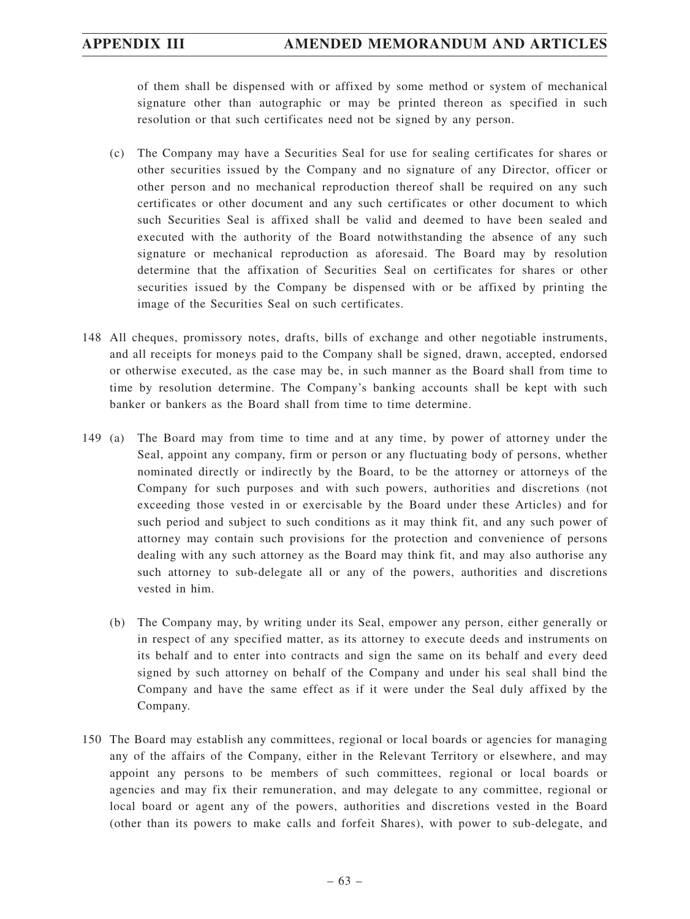of them shall be dispensed with or affixed by some method or system of mechanical signature other than autographic or may be printed thereon as specified in such resolution or that such certificates need not be signed by any person.

- (c) The Company may have a Securities Seal for use for sealing certificates for shares or other securities issued by the Company and no signature of any Director, officer or other person and no mechanical reproduction thereof shall be required on any such certificates or other document and any such certificates or other document to which such Securities Seal is affixed shall be valid and deemed to have been sealed and executed with the authority of the Board notwithstanding the absence of any such signature or mechanical reproduction as aforesaid. The Board may by resolution determine that the affixation of Securities Seal on certificates for shares or other securities issued by the Company be dispensed with or be affixed by printing the image of the Securities Seal on such certificates.
- 148 All cheques, promissory notes, drafts, bills of exchange and other negotiable instruments, and all receipts for moneys paid to the Company shall be signed, drawn, accepted, endorsed or otherwise executed, as the case may be, in such manner as the Board shall from time to time by resolution determine. The Company's banking accounts shall be kept with such banker or bankers as the Board shall from time to time determine.
- 149 (a) The Board may from time to time and at any time, by power of attorney under the Seal, appoint any company, firm or person or any fluctuating body of persons, whether nominated directly or indirectly by the Board, to be the attorney or attorneys of the Company for such purposes and with such powers, authorities and discretions (not exceeding those vested in or exercisable by the Board under these Articles) and for such period and subject to such conditions as it may think fit, and any such power of attorney may contain such provisions for the protection and convenience of persons dealing with any such attorney as the Board may think fit, and may also authorise any such attorney to sub-delegate all or any of the powers, authorities and discretions vested in him.
	- (b) The Company may, by writing under its Seal, empower any person, either generally or in respect of any specified matter, as its attorney to execute deeds and instruments on its behalf and to enter into contracts and sign the same on its behalf and every deed signed by such attorney on behalf of the Company and under his seal shall bind the Company and have the same effect as if it were under the Seal duly affixed by the Company.
- 150 The Board may establish any committees, regional or local boards or agencies for managing any of the affairs of the Company, either in the Relevant Territory or elsewhere, and may appoint any persons to be members of such committees, regional or local boards or agencies and may fix their remuneration, and may delegate to any committee, regional or local board or agent any of the powers, authorities and discretions vested in the Board (other than its powers to make calls and forfeit Shares), with power to sub-delegate, and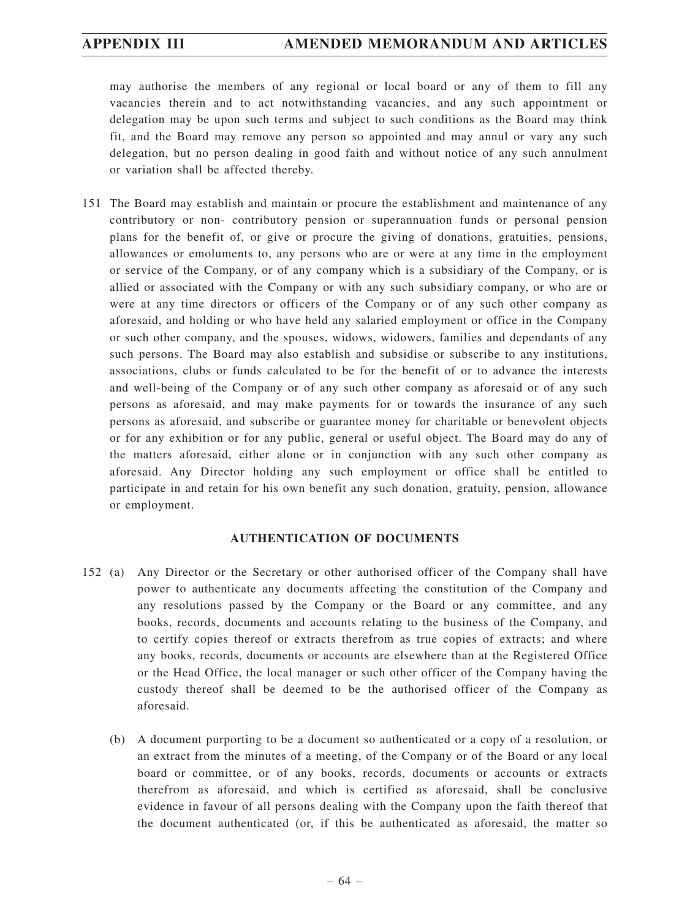may authorise the members of any regional or local board or any of them to fill any vacancies therein and to act notwithstanding vacancies, and any such appointment or delegation may be upon such terms and subject to such conditions as the Board may think fit, and the Board may remove any person so appointed and may annul or vary any such delegation, but no person dealing in good faith and without notice of any such annulment or variation shall be affected thereby.

151 The Board may establish and maintain or procure the establishment and maintenance of any contributory or non- contributory pension or superannuation funds or personal pension plans for the benefit of, or give or procure the giving of donations, gratuities, pensions, allowances or emoluments to, any persons who are or were at any time in the employment or service of the Company, or of any company which is a subsidiary of the Company, or is allied or associated with the Company or with any such subsidiary company, or who are or were at any time directors or officers of the Company or of any such other company as aforesaid, and holding or who have held any salaried employment or office in the Company or such other company, and the spouses, widows, widowers, families and dependants of any such persons. The Board may also establish and subsidise or subscribe to any institutions, associations, clubs or funds calculated to be for the benefit of or to advance the interests and well-being of the Company or of any such other company as aforesaid or of any such persons as aforesaid, and may make payments for or towards the insurance of any such persons as aforesaid, and subscribe or guarantee money for charitable or benevolent objects or for any exhibition or for any public, general or useful object. The Board may do any of the matters aforesaid, either alone or in conjunction with any such other company as aforesaid. Any Director holding any such employment or office shall be entitled to participate in and retain for his own benefit any such donation, gratuity, pension, allowance or employment.

## **AUTHENTICATION OF DOCUMENTS**

- 152 (a) Any Director or the Secretary or other authorised officer of the Company shall have power to authenticate any documents affecting the constitution of the Company and any resolutions passed by the Company or the Board or any committee, and any books, records, documents and accounts relating to the business of the Company, and to certify copies thereof or extracts therefrom as true copies of extracts; and where any books, records, documents or accounts are elsewhere than at the Registered Office or the Head Office, the local manager or such other officer of the Company having the custody thereof shall be deemed to be the authorised officer of the Company as aforesaid.
	- (b) A document purporting to be a document so authenticated or a copy of a resolution, or an extract from the minutes of a meeting, of the Company or of the Board or any local board or committee, or of any books, records, documents or accounts or extracts therefrom as aforesaid, and which is certified as aforesaid, shall be conclusive evidence in favour of all persons dealing with the Company upon the faith thereof that the document authenticated (or, if this be authenticated as aforesaid, the matter so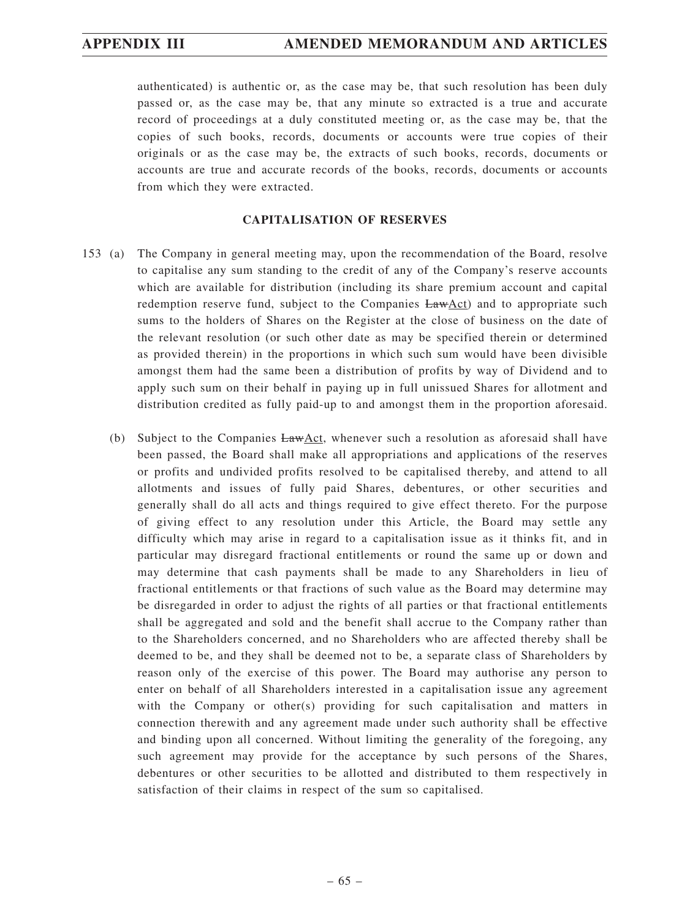authenticated) is authentic or, as the case may be, that such resolution has been duly passed or, as the case may be, that any minute so extracted is a true and accurate record of proceedings at a duly constituted meeting or, as the case may be, that the copies of such books, records, documents or accounts were true copies of their originals or as the case may be, the extracts of such books, records, documents or accounts are true and accurate records of the books, records, documents or accounts from which they were extracted.

## **CAPITALISATION OF RESERVES**

- 153 (a) The Company in general meeting may, upon the recommendation of the Board, resolve to capitalise any sum standing to the credit of any of the Company's reserve accounts which are available for distribution (including its share premium account and capital redemption reserve fund, subject to the Companies  $EawAct$ ) and to appropriate such sums to the holders of Shares on the Register at the close of business on the date of the relevant resolution (or such other date as may be specified therein or determined as provided therein) in the proportions in which such sum would have been divisible amongst them had the same been a distribution of profits by way of Dividend and to apply such sum on their behalf in paying up in full unissued Shares for allotment and distribution credited as fully paid-up to and amongst them in the proportion aforesaid.
	- (b) Subject to the Companies LawAct, whenever such a resolution as aforesaid shall have been passed, the Board shall make all appropriations and applications of the reserves or profits and undivided profits resolved to be capitalised thereby, and attend to all allotments and issues of fully paid Shares, debentures, or other securities and generally shall do all acts and things required to give effect thereto. For the purpose of giving effect to any resolution under this Article, the Board may settle any difficulty which may arise in regard to a capitalisation issue as it thinks fit, and in particular may disregard fractional entitlements or round the same up or down and may determine that cash payments shall be made to any Shareholders in lieu of fractional entitlements or that fractions of such value as the Board may determine may be disregarded in order to adjust the rights of all parties or that fractional entitlements shall be aggregated and sold and the benefit shall accrue to the Company rather than to the Shareholders concerned, and no Shareholders who are affected thereby shall be deemed to be, and they shall be deemed not to be, a separate class of Shareholders by reason only of the exercise of this power. The Board may authorise any person to enter on behalf of all Shareholders interested in a capitalisation issue any agreement with the Company or other(s) providing for such capitalisation and matters in connection therewith and any agreement made under such authority shall be effective and binding upon all concerned. Without limiting the generality of the foregoing, any such agreement may provide for the acceptance by such persons of the Shares, debentures or other securities to be allotted and distributed to them respectively in satisfaction of their claims in respect of the sum so capitalised.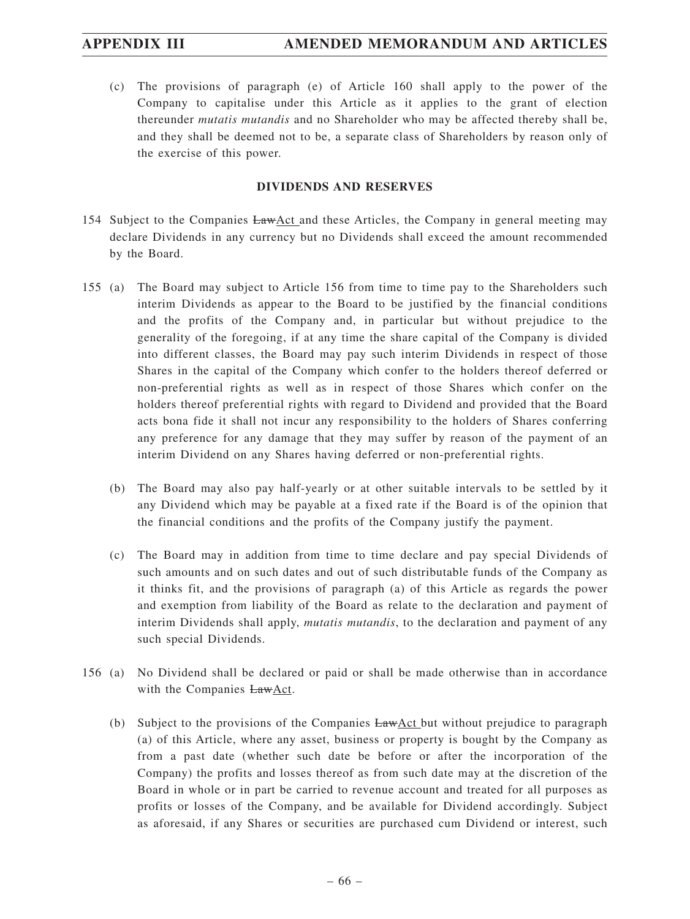(c) The provisions of paragraph (e) of Article 160 shall apply to the power of the Company to capitalise under this Article as it applies to the grant of election thereunder *mutatis mutandis* and no Shareholder who may be affected thereby shall be, and they shall be deemed not to be, a separate class of Shareholders by reason only of the exercise of this power.

## **DIVIDENDS AND RESERVES**

- 154 Subject to the Companies LawAct and these Articles, the Company in general meeting may declare Dividends in any currency but no Dividends shall exceed the amount recommended by the Board.
- 155 (a) The Board may subject to Article 156 from time to time pay to the Shareholders such interim Dividends as appear to the Board to be justified by the financial conditions and the profits of the Company and, in particular but without prejudice to the generality of the foregoing, if at any time the share capital of the Company is divided into different classes, the Board may pay such interim Dividends in respect of those Shares in the capital of the Company which confer to the holders thereof deferred or non-preferential rights as well as in respect of those Shares which confer on the holders thereof preferential rights with regard to Dividend and provided that the Board acts bona fide it shall not incur any responsibility to the holders of Shares conferring any preference for any damage that they may suffer by reason of the payment of an interim Dividend on any Shares having deferred or non-preferential rights.
	- (b) The Board may also pay half-yearly or at other suitable intervals to be settled by it any Dividend which may be payable at a fixed rate if the Board is of the opinion that the financial conditions and the profits of the Company justify the payment.
	- (c) The Board may in addition from time to time declare and pay special Dividends of such amounts and on such dates and out of such distributable funds of the Company as it thinks fit, and the provisions of paragraph (a) of this Article as regards the power and exemption from liability of the Board as relate to the declaration and payment of interim Dividends shall apply, *mutatis mutandis*, to the declaration and payment of any such special Dividends.
- 156 (a) No Dividend shall be declared or paid or shall be made otherwise than in accordance with the Companies LawAct.
	- (b) Subject to the provisions of the Companies LawAct but without prejudice to paragraph (a) of this Article, where any asset, business or property is bought by the Company as from a past date (whether such date be before or after the incorporation of the Company) the profits and losses thereof as from such date may at the discretion of the Board in whole or in part be carried to revenue account and treated for all purposes as profits or losses of the Company, and be available for Dividend accordingly. Subject as aforesaid, if any Shares or securities are purchased cum Dividend or interest, such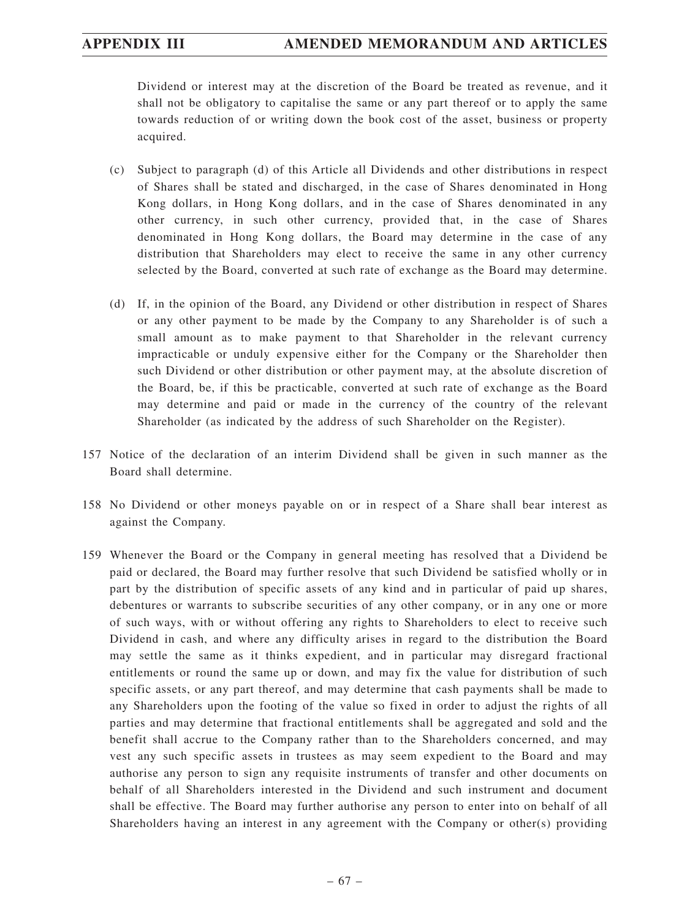Dividend or interest may at the discretion of the Board be treated as revenue, and it shall not be obligatory to capitalise the same or any part thereof or to apply the same towards reduction of or writing down the book cost of the asset, business or property acquired.

- (c) Subject to paragraph (d) of this Article all Dividends and other distributions in respect of Shares shall be stated and discharged, in the case of Shares denominated in Hong Kong dollars, in Hong Kong dollars, and in the case of Shares denominated in any other currency, in such other currency, provided that, in the case of Shares denominated in Hong Kong dollars, the Board may determine in the case of any distribution that Shareholders may elect to receive the same in any other currency selected by the Board, converted at such rate of exchange as the Board may determine.
- (d) If, in the opinion of the Board, any Dividend or other distribution in respect of Shares or any other payment to be made by the Company to any Shareholder is of such a small amount as to make payment to that Shareholder in the relevant currency impracticable or unduly expensive either for the Company or the Shareholder then such Dividend or other distribution or other payment may, at the absolute discretion of the Board, be, if this be practicable, converted at such rate of exchange as the Board may determine and paid or made in the currency of the country of the relevant Shareholder (as indicated by the address of such Shareholder on the Register).
- 157 Notice of the declaration of an interim Dividend shall be given in such manner as the Board shall determine.
- 158 No Dividend or other moneys payable on or in respect of a Share shall bear interest as against the Company.
- 159 Whenever the Board or the Company in general meeting has resolved that a Dividend be paid or declared, the Board may further resolve that such Dividend be satisfied wholly or in part by the distribution of specific assets of any kind and in particular of paid up shares, debentures or warrants to subscribe securities of any other company, or in any one or more of such ways, with or without offering any rights to Shareholders to elect to receive such Dividend in cash, and where any difficulty arises in regard to the distribution the Board may settle the same as it thinks expedient, and in particular may disregard fractional entitlements or round the same up or down, and may fix the value for distribution of such specific assets, or any part thereof, and may determine that cash payments shall be made to any Shareholders upon the footing of the value so fixed in order to adjust the rights of all parties and may determine that fractional entitlements shall be aggregated and sold and the benefit shall accrue to the Company rather than to the Shareholders concerned, and may vest any such specific assets in trustees as may seem expedient to the Board and may authorise any person to sign any requisite instruments of transfer and other documents on behalf of all Shareholders interested in the Dividend and such instrument and document shall be effective. The Board may further authorise any person to enter into on behalf of all Shareholders having an interest in any agreement with the Company or other(s) providing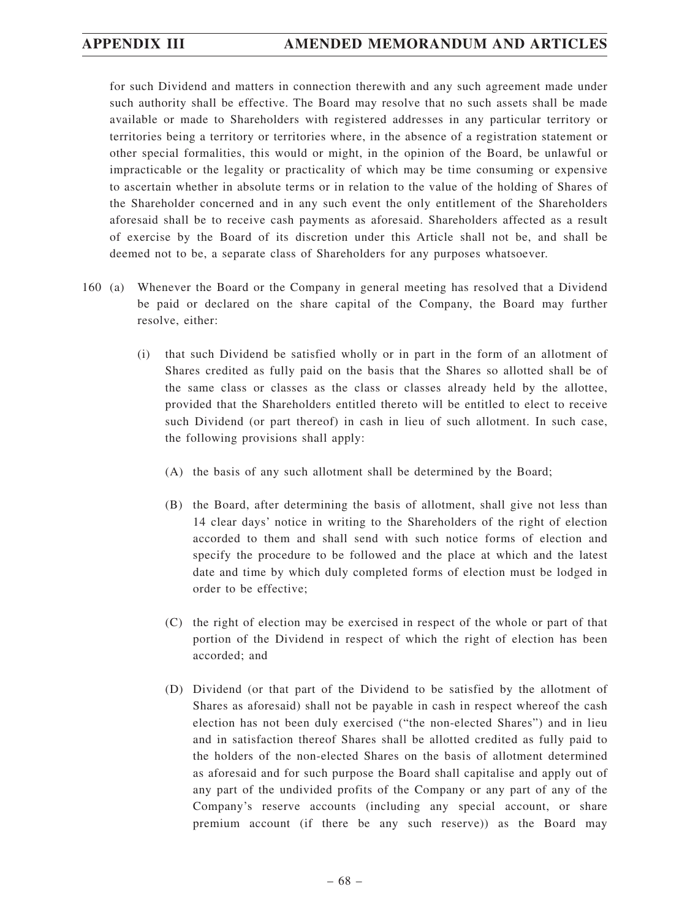for such Dividend and matters in connection therewith and any such agreement made under such authority shall be effective. The Board may resolve that no such assets shall be made available or made to Shareholders with registered addresses in any particular territory or territories being a territory or territories where, in the absence of a registration statement or other special formalities, this would or might, in the opinion of the Board, be unlawful or impracticable or the legality or practicality of which may be time consuming or expensive to ascertain whether in absolute terms or in relation to the value of the holding of Shares of the Shareholder concerned and in any such event the only entitlement of the Shareholders aforesaid shall be to receive cash payments as aforesaid. Shareholders affected as a result of exercise by the Board of its discretion under this Article shall not be, and shall be deemed not to be, a separate class of Shareholders for any purposes whatsoever.

- 160 (a) Whenever the Board or the Company in general meeting has resolved that a Dividend be paid or declared on the share capital of the Company, the Board may further resolve, either:
	- (i) that such Dividend be satisfied wholly or in part in the form of an allotment of Shares credited as fully paid on the basis that the Shares so allotted shall be of the same class or classes as the class or classes already held by the allottee, provided that the Shareholders entitled thereto will be entitled to elect to receive such Dividend (or part thereof) in cash in lieu of such allotment. In such case, the following provisions shall apply:
		- (A) the basis of any such allotment shall be determined by the Board;
		- (B) the Board, after determining the basis of allotment, shall give not less than 14 clear days' notice in writing to the Shareholders of the right of election accorded to them and shall send with such notice forms of election and specify the procedure to be followed and the place at which and the latest date and time by which duly completed forms of election must be lodged in order to be effective;
		- (C) the right of election may be exercised in respect of the whole or part of that portion of the Dividend in respect of which the right of election has been accorded; and
		- (D) Dividend (or that part of the Dividend to be satisfied by the allotment of Shares as aforesaid) shall not be payable in cash in respect whereof the cash election has not been duly exercised ("the non-elected Shares") and in lieu and in satisfaction thereof Shares shall be allotted credited as fully paid to the holders of the non-elected Shares on the basis of allotment determined as aforesaid and for such purpose the Board shall capitalise and apply out of any part of the undivided profits of the Company or any part of any of the Company's reserve accounts (including any special account, or share premium account (if there be any such reserve)) as the Board may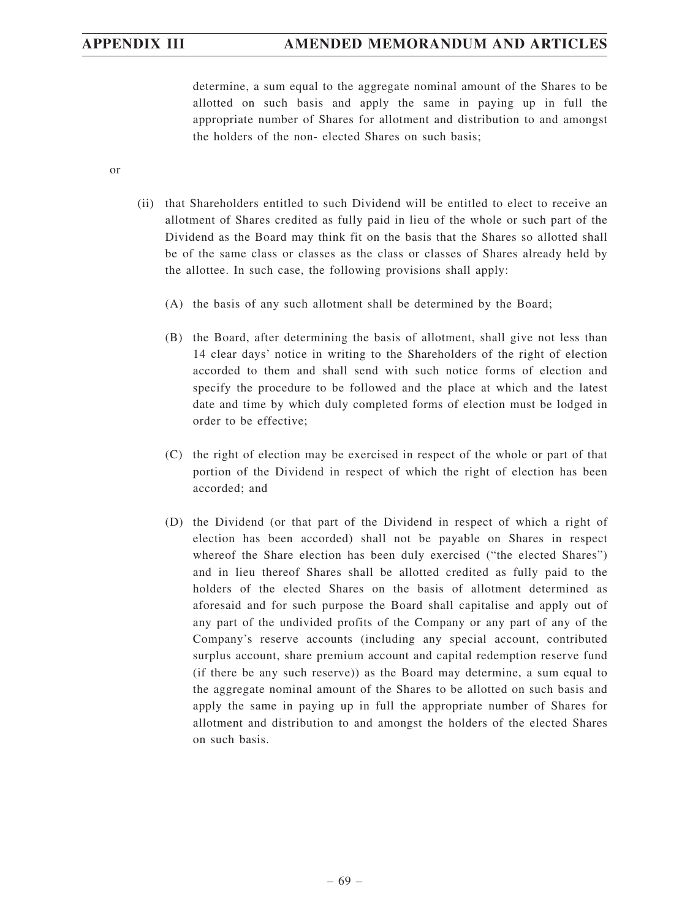determine, a sum equal to the aggregate nominal amount of the Shares to be allotted on such basis and apply the same in paying up in full the appropriate number of Shares for allotment and distribution to and amongst the holders of the non- elected Shares on such basis;

or

- (ii) that Shareholders entitled to such Dividend will be entitled to elect to receive an allotment of Shares credited as fully paid in lieu of the whole or such part of the Dividend as the Board may think fit on the basis that the Shares so allotted shall be of the same class or classes as the class or classes of Shares already held by the allottee. In such case, the following provisions shall apply:
	- (A) the basis of any such allotment shall be determined by the Board;
	- (B) the Board, after determining the basis of allotment, shall give not less than 14 clear days' notice in writing to the Shareholders of the right of election accorded to them and shall send with such notice forms of election and specify the procedure to be followed and the place at which and the latest date and time by which duly completed forms of election must be lodged in order to be effective;
	- (C) the right of election may be exercised in respect of the whole or part of that portion of the Dividend in respect of which the right of election has been accorded; and
	- (D) the Dividend (or that part of the Dividend in respect of which a right of election has been accorded) shall not be payable on Shares in respect whereof the Share election has been duly exercised ("the elected Shares") and in lieu thereof Shares shall be allotted credited as fully paid to the holders of the elected Shares on the basis of allotment determined as aforesaid and for such purpose the Board shall capitalise and apply out of any part of the undivided profits of the Company or any part of any of the Company's reserve accounts (including any special account, contributed surplus account, share premium account and capital redemption reserve fund (if there be any such reserve)) as the Board may determine, a sum equal to the aggregate nominal amount of the Shares to be allotted on such basis and apply the same in paying up in full the appropriate number of Shares for allotment and distribution to and amongst the holders of the elected Shares on such basis.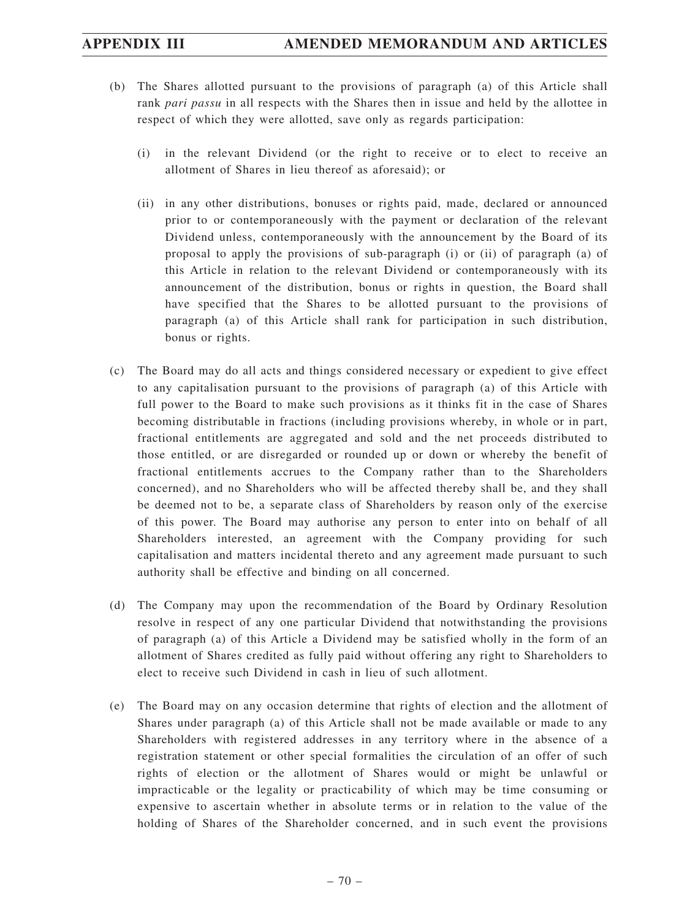- (b) The Shares allotted pursuant to the provisions of paragraph (a) of this Article shall rank *pari passu* in all respects with the Shares then in issue and held by the allottee in respect of which they were allotted, save only as regards participation:
	- (i) in the relevant Dividend (or the right to receive or to elect to receive an allotment of Shares in lieu thereof as aforesaid); or
	- (ii) in any other distributions, bonuses or rights paid, made, declared or announced prior to or contemporaneously with the payment or declaration of the relevant Dividend unless, contemporaneously with the announcement by the Board of its proposal to apply the provisions of sub-paragraph (i) or (ii) of paragraph (a) of this Article in relation to the relevant Dividend or contemporaneously with its announcement of the distribution, bonus or rights in question, the Board shall have specified that the Shares to be allotted pursuant to the provisions of paragraph (a) of this Article shall rank for participation in such distribution, bonus or rights.
- (c) The Board may do all acts and things considered necessary or expedient to give effect to any capitalisation pursuant to the provisions of paragraph (a) of this Article with full power to the Board to make such provisions as it thinks fit in the case of Shares becoming distributable in fractions (including provisions whereby, in whole or in part, fractional entitlements are aggregated and sold and the net proceeds distributed to those entitled, or are disregarded or rounded up or down or whereby the benefit of fractional entitlements accrues to the Company rather than to the Shareholders concerned), and no Shareholders who will be affected thereby shall be, and they shall be deemed not to be, a separate class of Shareholders by reason only of the exercise of this power. The Board may authorise any person to enter into on behalf of all Shareholders interested, an agreement with the Company providing for such capitalisation and matters incidental thereto and any agreement made pursuant to such authority shall be effective and binding on all concerned.
- (d) The Company may upon the recommendation of the Board by Ordinary Resolution resolve in respect of any one particular Dividend that notwithstanding the provisions of paragraph (a) of this Article a Dividend may be satisfied wholly in the form of an allotment of Shares credited as fully paid without offering any right to Shareholders to elect to receive such Dividend in cash in lieu of such allotment.
- (e) The Board may on any occasion determine that rights of election and the allotment of Shares under paragraph (a) of this Article shall not be made available or made to any Shareholders with registered addresses in any territory where in the absence of a registration statement or other special formalities the circulation of an offer of such rights of election or the allotment of Shares would or might be unlawful or impracticable or the legality or practicability of which may be time consuming or expensive to ascertain whether in absolute terms or in relation to the value of the holding of Shares of the Shareholder concerned, and in such event the provisions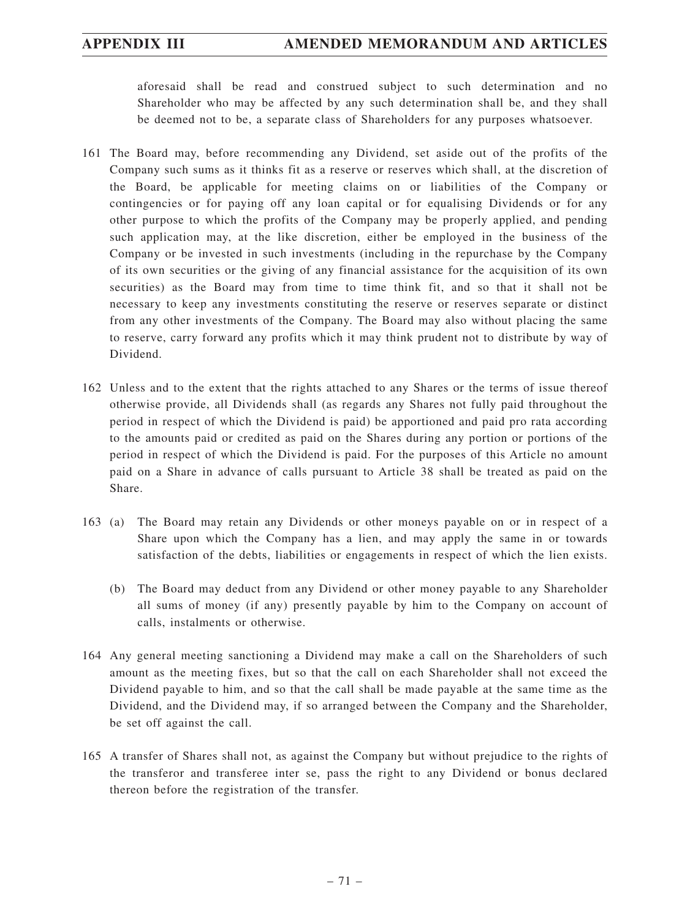aforesaid shall be read and construed subject to such determination and no Shareholder who may be affected by any such determination shall be, and they shall be deemed not to be, a separate class of Shareholders for any purposes whatsoever.

- 161 The Board may, before recommending any Dividend, set aside out of the profits of the Company such sums as it thinks fit as a reserve or reserves which shall, at the discretion of the Board, be applicable for meeting claims on or liabilities of the Company or contingencies or for paying off any loan capital or for equalising Dividends or for any other purpose to which the profits of the Company may be properly applied, and pending such application may, at the like discretion, either be employed in the business of the Company or be invested in such investments (including in the repurchase by the Company of its own securities or the giving of any financial assistance for the acquisition of its own securities) as the Board may from time to time think fit, and so that it shall not be necessary to keep any investments constituting the reserve or reserves separate or distinct from any other investments of the Company. The Board may also without placing the same to reserve, carry forward any profits which it may think prudent not to distribute by way of Dividend.
- 162 Unless and to the extent that the rights attached to any Shares or the terms of issue thereof otherwise provide, all Dividends shall (as regards any Shares not fully paid throughout the period in respect of which the Dividend is paid) be apportioned and paid pro rata according to the amounts paid or credited as paid on the Shares during any portion or portions of the period in respect of which the Dividend is paid. For the purposes of this Article no amount paid on a Share in advance of calls pursuant to Article 38 shall be treated as paid on the Share.
- 163 (a) The Board may retain any Dividends or other moneys payable on or in respect of a Share upon which the Company has a lien, and may apply the same in or towards satisfaction of the debts, liabilities or engagements in respect of which the lien exists.
	- (b) The Board may deduct from any Dividend or other money payable to any Shareholder all sums of money (if any) presently payable by him to the Company on account of calls, instalments or otherwise.
- 164 Any general meeting sanctioning a Dividend may make a call on the Shareholders of such amount as the meeting fixes, but so that the call on each Shareholder shall not exceed the Dividend payable to him, and so that the call shall be made payable at the same time as the Dividend, and the Dividend may, if so arranged between the Company and the Shareholder, be set off against the call.
- 165 A transfer of Shares shall not, as against the Company but without prejudice to the rights of the transferor and transferee inter se, pass the right to any Dividend or bonus declared thereon before the registration of the transfer.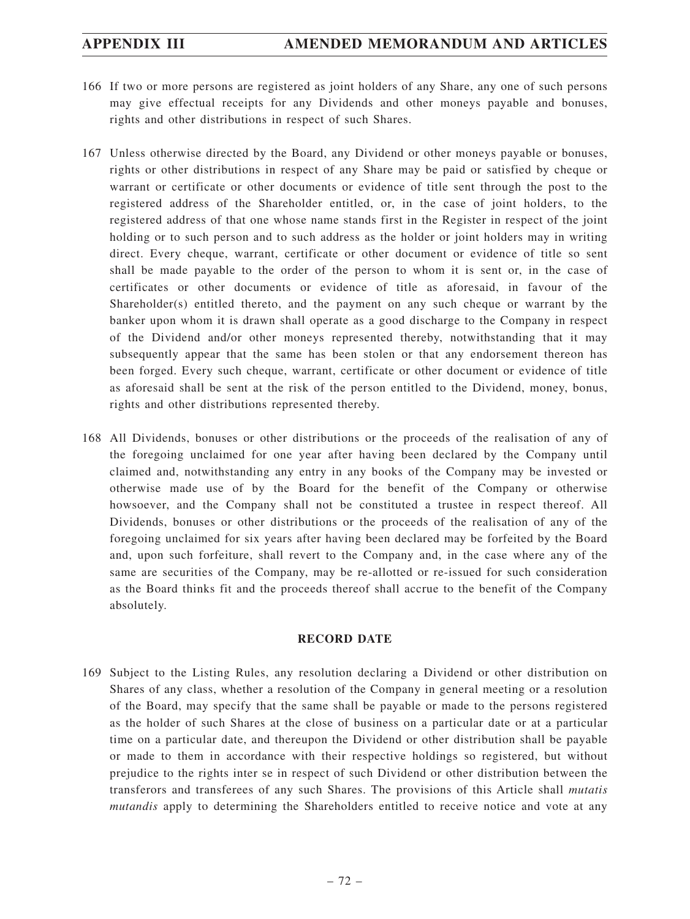- 166 If two or more persons are registered as joint holders of any Share, any one of such persons may give effectual receipts for any Dividends and other moneys payable and bonuses, rights and other distributions in respect of such Shares.
- 167 Unless otherwise directed by the Board, any Dividend or other moneys payable or bonuses, rights or other distributions in respect of any Share may be paid or satisfied by cheque or warrant or certificate or other documents or evidence of title sent through the post to the registered address of the Shareholder entitled, or, in the case of joint holders, to the registered address of that one whose name stands first in the Register in respect of the joint holding or to such person and to such address as the holder or joint holders may in writing direct. Every cheque, warrant, certificate or other document or evidence of title so sent shall be made payable to the order of the person to whom it is sent or, in the case of certificates or other documents or evidence of title as aforesaid, in favour of the Shareholder(s) entitled thereto, and the payment on any such cheque or warrant by the banker upon whom it is drawn shall operate as a good discharge to the Company in respect of the Dividend and/or other moneys represented thereby, notwithstanding that it may subsequently appear that the same has been stolen or that any endorsement thereon has been forged. Every such cheque, warrant, certificate or other document or evidence of title as aforesaid shall be sent at the risk of the person entitled to the Dividend, money, bonus, rights and other distributions represented thereby.
- 168 All Dividends, bonuses or other distributions or the proceeds of the realisation of any of the foregoing unclaimed for one year after having been declared by the Company until claimed and, notwithstanding any entry in any books of the Company may be invested or otherwise made use of by the Board for the benefit of the Company or otherwise howsoever, and the Company shall not be constituted a trustee in respect thereof. All Dividends, bonuses or other distributions or the proceeds of the realisation of any of the foregoing unclaimed for six years after having been declared may be forfeited by the Board and, upon such forfeiture, shall revert to the Company and, in the case where any of the same are securities of the Company, may be re-allotted or re-issued for such consideration as the Board thinks fit and the proceeds thereof shall accrue to the benefit of the Company absolutely.

## **RECORD DATE**

169 Subject to the Listing Rules, any resolution declaring a Dividend or other distribution on Shares of any class, whether a resolution of the Company in general meeting or a resolution of the Board, may specify that the same shall be payable or made to the persons registered as the holder of such Shares at the close of business on a particular date or at a particular time on a particular date, and thereupon the Dividend or other distribution shall be payable or made to them in accordance with their respective holdings so registered, but without prejudice to the rights inter se in respect of such Dividend or other distribution between the transferors and transferees of any such Shares. The provisions of this Article shall *mutatis mutandis* apply to determining the Shareholders entitled to receive notice and vote at any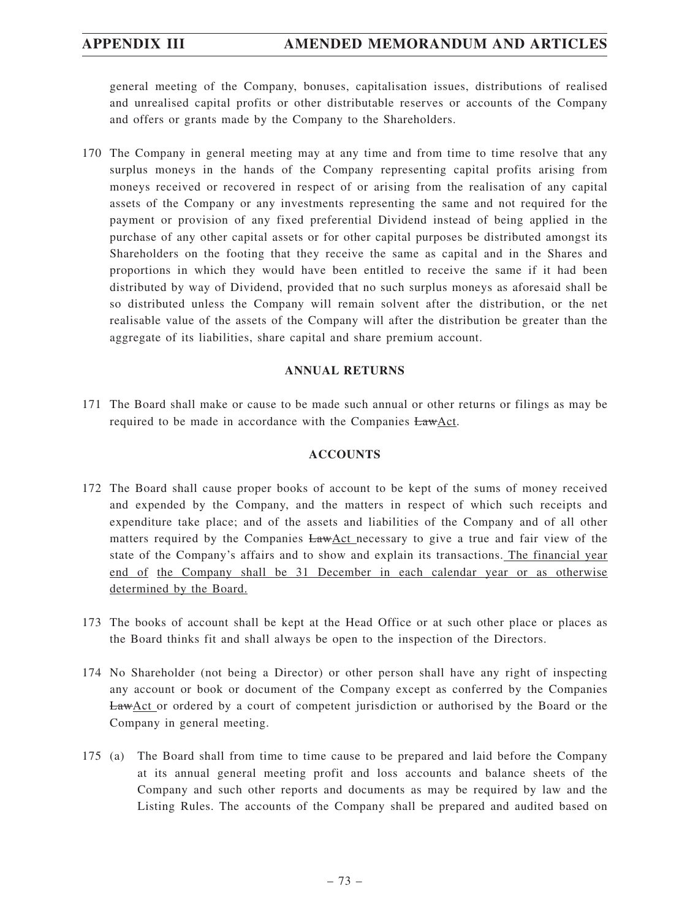general meeting of the Company, bonuses, capitalisation issues, distributions of realised and unrealised capital profits or other distributable reserves or accounts of the Company and offers or grants made by the Company to the Shareholders.

170 The Company in general meeting may at any time and from time to time resolve that any surplus moneys in the hands of the Company representing capital profits arising from moneys received or recovered in respect of or arising from the realisation of any capital assets of the Company or any investments representing the same and not required for the payment or provision of any fixed preferential Dividend instead of being applied in the purchase of any other capital assets or for other capital purposes be distributed amongst its Shareholders on the footing that they receive the same as capital and in the Shares and proportions in which they would have been entitled to receive the same if it had been distributed by way of Dividend, provided that no such surplus moneys as aforesaid shall be so distributed unless the Company will remain solvent after the distribution, or the net realisable value of the assets of the Company will after the distribution be greater than the aggregate of its liabilities, share capital and share premium account.

### **ANNUAL RETURNS**

171 The Board shall make or cause to be made such annual or other returns or filings as may be required to be made in accordance with the Companies LawAct.

## **ACCOUNTS**

- 172 The Board shall cause proper books of account to be kept of the sums of money received and expended by the Company, and the matters in respect of which such receipts and expenditure take place; and of the assets and liabilities of the Company and of all other matters required by the Companies LawAct necessary to give a true and fair view of the state of the Company's affairs and to show and explain its transactions. The financial year end of the Company shall be 31 December in each calendar year or as otherwise determined by the Board.
- 173 The books of account shall be kept at the Head Office or at such other place or places as the Board thinks fit and shall always be open to the inspection of the Directors.
- 174 No Shareholder (not being a Director) or other person shall have any right of inspecting any account or book or document of the Company except as conferred by the Companies LawAct or ordered by a court of competent jurisdiction or authorised by the Board or the Company in general meeting.
- 175 (a) The Board shall from time to time cause to be prepared and laid before the Company at its annual general meeting profit and loss accounts and balance sheets of the Company and such other reports and documents as may be required by law and the Listing Rules. The accounts of the Company shall be prepared and audited based on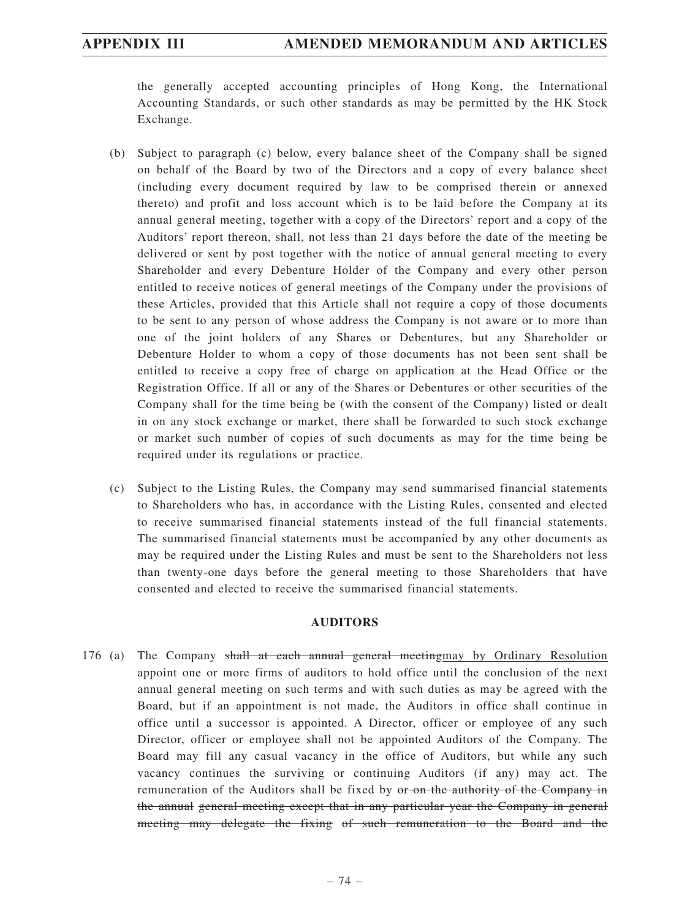the generally accepted accounting principles of Hong Kong, the International Accounting Standards, or such other standards as may be permitted by the HK Stock Exchange.

- (b) Subject to paragraph (c) below, every balance sheet of the Company shall be signed on behalf of the Board by two of the Directors and a copy of every balance sheet (including every document required by law to be comprised therein or annexed thereto) and profit and loss account which is to be laid before the Company at its annual general meeting, together with a copy of the Directors' report and a copy of the Auditors' report thereon, shall, not less than 21 days before the date of the meeting be delivered or sent by post together with the notice of annual general meeting to every Shareholder and every Debenture Holder of the Company and every other person entitled to receive notices of general meetings of the Company under the provisions of these Articles, provided that this Article shall not require a copy of those documents to be sent to any person of whose address the Company is not aware or to more than one of the joint holders of any Shares or Debentures, but any Shareholder or Debenture Holder to whom a copy of those documents has not been sent shall be entitled to receive a copy free of charge on application at the Head Office or the Registration Office. If all or any of the Shares or Debentures or other securities of the Company shall for the time being be (with the consent of the Company) listed or dealt in on any stock exchange or market, there shall be forwarded to such stock exchange or market such number of copies of such documents as may for the time being be required under its regulations or practice.
- (c) Subject to the Listing Rules, the Company may send summarised financial statements to Shareholders who has, in accordance with the Listing Rules, consented and elected to receive summarised financial statements instead of the full financial statements. The summarised financial statements must be accompanied by any other documents as may be required under the Listing Rules and must be sent to the Shareholders not less than twenty-one days before the general meeting to those Shareholders that have consented and elected to receive the summarised financial statements.

## **AUDITORS**

176 (a) The Company shall at each annual general meetingmay by Ordinary Resolution appoint one or more firms of auditors to hold office until the conclusion of the next annual general meeting on such terms and with such duties as may be agreed with the Board, but if an appointment is not made, the Auditors in office shall continue in office until a successor is appointed. A Director, officer or employee of any such Director, officer or employee shall not be appointed Auditors of the Company. The Board may fill any casual vacancy in the office of Auditors, but while any such vacancy continues the surviving or continuing Auditors (if any) may act. The remuneration of the Auditors shall be fixed by or on the authority of the Company in the annual general meeting except that in any particular year the Company in general meeting may delegate the fixing of such remuneration to the Board and the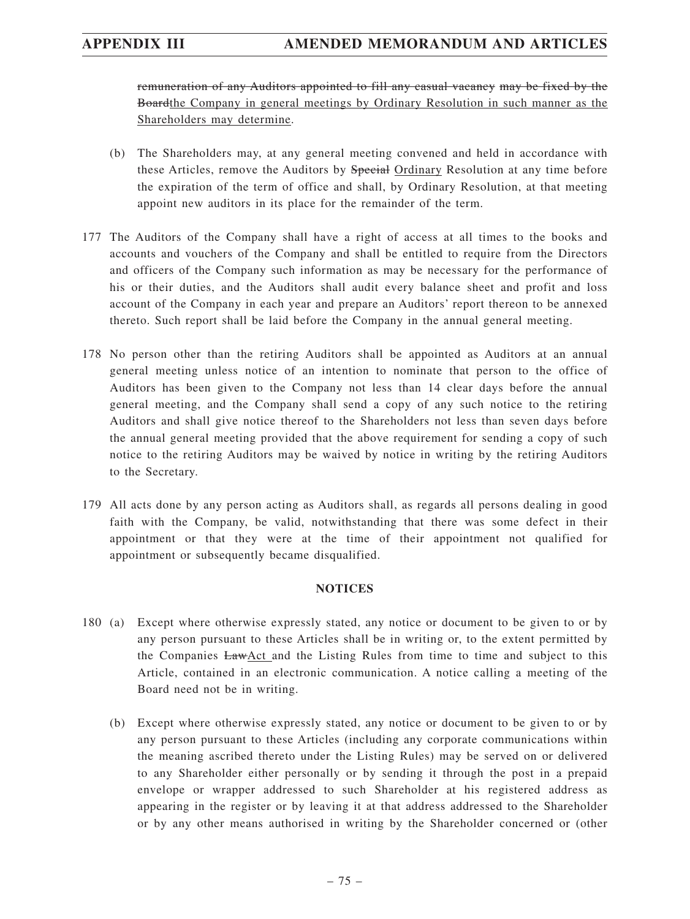## **APPENDIX III AMENDED MEMORANDUM AND ARTICLES**

remuneration of any Auditors appointed to fill any casual vacancy may be fixed by the Boardthe Company in general meetings by Ordinary Resolution in such manner as the Shareholders may determine.

- (b) The Shareholders may, at any general meeting convened and held in accordance with these Articles, remove the Auditors by Special Ordinary Resolution at any time before the expiration of the term of office and shall, by Ordinary Resolution, at that meeting appoint new auditors in its place for the remainder of the term.
- 177 The Auditors of the Company shall have a right of access at all times to the books and accounts and vouchers of the Company and shall be entitled to require from the Directors and officers of the Company such information as may be necessary for the performance of his or their duties, and the Auditors shall audit every balance sheet and profit and loss account of the Company in each year and prepare an Auditors' report thereon to be annexed thereto. Such report shall be laid before the Company in the annual general meeting.
- 178 No person other than the retiring Auditors shall be appointed as Auditors at an annual general meeting unless notice of an intention to nominate that person to the office of Auditors has been given to the Company not less than 14 clear days before the annual general meeting, and the Company shall send a copy of any such notice to the retiring Auditors and shall give notice thereof to the Shareholders not less than seven days before the annual general meeting provided that the above requirement for sending a copy of such notice to the retiring Auditors may be waived by notice in writing by the retiring Auditors to the Secretary.
- 179 All acts done by any person acting as Auditors shall, as regards all persons dealing in good faith with the Company, be valid, notwithstanding that there was some defect in their appointment or that they were at the time of their appointment not qualified for appointment or subsequently became disqualified.

## **NOTICES**

- 180 (a) Except where otherwise expressly stated, any notice or document to be given to or by any person pursuant to these Articles shall be in writing or, to the extent permitted by the Companies LawAct and the Listing Rules from time to time and subject to this Article, contained in an electronic communication. A notice calling a meeting of the Board need not be in writing.
	- (b) Except where otherwise expressly stated, any notice or document to be given to or by any person pursuant to these Articles (including any corporate communications within the meaning ascribed thereto under the Listing Rules) may be served on or delivered to any Shareholder either personally or by sending it through the post in a prepaid envelope or wrapper addressed to such Shareholder at his registered address as appearing in the register or by leaving it at that address addressed to the Shareholder or by any other means authorised in writing by the Shareholder concerned or (other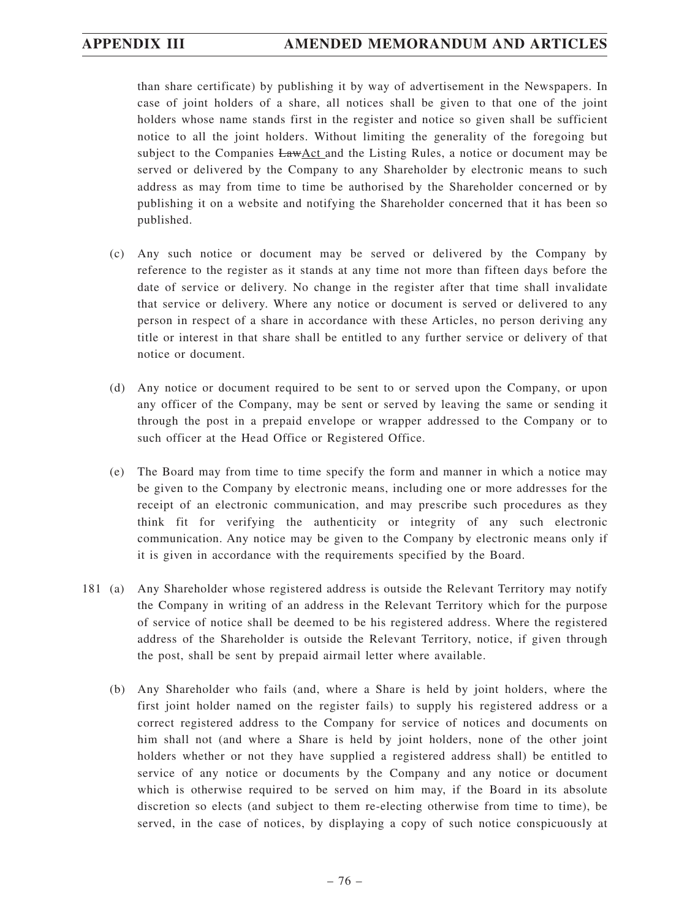than share certificate) by publishing it by way of advertisement in the Newspapers. In case of joint holders of a share, all notices shall be given to that one of the joint holders whose name stands first in the register and notice so given shall be sufficient notice to all the joint holders. Without limiting the generality of the foregoing but subject to the Companies LawAct and the Listing Rules, a notice or document may be served or delivered by the Company to any Shareholder by electronic means to such address as may from time to time be authorised by the Shareholder concerned or by publishing it on a website and notifying the Shareholder concerned that it has been so published.

- (c) Any such notice or document may be served or delivered by the Company by reference to the register as it stands at any time not more than fifteen days before the date of service or delivery. No change in the register after that time shall invalidate that service or delivery. Where any notice or document is served or delivered to any person in respect of a share in accordance with these Articles, no person deriving any title or interest in that share shall be entitled to any further service or delivery of that notice or document.
- (d) Any notice or document required to be sent to or served upon the Company, or upon any officer of the Company, may be sent or served by leaving the same or sending it through the post in a prepaid envelope or wrapper addressed to the Company or to such officer at the Head Office or Registered Office.
- (e) The Board may from time to time specify the form and manner in which a notice may be given to the Company by electronic means, including one or more addresses for the receipt of an electronic communication, and may prescribe such procedures as they think fit for verifying the authenticity or integrity of any such electronic communication. Any notice may be given to the Company by electronic means only if it is given in accordance with the requirements specified by the Board.
- 181 (a) Any Shareholder whose registered address is outside the Relevant Territory may notify the Company in writing of an address in the Relevant Territory which for the purpose of service of notice shall be deemed to be his registered address. Where the registered address of the Shareholder is outside the Relevant Territory, notice, if given through the post, shall be sent by prepaid airmail letter where available.
	- (b) Any Shareholder who fails (and, where a Share is held by joint holders, where the first joint holder named on the register fails) to supply his registered address or a correct registered address to the Company for service of notices and documents on him shall not (and where a Share is held by joint holders, none of the other joint holders whether or not they have supplied a registered address shall) be entitled to service of any notice or documents by the Company and any notice or document which is otherwise required to be served on him may, if the Board in its absolute discretion so elects (and subject to them re-electing otherwise from time to time), be served, in the case of notices, by displaying a copy of such notice conspicuously at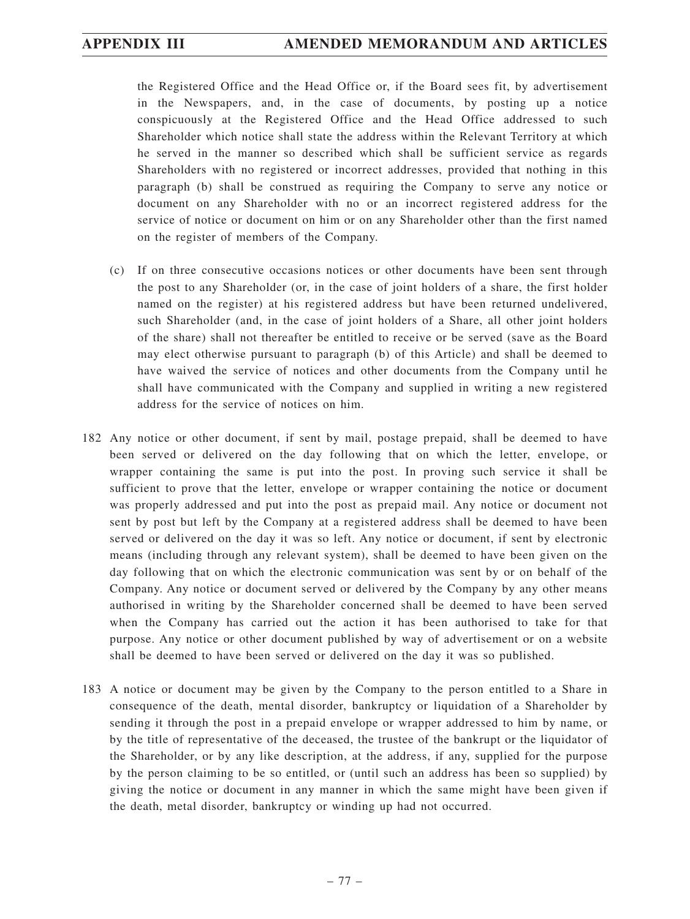the Registered Office and the Head Office or, if the Board sees fit, by advertisement in the Newspapers, and, in the case of documents, by posting up a notice conspicuously at the Registered Office and the Head Office addressed to such Shareholder which notice shall state the address within the Relevant Territory at which he served in the manner so described which shall be sufficient service as regards Shareholders with no registered or incorrect addresses, provided that nothing in this paragraph (b) shall be construed as requiring the Company to serve any notice or document on any Shareholder with no or an incorrect registered address for the service of notice or document on him or on any Shareholder other than the first named on the register of members of the Company.

- (c) If on three consecutive occasions notices or other documents have been sent through the post to any Shareholder (or, in the case of joint holders of a share, the first holder named on the register) at his registered address but have been returned undelivered, such Shareholder (and, in the case of joint holders of a Share, all other joint holders of the share) shall not thereafter be entitled to receive or be served (save as the Board may elect otherwise pursuant to paragraph (b) of this Article) and shall be deemed to have waived the service of notices and other documents from the Company until he shall have communicated with the Company and supplied in writing a new registered address for the service of notices on him.
- 182 Any notice or other document, if sent by mail, postage prepaid, shall be deemed to have been served or delivered on the day following that on which the letter, envelope, or wrapper containing the same is put into the post. In proving such service it shall be sufficient to prove that the letter, envelope or wrapper containing the notice or document was properly addressed and put into the post as prepaid mail. Any notice or document not sent by post but left by the Company at a registered address shall be deemed to have been served or delivered on the day it was so left. Any notice or document, if sent by electronic means (including through any relevant system), shall be deemed to have been given on the day following that on which the electronic communication was sent by or on behalf of the Company. Any notice or document served or delivered by the Company by any other means authorised in writing by the Shareholder concerned shall be deemed to have been served when the Company has carried out the action it has been authorised to take for that purpose. Any notice or other document published by way of advertisement or on a website shall be deemed to have been served or delivered on the day it was so published.
- 183 A notice or document may be given by the Company to the person entitled to a Share in consequence of the death, mental disorder, bankruptcy or liquidation of a Shareholder by sending it through the post in a prepaid envelope or wrapper addressed to him by name, or by the title of representative of the deceased, the trustee of the bankrupt or the liquidator of the Shareholder, or by any like description, at the address, if any, supplied for the purpose by the person claiming to be so entitled, or (until such an address has been so supplied) by giving the notice or document in any manner in which the same might have been given if the death, metal disorder, bankruptcy or winding up had not occurred.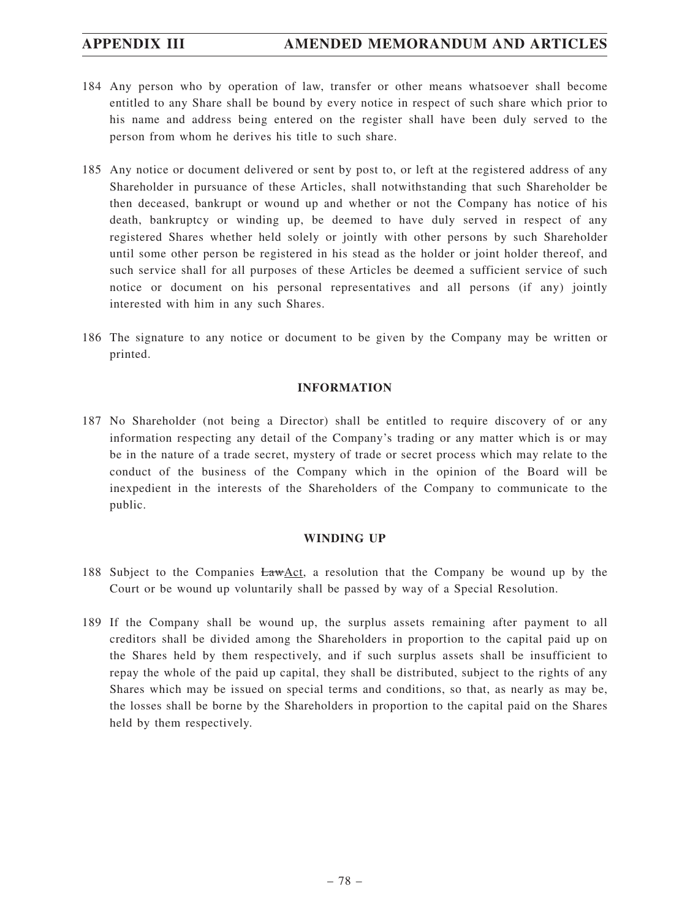- 184 Any person who by operation of law, transfer or other means whatsoever shall become entitled to any Share shall be bound by every notice in respect of such share which prior to his name and address being entered on the register shall have been duly served to the person from whom he derives his title to such share.
- 185 Any notice or document delivered or sent by post to, or left at the registered address of any Shareholder in pursuance of these Articles, shall notwithstanding that such Shareholder be then deceased, bankrupt or wound up and whether or not the Company has notice of his death, bankruptcy or winding up, be deemed to have duly served in respect of any registered Shares whether held solely or jointly with other persons by such Shareholder until some other person be registered in his stead as the holder or joint holder thereof, and such service shall for all purposes of these Articles be deemed a sufficient service of such notice or document on his personal representatives and all persons (if any) jointly interested with him in any such Shares.
- 186 The signature to any notice or document to be given by the Company may be written or printed.

## **INFORMATION**

187 No Shareholder (not being a Director) shall be entitled to require discovery of or any information respecting any detail of the Company's trading or any matter which is or may be in the nature of a trade secret, mystery of trade or secret process which may relate to the conduct of the business of the Company which in the opinion of the Board will be inexpedient in the interests of the Shareholders of the Company to communicate to the public.

## **WINDING UP**

- 188 Subject to the Companies LawAct, a resolution that the Company be wound up by the Court or be wound up voluntarily shall be passed by way of a Special Resolution.
- 189 If the Company shall be wound up, the surplus assets remaining after payment to all creditors shall be divided among the Shareholders in proportion to the capital paid up on the Shares held by them respectively, and if such surplus assets shall be insufficient to repay the whole of the paid up capital, they shall be distributed, subject to the rights of any Shares which may be issued on special terms and conditions, so that, as nearly as may be, the losses shall be borne by the Shareholders in proportion to the capital paid on the Shares held by them respectively.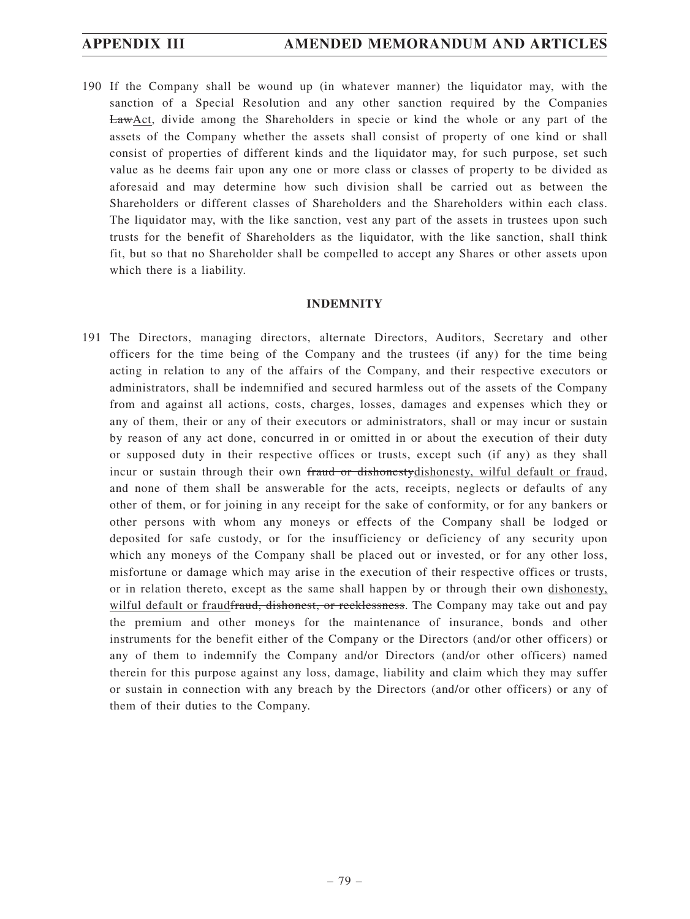190 If the Company shall be wound up (in whatever manner) the liquidator may, with the sanction of a Special Resolution and any other sanction required by the Companies LawAct, divide among the Shareholders in specie or kind the whole or any part of the assets of the Company whether the assets shall consist of property of one kind or shall consist of properties of different kinds and the liquidator may, for such purpose, set such value as he deems fair upon any one or more class or classes of property to be divided as aforesaid and may determine how such division shall be carried out as between the Shareholders or different classes of Shareholders and the Shareholders within each class. The liquidator may, with the like sanction, vest any part of the assets in trustees upon such trusts for the benefit of Shareholders as the liquidator, with the like sanction, shall think fit, but so that no Shareholder shall be compelled to accept any Shares or other assets upon which there is a liability.

### **INDEMNITY**

191 The Directors, managing directors, alternate Directors, Auditors, Secretary and other officers for the time being of the Company and the trustees (if any) for the time being acting in relation to any of the affairs of the Company, and their respective executors or administrators, shall be indemnified and secured harmless out of the assets of the Company from and against all actions, costs, charges, losses, damages and expenses which they or any of them, their or any of their executors or administrators, shall or may incur or sustain by reason of any act done, concurred in or omitted in or about the execution of their duty or supposed duty in their respective offices or trusts, except such (if any) as they shall incur or sustain through their own fraud or dishonestydishonesty, wilful default or fraud, and none of them shall be answerable for the acts, receipts, neglects or defaults of any other of them, or for joining in any receipt for the sake of conformity, or for any bankers or other persons with whom any moneys or effects of the Company shall be lodged or deposited for safe custody, or for the insufficiency or deficiency of any security upon which any moneys of the Company shall be placed out or invested, or for any other loss, misfortune or damage which may arise in the execution of their respective offices or trusts, or in relation thereto, except as the same shall happen by or through their own dishonesty, wilful default or fraudfraud, dishonest, or recklessness. The Company may take out and pay the premium and other moneys for the maintenance of insurance, bonds and other instruments for the benefit either of the Company or the Directors (and/or other officers) or any of them to indemnify the Company and/or Directors (and/or other officers) named therein for this purpose against any loss, damage, liability and claim which they may suffer or sustain in connection with any breach by the Directors (and/or other officers) or any of them of their duties to the Company.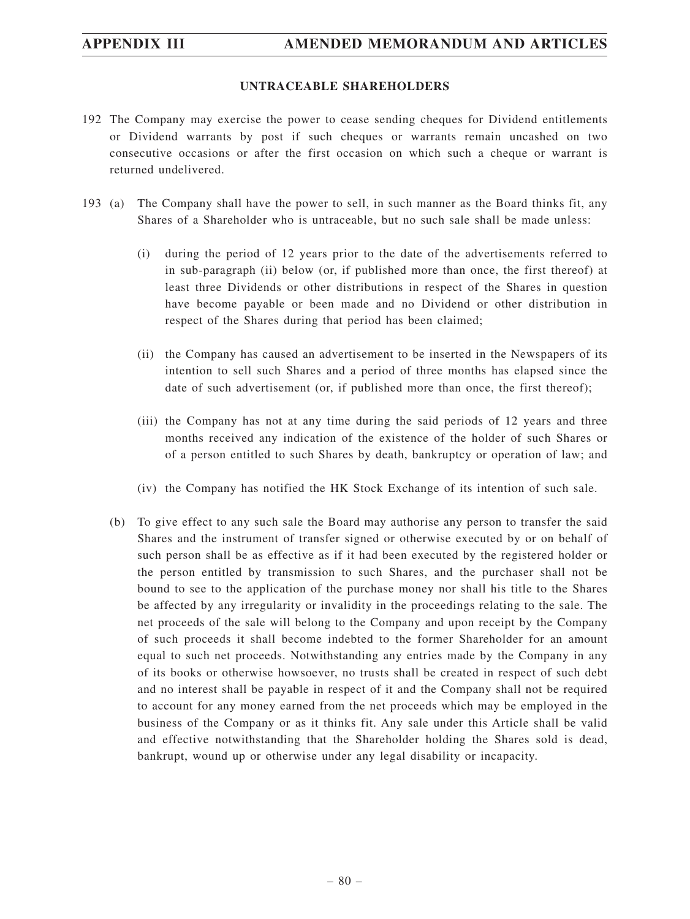## **APPENDIX III AMENDED MEMORANDUM AND ARTICLES**

### **UNTRACEABLE SHAREHOLDERS**

- 192 The Company may exercise the power to cease sending cheques for Dividend entitlements or Dividend warrants by post if such cheques or warrants remain uncashed on two consecutive occasions or after the first occasion on which such a cheque or warrant is returned undelivered.
- 193 (a) The Company shall have the power to sell, in such manner as the Board thinks fit, any Shares of a Shareholder who is untraceable, but no such sale shall be made unless:
	- (i) during the period of 12 years prior to the date of the advertisements referred to in sub-paragraph (ii) below (or, if published more than once, the first thereof) at least three Dividends or other distributions in respect of the Shares in question have become payable or been made and no Dividend or other distribution in respect of the Shares during that period has been claimed;
	- (ii) the Company has caused an advertisement to be inserted in the Newspapers of its intention to sell such Shares and a period of three months has elapsed since the date of such advertisement (or, if published more than once, the first thereof);
	- (iii) the Company has not at any time during the said periods of 12 years and three months received any indication of the existence of the holder of such Shares or of a person entitled to such Shares by death, bankruptcy or operation of law; and
	- (iv) the Company has notified the HK Stock Exchange of its intention of such sale.
	- (b) To give effect to any such sale the Board may authorise any person to transfer the said Shares and the instrument of transfer signed or otherwise executed by or on behalf of such person shall be as effective as if it had been executed by the registered holder or the person entitled by transmission to such Shares, and the purchaser shall not be bound to see to the application of the purchase money nor shall his title to the Shares be affected by any irregularity or invalidity in the proceedings relating to the sale. The net proceeds of the sale will belong to the Company and upon receipt by the Company of such proceeds it shall become indebted to the former Shareholder for an amount equal to such net proceeds. Notwithstanding any entries made by the Company in any of its books or otherwise howsoever, no trusts shall be created in respect of such debt and no interest shall be payable in respect of it and the Company shall not be required to account for any money earned from the net proceeds which may be employed in the business of the Company or as it thinks fit. Any sale under this Article shall be valid and effective notwithstanding that the Shareholder holding the Shares sold is dead, bankrupt, wound up or otherwise under any legal disability or incapacity.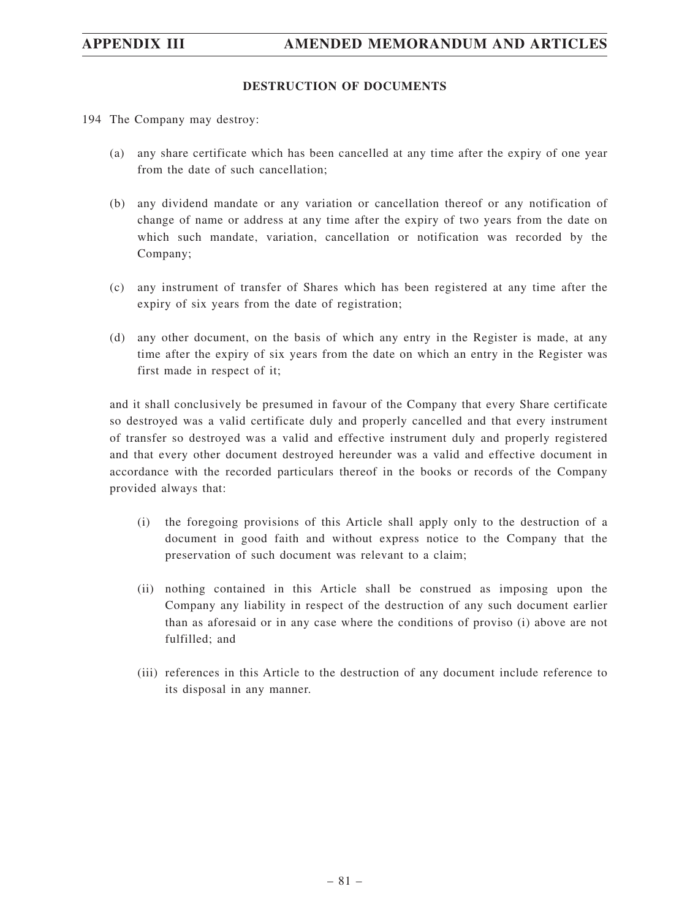## **APPENDIX III AMENDED MEMORANDUM AND ARTICLES**

## **DESTRUCTION OF DOCUMENTS**

- 194 The Company may destroy:
	- (a) any share certificate which has been cancelled at any time after the expiry of one year from the date of such cancellation;
	- (b) any dividend mandate or any variation or cancellation thereof or any notification of change of name or address at any time after the expiry of two years from the date on which such mandate, variation, cancellation or notification was recorded by the Company;
	- (c) any instrument of transfer of Shares which has been registered at any time after the expiry of six years from the date of registration;
	- (d) any other document, on the basis of which any entry in the Register is made, at any time after the expiry of six years from the date on which an entry in the Register was first made in respect of it;

and it shall conclusively be presumed in favour of the Company that every Share certificate so destroyed was a valid certificate duly and properly cancelled and that every instrument of transfer so destroyed was a valid and effective instrument duly and properly registered and that every other document destroyed hereunder was a valid and effective document in accordance with the recorded particulars thereof in the books or records of the Company provided always that:

- (i) the foregoing provisions of this Article shall apply only to the destruction of a document in good faith and without express notice to the Company that the preservation of such document was relevant to a claim;
- (ii) nothing contained in this Article shall be construed as imposing upon the Company any liability in respect of the destruction of any such document earlier than as aforesaid or in any case where the conditions of proviso (i) above are not fulfilled; and
- (iii) references in this Article to the destruction of any document include reference to its disposal in any manner.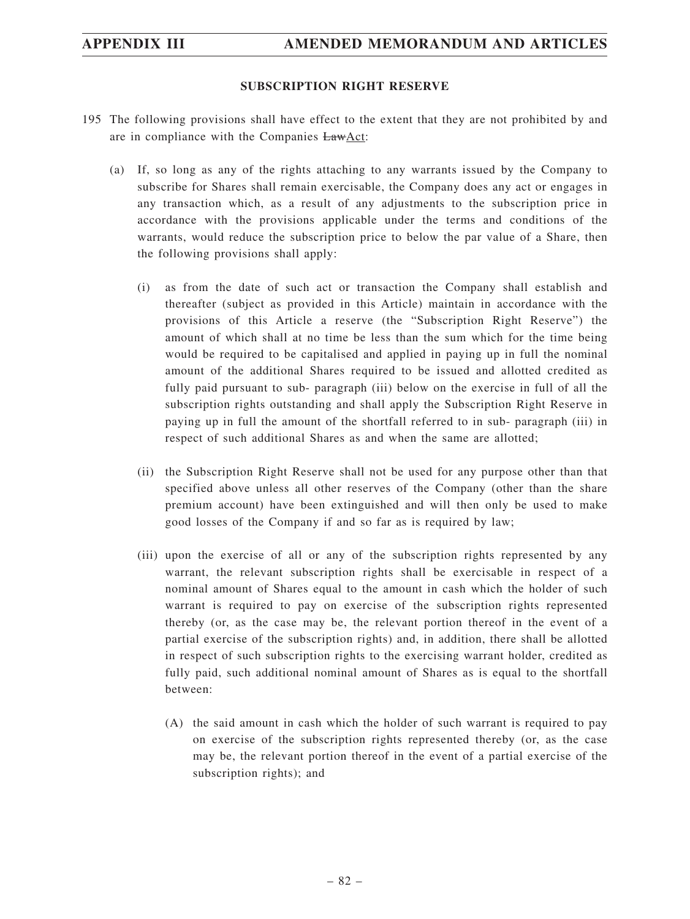## **SUBSCRIPTION RIGHT RESERVE**

- 195 The following provisions shall have effect to the extent that they are not prohibited by and are in compliance with the Companies  $Law$ Act:
	- (a) If, so long as any of the rights attaching to any warrants issued by the Company to subscribe for Shares shall remain exercisable, the Company does any act or engages in any transaction which, as a result of any adjustments to the subscription price in accordance with the provisions applicable under the terms and conditions of the warrants, would reduce the subscription price to below the par value of a Share, then the following provisions shall apply:
		- (i) as from the date of such act or transaction the Company shall establish and thereafter (subject as provided in this Article) maintain in accordance with the provisions of this Article a reserve (the "Subscription Right Reserve") the amount of which shall at no time be less than the sum which for the time being would be required to be capitalised and applied in paying up in full the nominal amount of the additional Shares required to be issued and allotted credited as fully paid pursuant to sub- paragraph (iii) below on the exercise in full of all the subscription rights outstanding and shall apply the Subscription Right Reserve in paying up in full the amount of the shortfall referred to in sub- paragraph (iii) in respect of such additional Shares as and when the same are allotted;
		- (ii) the Subscription Right Reserve shall not be used for any purpose other than that specified above unless all other reserves of the Company (other than the share premium account) have been extinguished and will then only be used to make good losses of the Company if and so far as is required by law;
		- (iii) upon the exercise of all or any of the subscription rights represented by any warrant, the relevant subscription rights shall be exercisable in respect of a nominal amount of Shares equal to the amount in cash which the holder of such warrant is required to pay on exercise of the subscription rights represented thereby (or, as the case may be, the relevant portion thereof in the event of a partial exercise of the subscription rights) and, in addition, there shall be allotted in respect of such subscription rights to the exercising warrant holder, credited as fully paid, such additional nominal amount of Shares as is equal to the shortfall between:
			- (A) the said amount in cash which the holder of such warrant is required to pay on exercise of the subscription rights represented thereby (or, as the case may be, the relevant portion thereof in the event of a partial exercise of the subscription rights); and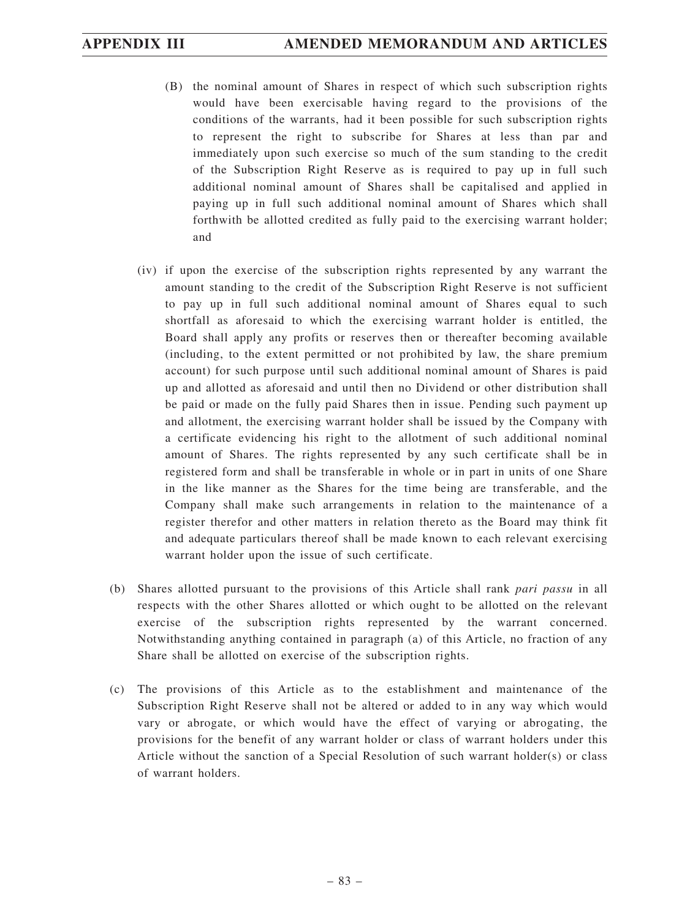- (B) the nominal amount of Shares in respect of which such subscription rights would have been exercisable having regard to the provisions of the conditions of the warrants, had it been possible for such subscription rights to represent the right to subscribe for Shares at less than par and immediately upon such exercise so much of the sum standing to the credit of the Subscription Right Reserve as is required to pay up in full such additional nominal amount of Shares shall be capitalised and applied in paying up in full such additional nominal amount of Shares which shall forthwith be allotted credited as fully paid to the exercising warrant holder; and
- (iv) if upon the exercise of the subscription rights represented by any warrant the amount standing to the credit of the Subscription Right Reserve is not sufficient to pay up in full such additional nominal amount of Shares equal to such shortfall as aforesaid to which the exercising warrant holder is entitled, the Board shall apply any profits or reserves then or thereafter becoming available (including, to the extent permitted or not prohibited by law, the share premium account) for such purpose until such additional nominal amount of Shares is paid up and allotted as aforesaid and until then no Dividend or other distribution shall be paid or made on the fully paid Shares then in issue. Pending such payment up and allotment, the exercising warrant holder shall be issued by the Company with a certificate evidencing his right to the allotment of such additional nominal amount of Shares. The rights represented by any such certificate shall be in registered form and shall be transferable in whole or in part in units of one Share in the like manner as the Shares for the time being are transferable, and the Company shall make such arrangements in relation to the maintenance of a register therefor and other matters in relation thereto as the Board may think fit and adequate particulars thereof shall be made known to each relevant exercising warrant holder upon the issue of such certificate.
- (b) Shares allotted pursuant to the provisions of this Article shall rank *pari passu* in all respects with the other Shares allotted or which ought to be allotted on the relevant exercise of the subscription rights represented by the warrant concerned. Notwithstanding anything contained in paragraph (a) of this Article, no fraction of any Share shall be allotted on exercise of the subscription rights.
- (c) The provisions of this Article as to the establishment and maintenance of the Subscription Right Reserve shall not be altered or added to in any way which would vary or abrogate, or which would have the effect of varying or abrogating, the provisions for the benefit of any warrant holder or class of warrant holders under this Article without the sanction of a Special Resolution of such warrant holder(s) or class of warrant holders.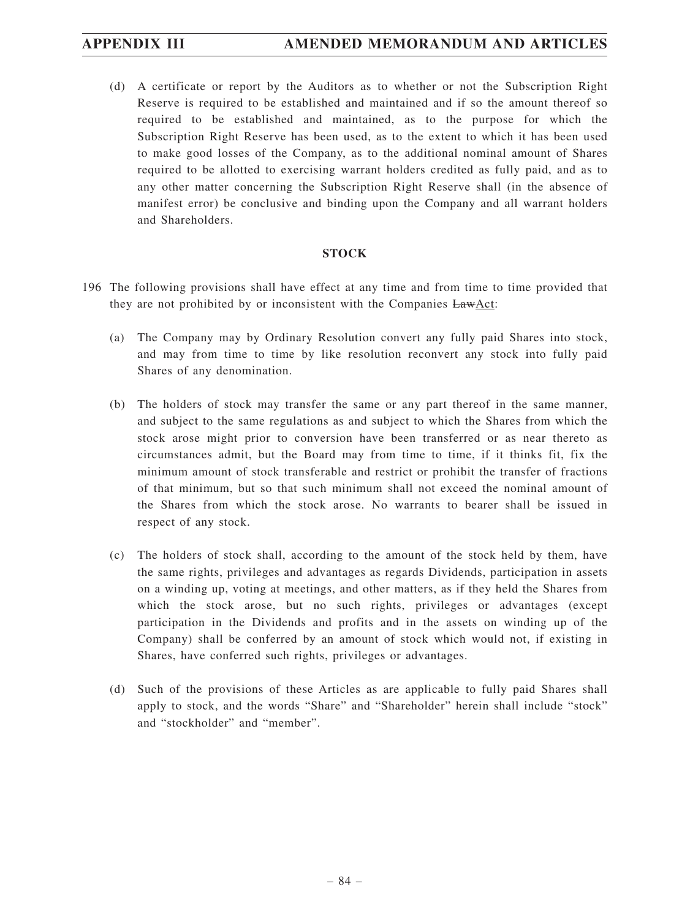(d) A certificate or report by the Auditors as to whether or not the Subscription Right Reserve is required to be established and maintained and if so the amount thereof so required to be established and maintained, as to the purpose for which the Subscription Right Reserve has been used, as to the extent to which it has been used to make good losses of the Company, as to the additional nominal amount of Shares required to be allotted to exercising warrant holders credited as fully paid, and as to any other matter concerning the Subscription Right Reserve shall (in the absence of manifest error) be conclusive and binding upon the Company and all warrant holders and Shareholders.

## **STOCK**

- 196 The following provisions shall have effect at any time and from time to time provided that they are not prohibited by or inconsistent with the Companies  $EawAct$ :
	- (a) The Company may by Ordinary Resolution convert any fully paid Shares into stock, and may from time to time by like resolution reconvert any stock into fully paid Shares of any denomination.
	- (b) The holders of stock may transfer the same or any part thereof in the same manner, and subject to the same regulations as and subject to which the Shares from which the stock arose might prior to conversion have been transferred or as near thereto as circumstances admit, but the Board may from time to time, if it thinks fit, fix the minimum amount of stock transferable and restrict or prohibit the transfer of fractions of that minimum, but so that such minimum shall not exceed the nominal amount of the Shares from which the stock arose. No warrants to bearer shall be issued in respect of any stock.
	- (c) The holders of stock shall, according to the amount of the stock held by them, have the same rights, privileges and advantages as regards Dividends, participation in assets on a winding up, voting at meetings, and other matters, as if they held the Shares from which the stock arose, but no such rights, privileges or advantages (except participation in the Dividends and profits and in the assets on winding up of the Company) shall be conferred by an amount of stock which would not, if existing in Shares, have conferred such rights, privileges or advantages.
	- (d) Such of the provisions of these Articles as are applicable to fully paid Shares shall apply to stock, and the words "Share" and "Shareholder" herein shall include "stock" and "stockholder" and "member".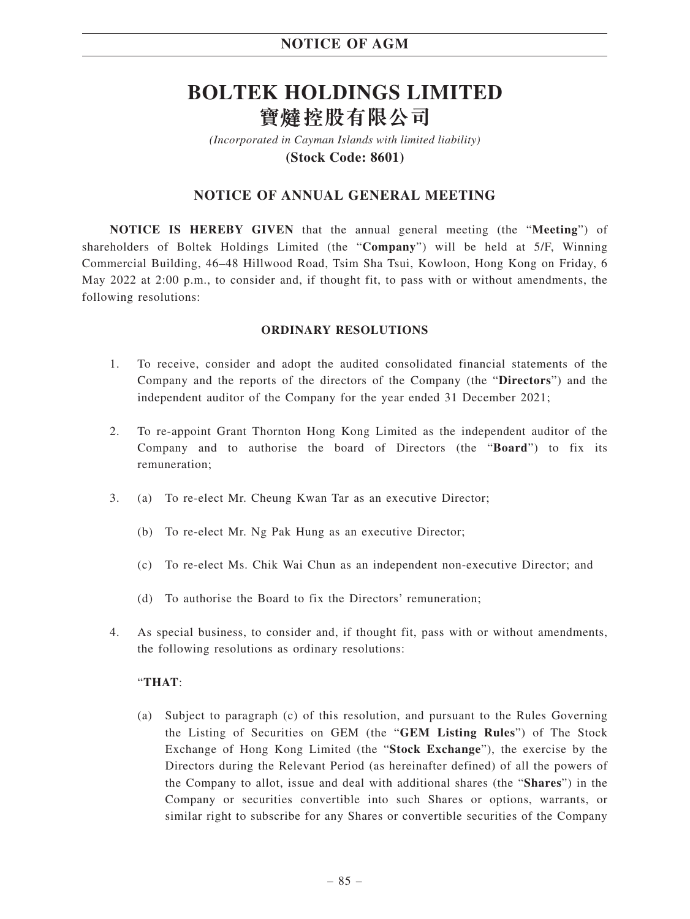# **BOLTEK HOLDINGS LIMITED** 寶燵控股有限公司

*(Incorporated in Cayman Islands with limited liability)* **(Stock Code: 8601)**

## **NOTICE OF ANNUAL GENERAL MEETING**

**NOTICE IS HEREBY GIVEN** that the annual general meeting (the "**Meeting**") of shareholders of Boltek Holdings Limited (the "**Company**") will be held at 5/F, Winning Commercial Building, 46–48 Hillwood Road, Tsim Sha Tsui, Kowloon, Hong Kong on Friday, 6 May 2022 at 2:00 p.m., to consider and, if thought fit, to pass with or without amendments, the following resolutions:

### **ORDINARY RESOLUTIONS**

- 1. To receive, consider and adopt the audited consolidated financial statements of the Company and the reports of the directors of the Company (the "**Directors**") and the independent auditor of the Company for the year ended 31 December 2021;
- 2. To re-appoint Grant Thornton Hong Kong Limited as the independent auditor of the Company and to authorise the board of Directors (the "**Board**") to fix its remuneration;
- 3. (a) To re-elect Mr. Cheung Kwan Tar as an executive Director;
	- (b) To re-elect Mr. Ng Pak Hung as an executive Director;
	- (c) To re-elect Ms. Chik Wai Chun as an independent non-executive Director; and
	- (d) To authorise the Board to fix the Directors' remuneration;
- 4. As special business, to consider and, if thought fit, pass with or without amendments, the following resolutions as ordinary resolutions:

### "**THAT**:

(a) Subject to paragraph (c) of this resolution, and pursuant to the Rules Governing the Listing of Securities on GEM (the "**GEM Listing Rules**") of The Stock Exchange of Hong Kong Limited (the "**Stock Exchange**"), the exercise by the Directors during the Relevant Period (as hereinafter defined) of all the powers of the Company to allot, issue and deal with additional shares (the "**Shares**") in the Company or securities convertible into such Shares or options, warrants, or similar right to subscribe for any Shares or convertible securities of the Company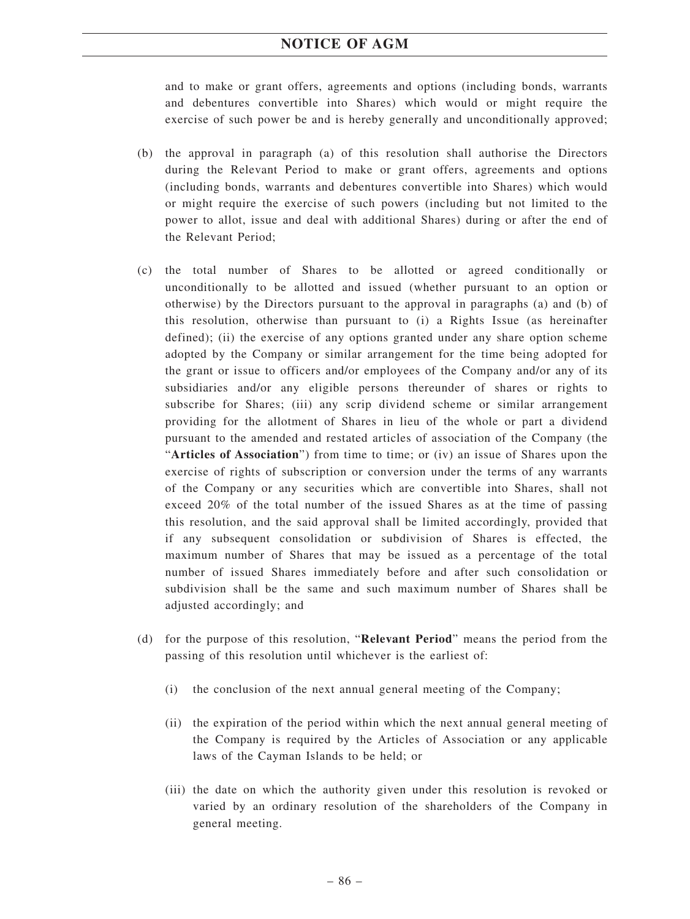and to make or grant offers, agreements and options (including bonds, warrants and debentures convertible into Shares) which would or might require the exercise of such power be and is hereby generally and unconditionally approved;

- (b) the approval in paragraph (a) of this resolution shall authorise the Directors during the Relevant Period to make or grant offers, agreements and options (including bonds, warrants and debentures convertible into Shares) which would or might require the exercise of such powers (including but not limited to the power to allot, issue and deal with additional Shares) during or after the end of the Relevant Period;
- (c) the total number of Shares to be allotted or agreed conditionally or unconditionally to be allotted and issued (whether pursuant to an option or otherwise) by the Directors pursuant to the approval in paragraphs (a) and (b) of this resolution, otherwise than pursuant to (i) a Rights Issue (as hereinafter defined); (ii) the exercise of any options granted under any share option scheme adopted by the Company or similar arrangement for the time being adopted for the grant or issue to officers and/or employees of the Company and/or any of its subsidiaries and/or any eligible persons thereunder of shares or rights to subscribe for Shares; (iii) any scrip dividend scheme or similar arrangement providing for the allotment of Shares in lieu of the whole or part a dividend pursuant to the amended and restated articles of association of the Company (the "**Articles of Association**") from time to time; or (iv) an issue of Shares upon the exercise of rights of subscription or conversion under the terms of any warrants of the Company or any securities which are convertible into Shares, shall not exceed 20% of the total number of the issued Shares as at the time of passing this resolution, and the said approval shall be limited accordingly, provided that if any subsequent consolidation or subdivision of Shares is effected, the maximum number of Shares that may be issued as a percentage of the total number of issued Shares immediately before and after such consolidation or subdivision shall be the same and such maximum number of Shares shall be adjusted accordingly; and
- (d) for the purpose of this resolution, "**Relevant Period**" means the period from the passing of this resolution until whichever is the earliest of:
	- (i) the conclusion of the next annual general meeting of the Company;
	- (ii) the expiration of the period within which the next annual general meeting of the Company is required by the Articles of Association or any applicable laws of the Cayman Islands to be held; or
	- (iii) the date on which the authority given under this resolution is revoked or varied by an ordinary resolution of the shareholders of the Company in general meeting.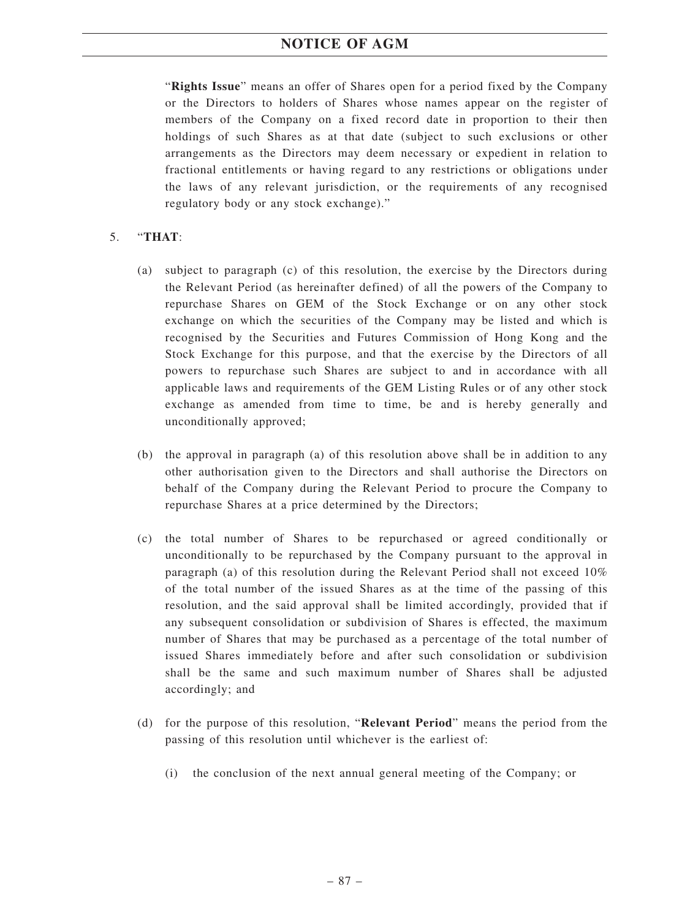"**Rights Issue**" means an offer of Shares open for a period fixed by the Company or the Directors to holders of Shares whose names appear on the register of members of the Company on a fixed record date in proportion to their then holdings of such Shares as at that date (subject to such exclusions or other arrangements as the Directors may deem necessary or expedient in relation to fractional entitlements or having regard to any restrictions or obligations under the laws of any relevant jurisdiction, or the requirements of any recognised regulatory body or any stock exchange)."

## 5. "**THAT**:

- (a) subject to paragraph (c) of this resolution, the exercise by the Directors during the Relevant Period (as hereinafter defined) of all the powers of the Company to repurchase Shares on GEM of the Stock Exchange or on any other stock exchange on which the securities of the Company may be listed and which is recognised by the Securities and Futures Commission of Hong Kong and the Stock Exchange for this purpose, and that the exercise by the Directors of all powers to repurchase such Shares are subject to and in accordance with all applicable laws and requirements of the GEM Listing Rules or of any other stock exchange as amended from time to time, be and is hereby generally and unconditionally approved;
- (b) the approval in paragraph (a) of this resolution above shall be in addition to any other authorisation given to the Directors and shall authorise the Directors on behalf of the Company during the Relevant Period to procure the Company to repurchase Shares at a price determined by the Directors;
- (c) the total number of Shares to be repurchased or agreed conditionally or unconditionally to be repurchased by the Company pursuant to the approval in paragraph (a) of this resolution during the Relevant Period shall not exceed 10% of the total number of the issued Shares as at the time of the passing of this resolution, and the said approval shall be limited accordingly, provided that if any subsequent consolidation or subdivision of Shares is effected, the maximum number of Shares that may be purchased as a percentage of the total number of issued Shares immediately before and after such consolidation or subdivision shall be the same and such maximum number of Shares shall be adjusted accordingly; and
- (d) for the purpose of this resolution, "**Relevant Period**" means the period from the passing of this resolution until whichever is the earliest of:
	- (i) the conclusion of the next annual general meeting of the Company; or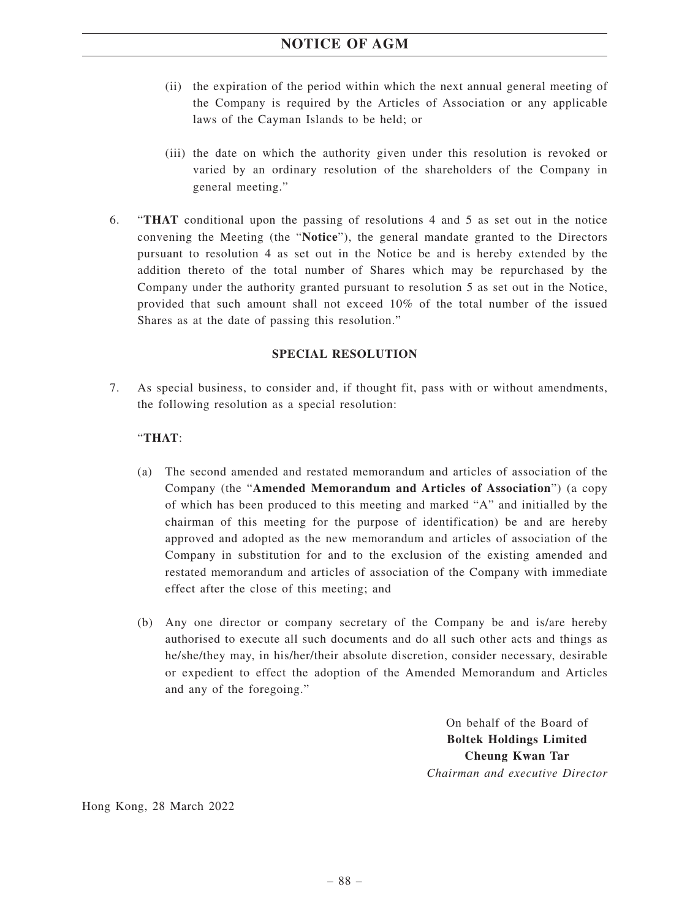- (ii) the expiration of the period within which the next annual general meeting of the Company is required by the Articles of Association or any applicable laws of the Cayman Islands to be held; or
- (iii) the date on which the authority given under this resolution is revoked or varied by an ordinary resolution of the shareholders of the Company in general meeting."
- 6. "**THAT** conditional upon the passing of resolutions 4 and 5 as set out in the notice convening the Meeting (the "**Notice**"), the general mandate granted to the Directors pursuant to resolution 4 as set out in the Notice be and is hereby extended by the addition thereto of the total number of Shares which may be repurchased by the Company under the authority granted pursuant to resolution 5 as set out in the Notice, provided that such amount shall not exceed 10% of the total number of the issued Shares as at the date of passing this resolution."

## **SPECIAL RESOLUTION**

7. As special business, to consider and, if thought fit, pass with or without amendments, the following resolution as a special resolution:

### "**THAT**:

- (a) The second amended and restated memorandum and articles of association of the Company (the "**Amended Memorandum and Articles of Association**") (a copy of which has been produced to this meeting and marked "A" and initialled by the chairman of this meeting for the purpose of identification) be and are hereby approved and adopted as the new memorandum and articles of association of the Company in substitution for and to the exclusion of the existing amended and restated memorandum and articles of association of the Company with immediate effect after the close of this meeting; and
- (b) Any one director or company secretary of the Company be and is/are hereby authorised to execute all such documents and do all such other acts and things as he/she/they may, in his/her/their absolute discretion, consider necessary, desirable or expedient to effect the adoption of the Amended Memorandum and Articles and any of the foregoing."

On behalf of the Board of **Boltek Holdings Limited Cheung Kwan Tar** *Chairman and executive Director*

Hong Kong, 28 March 2022